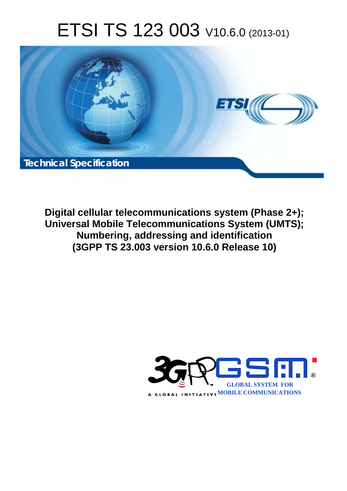# ETSI TS 123 003 V10.6.0 (2013-01)



**Digital cellular telecommunications system (Phase 2+); Universal Mobile Telecommunications System (UMTS); Numbering, addressing and identification (3GPP TS 23.003 version 10.6.0 Release 10)** 

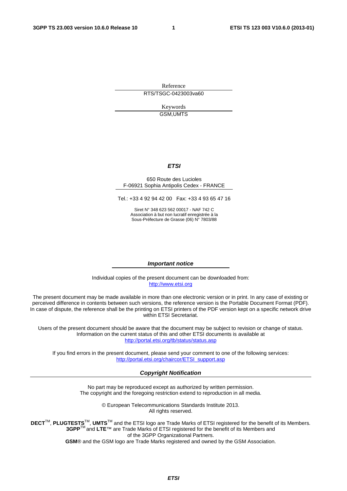Reference RTS/TSGC-0423003va60

> Keywords GSM,UMTS

#### *ETSI*

#### 650 Route des Lucioles F-06921 Sophia Antipolis Cedex - FRANCE

Tel.: +33 4 92 94 42 00 Fax: +33 4 93 65 47 16

Siret N° 348 623 562 00017 - NAF 742 C Association à but non lucratif enregistrée à la Sous-Préfecture de Grasse (06) N° 7803/88

#### *Important notice*

Individual copies of the present document can be downloaded from: [http://www.etsi.org](http://www.etsi.org/)

The present document may be made available in more than one electronic version or in print. In any case of existing or perceived difference in contents between such versions, the reference version is the Portable Document Format (PDF). In case of dispute, the reference shall be the printing on ETSI printers of the PDF version kept on a specific network drive within ETSI Secretariat.

Users of the present document should be aware that the document may be subject to revision or change of status. Information on the current status of this and other ETSI documents is available at <http://portal.etsi.org/tb/status/status.asp>

If you find errors in the present document, please send your comment to one of the following services: [http://portal.etsi.org/chaircor/ETSI\\_support.asp](http://portal.etsi.org/chaircor/ETSI_support.asp)

#### *Copyright Notification*

No part may be reproduced except as authorized by written permission. The copyright and the foregoing restriction extend to reproduction in all media.

> © European Telecommunications Standards Institute 2013. All rights reserved.

DECT<sup>™</sup>, PLUGTESTS<sup>™</sup>, UMTS<sup>™</sup> and the ETSI logo are Trade Marks of ETSI registered for the benefit of its Members. **3GPP**TM and **LTE**™ are Trade Marks of ETSI registered for the benefit of its Members and of the 3GPP Organizational Partners.

**GSM**® and the GSM logo are Trade Marks registered and owned by the GSM Association.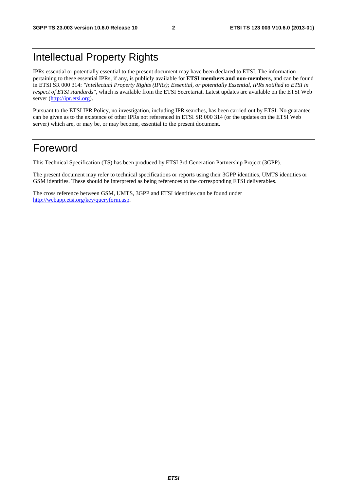# Intellectual Property Rights

IPRs essential or potentially essential to the present document may have been declared to ETSI. The information pertaining to these essential IPRs, if any, is publicly available for **ETSI members and non-members**, and can be found in ETSI SR 000 314: *"Intellectual Property Rights (IPRs); Essential, or potentially Essential, IPRs notified to ETSI in respect of ETSI standards"*, which is available from the ETSI Secretariat. Latest updates are available on the ETSI Web server [\(http://ipr.etsi.org](http://webapp.etsi.org/IPR/home.asp)).

Pursuant to the ETSI IPR Policy, no investigation, including IPR searches, has been carried out by ETSI. No guarantee can be given as to the existence of other IPRs not referenced in ETSI SR 000 314 (or the updates on the ETSI Web server) which are, or may be, or may become, essential to the present document.

# Foreword

This Technical Specification (TS) has been produced by ETSI 3rd Generation Partnership Project (3GPP).

The present document may refer to technical specifications or reports using their 3GPP identities, UMTS identities or GSM identities. These should be interpreted as being references to the corresponding ETSI deliverables.

The cross reference between GSM, UMTS, 3GPP and ETSI identities can be found under [http://webapp.etsi.org/key/queryform.asp.](http://webapp.etsi.org/key/queryform.asp)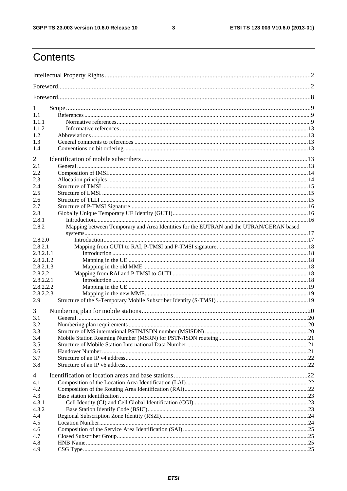$\mathbf{3}$ 

# Contents

| 1         |                                                                                        |  |
|-----------|----------------------------------------------------------------------------------------|--|
| 1.1       |                                                                                        |  |
| 1.1.1     |                                                                                        |  |
| 1.1.2     |                                                                                        |  |
| 1.2       |                                                                                        |  |
| 1.3       |                                                                                        |  |
| 1.4       |                                                                                        |  |
| 2         |                                                                                        |  |
| 2.1       |                                                                                        |  |
| 2.2       |                                                                                        |  |
| 2.3       |                                                                                        |  |
| 2.4       |                                                                                        |  |
| 2.5       |                                                                                        |  |
| 2.6       |                                                                                        |  |
| 2.7       |                                                                                        |  |
| 2.8       |                                                                                        |  |
| 2.8.1     |                                                                                        |  |
| 2.8.2     | Mapping between Temporary and Area Identities for the EUTRAN and the UTRAN/GERAN based |  |
|           |                                                                                        |  |
| 2.8.2.0   |                                                                                        |  |
| 2.8.2.1   |                                                                                        |  |
| 2.8.2.1.1 |                                                                                        |  |
| 2.8.2.1.2 |                                                                                        |  |
| 2.8.2.1.3 |                                                                                        |  |
| 2.8.2.2   |                                                                                        |  |
| 2.8.2.2.1 |                                                                                        |  |
| 2.8.2.2.2 |                                                                                        |  |
| 2.8.2.2.3 |                                                                                        |  |
| 2.9       |                                                                                        |  |
| 3         |                                                                                        |  |
| 3.1       |                                                                                        |  |
| 3.2       |                                                                                        |  |
| 3.3       |                                                                                        |  |
| 3.4       |                                                                                        |  |
| 3.5       |                                                                                        |  |
| 3.6       |                                                                                        |  |
| 3.7       |                                                                                        |  |
| 3.8       |                                                                                        |  |
| 4         |                                                                                        |  |
| 4.1       |                                                                                        |  |
| 4.2       |                                                                                        |  |
| 4.3       |                                                                                        |  |
| 4.3.1     |                                                                                        |  |
| 4.3.2     |                                                                                        |  |
| 4.4       |                                                                                        |  |
| 4.5       |                                                                                        |  |
| 4.6       |                                                                                        |  |
| 4.7       |                                                                                        |  |
| 4.8       |                                                                                        |  |
| 4.9       |                                                                                        |  |
|           |                                                                                        |  |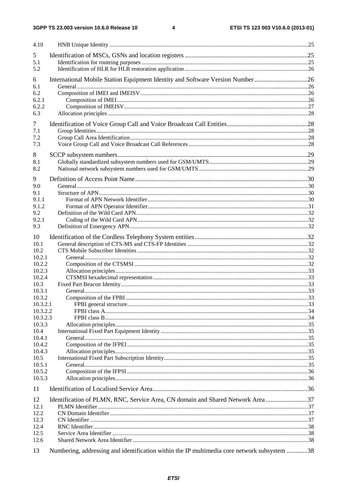| 4.10           |                                                                                             |  |
|----------------|---------------------------------------------------------------------------------------------|--|
| 5              |                                                                                             |  |
| 5.1            |                                                                                             |  |
| 5.2            |                                                                                             |  |
| 6              | International Mobile Station Equipment Identity and Software Version Number26               |  |
| 6.1            |                                                                                             |  |
| 6.2            |                                                                                             |  |
| 6.2.1          |                                                                                             |  |
| 6.2.2          |                                                                                             |  |
| 6.3            |                                                                                             |  |
| 7              |                                                                                             |  |
| 7.1            |                                                                                             |  |
| 7.2            |                                                                                             |  |
| 7.3            |                                                                                             |  |
|                |                                                                                             |  |
| 8              |                                                                                             |  |
| 8.1            |                                                                                             |  |
| 8.2            |                                                                                             |  |
| 9              |                                                                                             |  |
| 9.0            |                                                                                             |  |
| 9.1            |                                                                                             |  |
| 9.1.1          |                                                                                             |  |
| 9.1.2          |                                                                                             |  |
| 9.2            |                                                                                             |  |
| 9.2.1          |                                                                                             |  |
| 9.3            |                                                                                             |  |
| 10             |                                                                                             |  |
| 10.1           |                                                                                             |  |
| 10.2           |                                                                                             |  |
| 10.2.1         |                                                                                             |  |
| 10.2.2         |                                                                                             |  |
| 10.2.3         |                                                                                             |  |
| 10.2.4         |                                                                                             |  |
| 10.3           |                                                                                             |  |
| 10.3.1         |                                                                                             |  |
| 10.3.2         |                                                                                             |  |
| 10.3.2.1       |                                                                                             |  |
| 10.3.2.2       |                                                                                             |  |
| 10.3.2.3       |                                                                                             |  |
| 10.3.3         |                                                                                             |  |
| 10.4<br>10.4.1 |                                                                                             |  |
| 10.4.2         |                                                                                             |  |
| 10.4.3         |                                                                                             |  |
| 10.5           |                                                                                             |  |
| 10.5.1         |                                                                                             |  |
| 10.5.2         |                                                                                             |  |
| 10.5.3         |                                                                                             |  |
| 11             |                                                                                             |  |
| 12             | Identification of PLMN, RNC, Service Area, CN domain and Shared Network Area 37             |  |
| 12.1           |                                                                                             |  |
| 12.2           |                                                                                             |  |
| 12.3           |                                                                                             |  |
| 12.4           |                                                                                             |  |
| 12.5           |                                                                                             |  |
| 12.6           |                                                                                             |  |
| 13             | Numbering, addressing and identification within the IP multimedia core network subsystem 38 |  |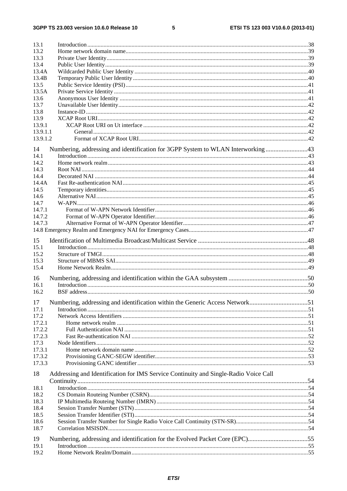$5\phantom{a}$ 

| 13.1     |                                                                                      |  |
|----------|--------------------------------------------------------------------------------------|--|
| 13.2     |                                                                                      |  |
| 13.3     |                                                                                      |  |
| 13.4     |                                                                                      |  |
| 13.4A    |                                                                                      |  |
| 13.4B    |                                                                                      |  |
| 13.5     |                                                                                      |  |
| 13.5A    |                                                                                      |  |
| 13.6     |                                                                                      |  |
| 13.7     |                                                                                      |  |
| 13.8     |                                                                                      |  |
| 13.9     |                                                                                      |  |
|          |                                                                                      |  |
| 13.9.1   |                                                                                      |  |
| 13.9.1.1 |                                                                                      |  |
| 13.9.1.2 |                                                                                      |  |
| 14       | Numbering, addressing and identification for 3GPP System to WLAN Interworking 43     |  |
| 14.1     |                                                                                      |  |
| 14.2     |                                                                                      |  |
| 14.3     |                                                                                      |  |
| 14.4     |                                                                                      |  |
| 14.4A    |                                                                                      |  |
| 14.5     |                                                                                      |  |
|          |                                                                                      |  |
| 14.6     |                                                                                      |  |
| 14.7     |                                                                                      |  |
| 14.7.1   |                                                                                      |  |
| 14.7.2   |                                                                                      |  |
| 14.7.3   |                                                                                      |  |
|          |                                                                                      |  |
| 15       |                                                                                      |  |
|          |                                                                                      |  |
| 15.1     |                                                                                      |  |
| 15.2     |                                                                                      |  |
| 15.3     |                                                                                      |  |
| 15.4     |                                                                                      |  |
| 16       |                                                                                      |  |
| 16.1     |                                                                                      |  |
| 16.2     |                                                                                      |  |
|          |                                                                                      |  |
|          | 17 Numbering, addressing and identification within the Generic Access Network51      |  |
| 17.1     |                                                                                      |  |
| 17.2     |                                                                                      |  |
| 17.2.1   |                                                                                      |  |
| 17.2.2   |                                                                                      |  |
| 17.2.3   |                                                                                      |  |
| 17.3     |                                                                                      |  |
| 17.3.1   |                                                                                      |  |
|          |                                                                                      |  |
| 17.3.2   |                                                                                      |  |
| 17.3.3   |                                                                                      |  |
| 18       | Addressing and Identification for IMS Service Continuity and Single-Radio Voice Call |  |
|          |                                                                                      |  |
| 18.1     |                                                                                      |  |
| 18.2     |                                                                                      |  |
| 18.3     |                                                                                      |  |
|          |                                                                                      |  |
| 18.4     |                                                                                      |  |
| 18.5     |                                                                                      |  |
| 18.6     |                                                                                      |  |
| 18.7     |                                                                                      |  |
| 19       | Numbering, addressing and identification for the Evolved Packet Core (EPC)55         |  |
| 19.1     |                                                                                      |  |
| 19.2     |                                                                                      |  |
|          |                                                                                      |  |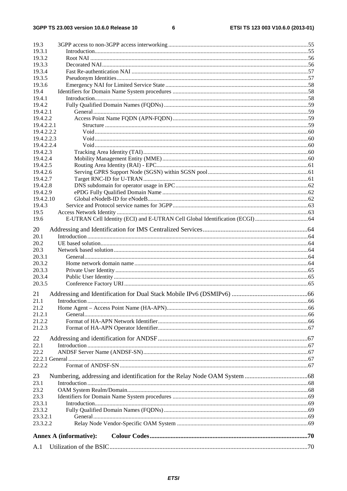$\bf 6$ 

| 19.3             |                               |  |
|------------------|-------------------------------|--|
| 19.3.1           |                               |  |
| 19.3.2           |                               |  |
| 19.3.3           |                               |  |
| 19.3.4           |                               |  |
| 19.3.5           |                               |  |
| 19.3.6           |                               |  |
| 19.4             |                               |  |
| 19.4.1<br>19.4.2 |                               |  |
| 19.4.2.1         |                               |  |
| 19.4.2.2         |                               |  |
| 19.4.2.2.1       |                               |  |
| 19.4.2.2.2       |                               |  |
| 19.4.2.2.3       |                               |  |
| 19.4.2.2.4       |                               |  |
| 19.4.2.3         |                               |  |
| 19.4.2.4         |                               |  |
| 19.4.2.5         |                               |  |
| 19.4.2.6         |                               |  |
| 19.4.2.7         |                               |  |
| 19.4.2.8         |                               |  |
| 19.4.2.9         |                               |  |
| 19.4.2.10        |                               |  |
| 19.4.3           |                               |  |
| 19.5             |                               |  |
| 19.6             |                               |  |
| 20               |                               |  |
| 20.1             |                               |  |
| 20.2             |                               |  |
| 20.3             |                               |  |
| 20.3.1           |                               |  |
| 20.3.2           |                               |  |
| 20.3.3           |                               |  |
| 20.3.4           |                               |  |
| 20.3.5           |                               |  |
| 21               |                               |  |
| 21.1             | Introduction                  |  |
| 21.2             |                               |  |
| 21.2.1           |                               |  |
| 21.2.2           |                               |  |
| 21.2.3           |                               |  |
|                  |                               |  |
| 22               |                               |  |
| 22.1             |                               |  |
| 22.2             |                               |  |
|                  |                               |  |
| 22.2.2           |                               |  |
| 23               |                               |  |
| 23.1             |                               |  |
| 23.2             |                               |  |
| 23.3             |                               |  |
| 23.3.1           |                               |  |
| 23.3.2           |                               |  |
| 23.3.2.1         |                               |  |
| 23.3.2.2         |                               |  |
|                  |                               |  |
|                  | <b>Annex A (informative):</b> |  |
| A.1              |                               |  |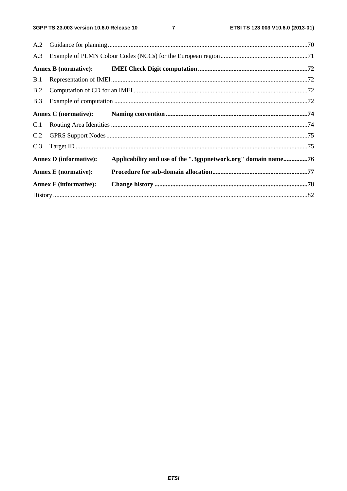$\overline{7}$ 

| A.3 |                               |                                                               |  |
|-----|-------------------------------|---------------------------------------------------------------|--|
|     |                               |                                                               |  |
| B.1 |                               |                                                               |  |
| B.2 |                               |                                                               |  |
| B.3 |                               |                                                               |  |
|     |                               |                                                               |  |
|     |                               |                                                               |  |
| C.2 |                               |                                                               |  |
| C.3 |                               |                                                               |  |
|     | <b>Annex D</b> (informative): | Applicability and use of the ".3gppnetwork.org" domain name76 |  |
|     | <b>Annex E</b> (normative):   |                                                               |  |
|     | <b>Annex F</b> (informative): |                                                               |  |
|     |                               |                                                               |  |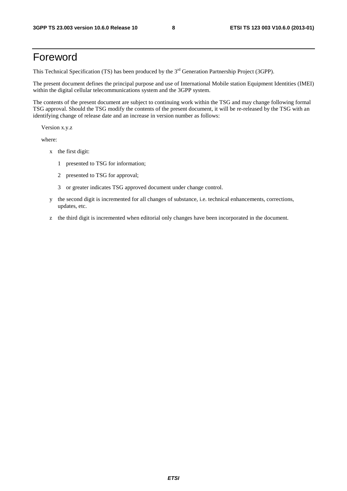# Foreword

This Technical Specification (TS) has been produced by the 3<sup>rd</sup> Generation Partnership Project (3GPP).

The present document defines the principal purpose and use of International Mobile station Equipment Identities (IMEI) within the digital cellular telecommunications system and the 3GPP system.

The contents of the present document are subject to continuing work within the TSG and may change following formal TSG approval. Should the TSG modify the contents of the present document, it will be re-released by the TSG with an identifying change of release date and an increase in version number as follows:

Version x.y.z

where:

- x the first digit:
	- 1 presented to TSG for information;
	- 2 presented to TSG for approval;
	- 3 or greater indicates TSG approved document under change control.
- y the second digit is incremented for all changes of substance, i.e. technical enhancements, corrections, updates, etc.
- z the third digit is incremented when editorial only changes have been incorporated in the document.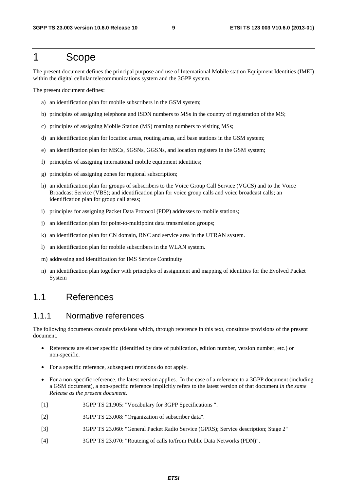### 1 Scope

The present document defines the principal purpose and use of International Mobile station Equipment Identities (IMEI) within the digital cellular telecommunications system and the 3GPP system.

The present document defines:

- a) an identification plan for mobile subscribers in the GSM system;
- b) principles of assigning telephone and ISDN numbers to MSs in the country of registration of the MS;
- c) principles of assigning Mobile Station (MS) roaming numbers to visiting MSs;
- d) an identification plan for location areas, routing areas, and base stations in the GSM system;
- e) an identification plan for MSCs, SGSNs, GGSNs, and location registers in the GSM system;
- f) principles of assigning international mobile equipment identities;
- g) principles of assigning zones for regional subscription;
- h) an identification plan for groups of subscribers to the Voice Group Call Service (VGCS) and to the Voice Broadcast Service (VBS); and identification plan for voice group calls and voice broadcast calls; an identification plan for group call areas;
- i) principles for assigning Packet Data Protocol (PDP) addresses to mobile stations;
- j) an identification plan for point-to-multipoint data transmission groups;
- k) an identification plan for CN domain, RNC and service area in the UTRAN system.
- l) an identification plan for mobile subscribers in the WLAN system.
- m) addressing and identification for IMS Service Continuity
- n) an identification plan together with principles of assignment and mapping of identities for the Evolved Packet System

### 1.1 References

#### 1.1.1 Normative references

The following documents contain provisions which, through reference in this text, constitute provisions of the present document.

- References are either specific (identified by date of publication, edition number, version number, etc.) or non-specific.
- For a specific reference, subsequent revisions do not apply.
- For a non-specific reference, the latest version applies. In the case of a reference to a 3GPP document (including a GSM document), a non-specific reference implicitly refers to the latest version of that document *in the same Release as the present document*.
- [1] 3GPP TS 21.905: "Vocabulary for 3GPP Specifications ".
- [2] 3GPP TS 23.008: "Organization of subscriber data".
- [3] 3GPP TS 23.060: "General Packet Radio Service (GPRS); Service description; Stage 2"
- [4] 3GPP TS 23.070: "Routeing of calls to/from Public Data Networks (PDN)".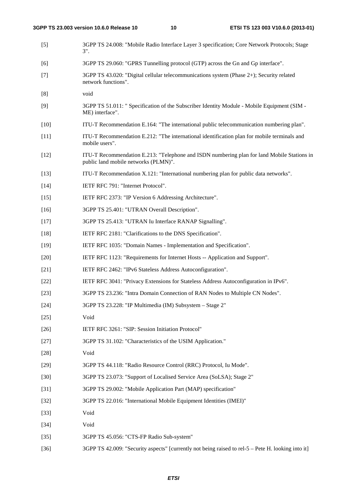| $[5]$  | 3GPP TS 24.008: "Mobile Radio Interface Layer 3 specification; Core Network Protocols; Stage<br>$3$ ".                             |
|--------|------------------------------------------------------------------------------------------------------------------------------------|
| [6]    | 3GPP TS 29.060: "GPRS Tunnelling protocol (GTP) across the Gn and Gp interface".                                                   |
| $[7]$  | 3GPP TS 43.020: "Digital cellular telecommunications system (Phase 2+); Security related<br>network functions".                    |
| [8]    | void                                                                                                                               |
| [9]    | 3GPP TS 51.011: " Specification of the Subscriber Identity Module - Mobile Equipment (SIM -<br>ME) interface".                     |
| $[10]$ | ITU-T Recommendation E.164: "The international public telecommunication numbering plan".                                           |
| $[11]$ | ITU-T Recommendation E.212: "The international identification plan for mobile terminals and<br>mobile users".                      |
| $[12]$ | ITU-T Recommendation E.213: "Telephone and ISDN numbering plan for land Mobile Stations in<br>public land mobile networks (PLMN)". |
| $[13]$ | ITU-T Recommendation X.121: "International numbering plan for public data networks".                                               |
| $[14]$ | IETF RFC 791: "Internet Protocol".                                                                                                 |
| $[15]$ | IETF RFC 2373: "IP Version 6 Addressing Architecture".                                                                             |
| $[16]$ | 3GPP TS 25.401: "UTRAN Overall Description".                                                                                       |
| $[17]$ | 3GPP TS 25.413: "UTRAN Iu Interface RANAP Signalling".                                                                             |
| $[18]$ | IETF RFC 2181: "Clarifications to the DNS Specification".                                                                          |
| $[19]$ | IETF RFC 1035: "Domain Names - Implementation and Specification".                                                                  |
| $[20]$ | IETF RFC 1123: "Requirements for Internet Hosts -- Application and Support".                                                       |
| $[21]$ | IETF RFC 2462: "IPv6 Stateless Address Autoconfiguration".                                                                         |
| $[22]$ | IETF RFC 3041: "Privacy Extensions for Stateless Address Autoconfiguration in IPv6".                                               |
| $[23]$ | 3GPP TS 23.236: "Intra Domain Connection of RAN Nodes to Multiple CN Nodes".                                                       |
| $[24]$ | 3GPP TS 23.228: "IP Multimedia (IM) Subsystem - Stage 2"                                                                           |
| $[25]$ | Void                                                                                                                               |
| $[26]$ | IETF RFC 3261: "SIP: Session Initiation Protocol"                                                                                  |
| $[27]$ | 3GPP TS 31.102: "Characteristics of the USIM Application."                                                                         |
| $[28]$ | Void                                                                                                                               |
| $[29]$ | 3GPP TS 44.118: "Radio Resource Control (RRC) Protocol, Iu Mode".                                                                  |
| $[30]$ | 3GPP TS 23.073: "Support of Localised Service Area (SoLSA); Stage 2"                                                               |
| $[31]$ | 3GPP TS 29.002: "Mobile Application Part (MAP) specification"                                                                      |
| $[32]$ | 3GPP TS 22.016: "International Mobile Equipment Identities (IMEI)"                                                                 |
| $[33]$ | Void                                                                                                                               |
| $[34]$ | Void                                                                                                                               |
| $[35]$ | 3GPP TS 45.056: "CTS-FP Radio Sub-system"                                                                                          |
| $[36]$ | 3GPP TS 42.009: "Security aspects" [currently not being raised to rel-5 – Pete H. looking into it]                                 |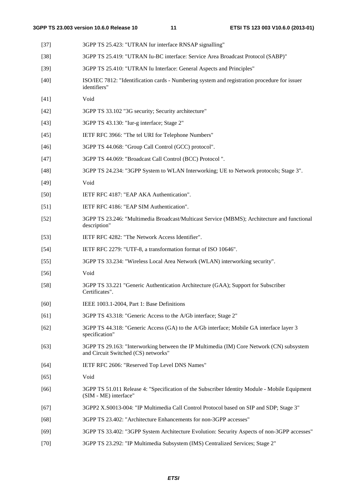| $[37]$ | 3GPP TS 25.423: "UTRAN Iur interface RNSAP signalling"                                                                          |
|--------|---------------------------------------------------------------------------------------------------------------------------------|
| $[38]$ | 3GPP TS 25.419: "UTRAN Iu-BC interface: Service Area Broadcast Protocol (SABP)"                                                 |
| $[39]$ | 3GPP TS 25.410: "UTRAN Iu Interface: General Aspects and Principles"                                                            |
| $[40]$ | ISO/IEC 7812: "Identification cards - Numbering system and registration procedure for issuer<br>identifiers"                    |
| $[41]$ | Void                                                                                                                            |
| $[42]$ | 3GPP TS 33.102 "3G security; Security architecture"                                                                             |
| $[43]$ | 3GPP TS 43.130: "Iur-g interface; Stage 2"                                                                                      |
| $[45]$ | IETF RFC 3966: "The tel URI for Telephone Numbers"                                                                              |
| $[46]$ | 3GPP TS 44.068: "Group Call Control (GCC) protocol".                                                                            |
| $[47]$ | 3GPP TS 44.069: "Broadcast Call Control (BCC) Protocol".                                                                        |
| $[48]$ | 3GPP TS 24.234: "3GPP System to WLAN Interworking; UE to Network protocols; Stage 3".                                           |
| $[49]$ | Void                                                                                                                            |
| $[50]$ | IETF RFC 4187: "EAP AKA Authentication".                                                                                        |
| $[51]$ | IETF RFC 4186: "EAP SIM Authentication".                                                                                        |
| $[52]$ | 3GPP TS 23.246: "Multimedia Broadcast/Multicast Service (MBMS); Architecture and functional<br>description"                     |
| $[53]$ | IETF RFC 4282: "The Network Access Identifier".                                                                                 |
| $[54]$ | IETF RFC 2279: "UTF-8, a transformation format of ISO 10646".                                                                   |
| $[55]$ | 3GPP TS 33.234: "Wireless Local Area Network (WLAN) interworking security".                                                     |
| $[56]$ | Void                                                                                                                            |
| $[58]$ | 3GPP TS 33.221 "Generic Authentication Architecture (GAA); Support for Subscriber<br>Certificates".                             |
| [60]   | IEEE 1003.1-2004, Part 1: Base Definitions                                                                                      |
| [61]   | 3GPP TS 43.318: "Generic Access to the A/Gb interface; Stage 2"                                                                 |
| $[62]$ | 3GPP TS 44.318: "Generic Access (GA) to the A/Gb interface; Mobile GA interface layer 3<br>specification"                       |
| $[63]$ | 3GPP TS 29.163: "Interworking between the IP Multimedia (IM) Core Network (CN) subsystem<br>and Circuit Switched (CS) networks" |
| [64]   | IETF RFC 2606: "Reserved Top Level DNS Names"                                                                                   |
| $[65]$ | Void                                                                                                                            |
| [66]   | 3GPP TS 51.011 Release 4: "Specification of the Subscriber Identity Module - Mobile Equipment<br>(SIM - ME) interface"          |
| $[67]$ | 3GPP2 X.S0013-004: "IP Multimedia Call Control Protocol based on SIP and SDP; Stage 3"                                          |
| $[68]$ | 3GPP TS 23.402: "Architecture Enhancements for non-3GPP accesses"                                                               |
| $[69]$ | 3GPP TS 33.402: "3GPP System Architecture Evolution: Security Aspects of non-3GPP accesses"                                     |

[70] 3GPP TS 23.292: "IP Multimedia Subsystem (IMS) Centralized Services; Stage 2"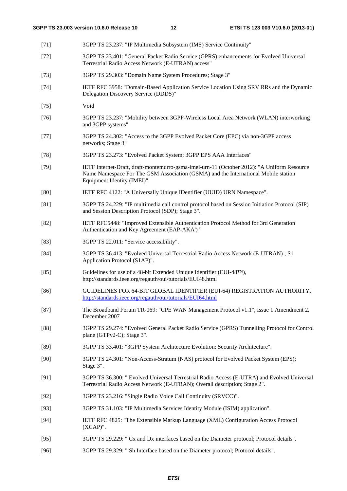- [71] 3GPP TS 23.237: "IP Multimedia Subsystem (IMS) Service Continuity" [72] 3GPP TS 23.401: "General Packet Radio Service (GPRS) enhancements for Evolved Universal Terrestrial Radio Access Network (E-UTRAN) access" [73] 3GPP TS 29.303: "Domain Name System Procedures; Stage 3" [74] IETF RFC 3958: "Domain-Based Application Service Location Using SRV RRs and the Dynamic Delegation Discovery Service (DDDS)" [75] Void [76] 3GPP TS 23.237: "Mobility between 3GPP-Wireless Local Area Network (WLAN) interworking and 3GPP systems" [77] 3GPP TS 24.302: "Access to the 3GPP Evolved Packet Core (EPC) via non-3GPP access networks; Stage 3" [78] 3GPP TS 23.273: "Evolved Packet System; 3GPP EPS AAA Interfaces" [79] IETF Internet-Draft, draft-montemurro-gsma-imei-urn-11 (October 2012): "A Uniform Resource Name Namespace For The GSM Association (GSMA) and the International Mobile station Equipment Identity (IMEI)". [80] IETF RFC 4122: "A Universally Unique IDentifier (UUID) URN Namespace". [81] 3GPP TS 24.229: "IP multimedia call control protocol based on Session Initiation Protocol (SIP) and Session Description Protocol (SDP); Stage 3". [82] IETF RFC5448: "Improved Extensible Authentication Protocol Method for 3rd Generation Authentication and Key Agreement (EAP-AKA') " [83] 3GPP TS 22.011: "Service accessibility". [84] 3GPP TS 36.413: "Evolved Universal Terrestrial Radio Access Network (E-UTRAN) ; S1 Application Protocol (S1AP)". [85] Guidelines for use of a 48-bit Extended Unique Identifier (EUI-48<sup>TM</sup>), http://standards.ieee.org/regauth/oui/tutorials/EUI48.html [86] GUIDELINES FOR 64-BIT GLOBAL IDENTIFIER (EUI-64) REGISTRATION AUTHORITY, <http://standards.ieee.org/regauth/oui/tutorials/EUI64.html> [87] The Broadband Forum TR-069: "CPE WAN Management Protocol v1.1", Issue 1 Amendment 2, December 2007 [88] 3GPP TS 29.274: "Evolved General Packet Radio Service (GPRS) Tunnelling Protocol for Control plane (GTPv2-C); Stage 3". [89] 3GPP TS 33.401: "3GPP System Architecture Evolution: Security Architecture". [90] 3GPP TS 24.301: "Non-Access-Stratum (NAS) protocol for Evolved Packet System (EPS); Stage 3". [91] 3GPP TS 36.300: " Evolved Universal Terrestrial Radio Access (E-UTRA) and Evolved Universal Terrestrial Radio Access Network (E-UTRAN); Overall description; Stage 2". [92] 3GPP TS 23.216: "Single Radio Voice Call Continuity (SRVCC)". [93] 3GPP TS 31.103: "IP Multimedia Services Identity Module (ISIM) application". [94] IETF RFC 4825: "The Extensible Markup Language (XML) Configuration Access Protocol (XCAP)". [95] 3GPP TS 29.229: " Cx and Dx interfaces based on the Diameter protocol; Protocol details".
- [96] 3GPP TS 29.329: " Sh Interface based on the Diameter protocol; Protocol details".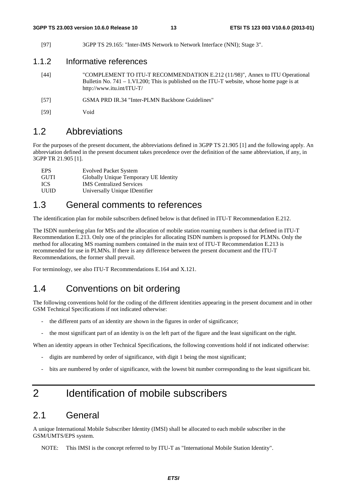[97] 3GPP TS 29.165: "Inter-IMS Network to Network Interface (NNI); Stage 3".

#### 1.1.2 Informative references

- [44] "COMPLEMENT TO ITU-T RECOMMENDATION E.212 (11/98)", Annex to ITU Operational Bulletin No. 741 – 1.VI.200; This is published on the ITU-T website, whose home page is at http://www.itu.int/ITU-T/
- [57] GSMA PRD IR.34 "Inter-PLMN Backbone Guidelines"
- [59] Void

#### 1.2 Abbreviations

For the purposes of the present document, the abbreviations defined in 3GPP TS 21.905 [1] and the following apply. An abbreviation defined in the present document takes precedence over the definition of the same abbreviation, if any, in 3GPP TR 21.905 [1].

| <b>EPS</b>  | <b>Evolved Packet System</b>          |
|-------------|---------------------------------------|
| <b>GUTI</b> | Globally Unique Temporary UE Identity |
| ICS.        | <b>IMS</b> Centralized Services       |
| UUID        | Universally Unique IDentifier         |

### 1.3 General comments to references

The identification plan for mobile subscribers defined below is that defined in ITU-T Recommendation E.212.

The ISDN numbering plan for MSs and the allocation of mobile station roaming numbers is that defined in ITU-T Recommendation E.213. Only one of the principles for allocating ISDN numbers is proposed for PLMNs. Only the method for allocating MS roaming numbers contained in the main text of ITU-T Recommendation E.213 is recommended for use in PLMNs. If there is any difference between the present document and the ITU-T Recommendations, the former shall prevail.

For terminology, see also ITU-T Recommendations E.164 and X.121.

### 1.4 Conventions on bit ordering

The following conventions hold for the coding of the different identities appearing in the present document and in other GSM Technical Specifications if not indicated otherwise:

- the different parts of an identity are shown in the figures in order of significance;
- the most significant part of an identity is on the left part of the figure and the least significant on the right.

When an identity appears in other Technical Specifications, the following conventions hold if not indicated otherwise:

- digits are numbered by order of significance, with digit 1 being the most significant;
- bits are numbered by order of significance, with the lowest bit number corresponding to the least significant bit.

# 2 Identification of mobile subscribers

#### 2.1 General

A unique International Mobile Subscriber Identity (IMSI) shall be allocated to each mobile subscriber in the GSM/UMTS/EPS system.

NOTE: This IMSI is the concept referred to by ITU-T as "International Mobile Station Identity".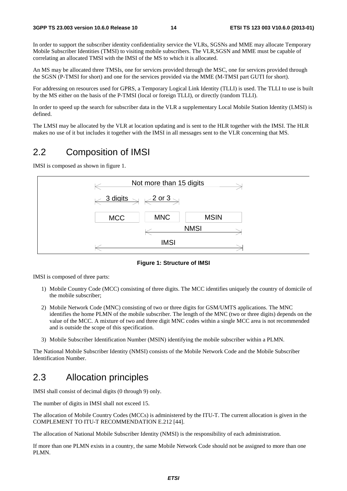In order to support the subscriber identity confidentiality service the VLRs, SGSNs and MME may allocate Temporary Mobile Subscriber Identities (TMSI) to visiting mobile subscribers. The VLR,SGSN and MME must be capable of correlating an allocated TMSI with the IMSI of the MS to which it is allocated.

An MS may be allocated three TMSIs, one for services provided through the MSC, one for services provided through the SGSN (P-TMSI for short) and one for the services provided via the MME (M-TMSI part GUTI for short).

For addressing on resources used for GPRS, a Temporary Logical Link Identity (TLLI) is used. The TLLI to use is built by the MS either on the basis of the P-TMSI (local or foreign TLLI), or directly (random TLLI).

In order to speed up the search for subscriber data in the VLR a supplementary Local Mobile Station Identity (LMSI) is defined.

The LMSI may be allocated by the VLR at location updating and is sent to the HLR together with the IMSI. The HLR makes no use of it but includes it together with the IMSI in all messages sent to the VLR concerning that MS.

### 2.2 Composition of IMSI

IMSI is composed as shown in figure 1.



**Figure 1: Structure of IMSI** 

IMSI is composed of three parts:

- 1) Mobile Country Code (MCC) consisting of three digits. The MCC identifies uniquely the country of domicile of the mobile subscriber;
- 2) Mobile Network Code (MNC) consisting of two or three digits for GSM/UMTS applications. The MNC identifies the home PLMN of the mobile subscriber. The length of the MNC (two or three digits) depends on the value of the MCC. A mixture of two and three digit MNC codes within a single MCC area is not recommended and is outside the scope of this specification.
- 3) Mobile Subscriber Identification Number (MSIN) identifying the mobile subscriber within a PLMN.

The National Mobile Subscriber Identity (NMSI) consists of the Mobile Network Code and the Mobile Subscriber Identification Number.

### 2.3 Allocation principles

IMSI shall consist of decimal digits (0 through 9) only.

The number of digits in IMSI shall not exceed 15.

The allocation of Mobile Country Codes (MCCs) is administered by the ITU-T. The current allocation is given in the COMPLEMENT TO ITU-T RECOMMENDATION E.212 [44].

The allocation of National Mobile Subscriber Identity (NMSI) is the responsibility of each administration.

If more than one PLMN exists in a country, the same Mobile Network Code should not be assigned to more than one PLMN.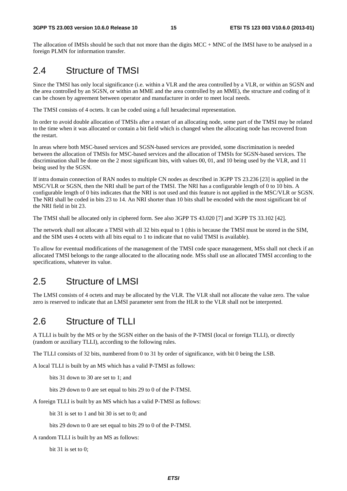The allocation of IMSIs should be such that not more than the digits MCC + MNC of the IMSI have to be analysed in a foreign PLMN for information transfer.

### 2.4 Structure of TMSI

Since the TMSI has only local significance (i.e. within a VLR and the area controlled by a VLR, or within an SGSN and the area controlled by an SGSN, or within an MME and the area controlled by an MME), the structure and coding of it can be chosen by agreement between operator and manufacturer in order to meet local needs.

The TMSI consists of 4 octets. It can be coded using a full hexadecimal representation.

In order to avoid double allocation of TMSIs after a restart of an allocating node, some part of the TMSI may be related to the time when it was allocated or contain a bit field which is changed when the allocating node has recovered from the restart.

In areas where both MSC-based services and SGSN-based services are provided, some discrimination is needed between the allocation of TMSIs for MSC-based services and the allocation of TMSIs for SGSN-based services. The discrimination shall be done on the 2 most significant bits, with values 00, 01, and 10 being used by the VLR, and 11 being used by the SGSN.

If intra domain connection of RAN nodes to multiple CN nodes as described in 3GPP TS 23.236 [23] is applied in the MSC/VLR or SGSN, then the NRI shall be part of the TMSI. The NRI has a configurable length of 0 to 10 bits. A configurable length of 0 bits indicates that the NRI is not used and this feature is not applied in the MSC/VLR or SGSN. The NRI shall be coded in bits 23 to 14. An NRI shorter than 10 bits shall be encoded with the most significant bit of the NRI field in bit 23.

The TMSI shall be allocated only in ciphered form. See also 3GPP TS 43.020 [7] and 3GPP TS 33.102 [42].

The network shall not allocate a TMSI with all 32 bits equal to 1 (this is because the TMSI must be stored in the SIM, and the SIM uses 4 octets with all bits equal to 1 to indicate that no valid TMSI is available).

To allow for eventual modifications of the management of the TMSI code space management, MSs shall not check if an allocated TMSI belongs to the range allocated to the allocating node. MSs shall use an allocated TMSI according to the specifications, whatever its value.

### 2.5 Structure of LMSI

The LMSI consists of 4 octets and may be allocated by the VLR. The VLR shall not allocate the value zero. The value zero is reserved to indicate that an LMSI parameter sent from the HLR to the VLR shall not be interpreted.

### 2.6 Structure of TLLI

A TLLI is built by the MS or by the SGSN either on the basis of the P-TMSI (local or foreign TLLI), or directly (random or auxiliary TLLI), according to the following rules.

The TLLI consists of 32 bits, numbered from 0 to 31 by order of significance, with bit 0 being the LSB.

A local TLLI is built by an MS which has a valid P-TMSI as follows:

bits 31 down to 30 are set to 1; and

bits 29 down to 0 are set equal to bits 29 to 0 of the P-TMSI.

A foreign TLLI is built by an MS which has a valid P-TMSI as follows:

bit 31 is set to 1 and bit 30 is set to 0; and

bits 29 down to 0 are set equal to bits 29 to 0 of the P-TMSI.

A random TLLI is built by an MS as follows:

bit 31 is set to 0;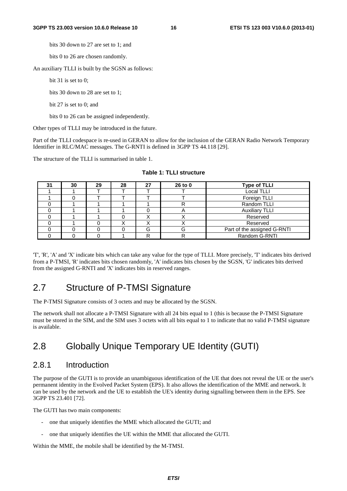bits 30 down to 27 are set to 1; and

bits 0 to 26 are chosen randomly.

An auxiliary TLLI is built by the SGSN as follows:

bit 31 is set to 0:

bits 30 down to 28 are set to 1;

bit 27 is set to 0; and

bits 0 to 26 can be assigned independently.

Other types of TLLI may be introduced in the future.

Part of the TLLI codespace is re-used in GERAN to allow for the inclusion of the GERAN Radio Network Temporary Identifier in RLC/MAC messages. The G-RNTI is defined in 3GPP TS 44.118 [29].

The structure of the TLLI is summarised in table 1.

| 31 | 30 | 29 | 28 | 27 | 26 to 0 | <b>Type of TLLI</b>         |
|----|----|----|----|----|---------|-----------------------------|
|    |    |    |    |    |         | <b>Local TLLI</b>           |
|    |    |    |    |    |         | Foreign TLLI                |
|    |    |    |    |    |         | Random TLLI                 |
|    |    |    |    |    |         | <b>Auxiliary TLLI</b>       |
|    |    |    |    | ۰. |         | Reserved                    |
|    |    |    |    | v  | ⌒       | Reserved                    |
|    |    |    |    | G  | G       | Part of the assigned G-RNTI |
|    |    |    |    | D  | R       | Random G-RNTI               |

|  |  |  | Table 1: TLLI structure |
|--|--|--|-------------------------|
|--|--|--|-------------------------|

'T', 'R', 'A' and 'X' indicate bits which can take any value for the type of TLLI. More precisely, 'T' indicates bits derived from a P-TMSI, 'R' indicates bits chosen randomly, 'A' indicates bits chosen by the SGSN, 'G' indicates bits derived from the assigned G-RNTI and 'X' indicates bits in reserved ranges.

### 2.7 Structure of P-TMSI Signature

The P-TMSI Signature consists of 3 octets and may be allocated by the SGSN.

The network shall not allocate a P-TMSI Signature with all 24 bits equal to 1 (this is because the P-TMSI Signature must be stored in the SIM, and the SIM uses 3 octets with all bits equal to 1 to indicate that no valid P-TMSI signature is available.

# 2.8 Globally Unique Temporary UE Identity (GUTI)

#### 2.8.1 Introduction

The purpose of the GUTI is to provide an unambiguous identification of the UE that does not reveal the UE or the user's permanent identity in the Evolved Packet System (EPS). It also allows the identification of the MME and network. It can be used by the network and the UE to establish the UE's identity during signalling between them in the EPS. See 3GPP TS 23.401 [72].

The GUTI has two main components:

- one that uniquely identifies the MME which allocated the GUTI; and
- one that uniquely identifies the UE within the MME that allocated the GUTI.

Within the MME, the mobile shall be identified by the M-TMSI.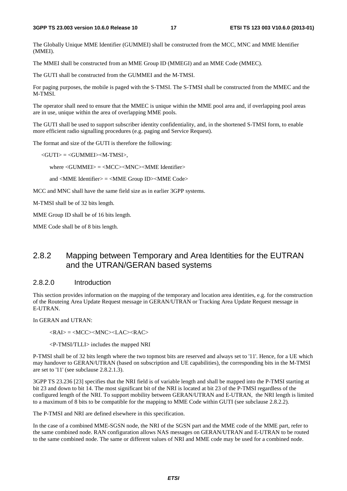The Globally Unique MME Identifier (GUMMEI) shall be constructed from the MCC, MNC and MME Identifier (MMEI).

The MMEI shall be constructed from an MME Group ID (MMEGI) and an MME Code (MMEC).

The GUTI shall be constructed from the GUMMEI and the M-TMSI.

For paging purposes, the mobile is paged with the S-TMSI. The S-TMSI shall be constructed from the MMEC and the M-TMSI.

The operator shall need to ensure that the MMEC is unique within the MME pool area and, if overlapping pool areas are in use, unique within the area of overlapping MME pools.

The GUTI shall be used to support subscriber identity confidentiality, and, in the shortened S-TMSI form, to enable more efficient radio signalling procedures (e.g. paging and Service Request).

The format and size of the GUTI is therefore the following:

 $\langle$ GUTI $\rangle$  =  $\langle$ GUMMEI $>$ M-TMSI $>$ ,

where <GUMMEI> = <MCC><MNC><MME Identifier>

and <MME Identifier> = <MME Group ID><MME Code>

MCC and MNC shall have the same field size as in earlier 3GPP systems.

M-TMSI shall be of 32 bits length.

MME Group ID shall be of 16 bits length.

MME Code shall be of 8 bits length.

#### 2.8.2 Mapping between Temporary and Area Identities for the EUTRAN and the UTRAN/GERAN based systems

#### 2.8.2.0 Introduction

This section provides information on the mapping of the temporary and location area identities, e.g. for the construction of the Routeing Area Update Request message in GERAN/UTRAN or Tracking Area Update Request message in E-UTRAN.

In GERAN and UTRAN:

 $\langle RAI \rangle = \langle MCC \rangle \langle MNC \rangle \langle LAC \rangle \langle RAC \rangle$ 

<P-TMSI/TLLI> includes the mapped NRI

P-TMSI shall be of 32 bits length where the two topmost bits are reserved and always set to '11'. Hence, for a UE which may handover to GERAN/UTRAN (based on subscription and UE capabilities), the corresponding bits in the M-TMSI are set to '11' (see subclause 2.8.2.1.3).

3GPP TS 23.236 [23] specifies that the NRI field is of variable length and shall be mapped into the P-TMSI starting at bit 23 and down to bit 14. The most significant bit of the NRI is located at bit 23 of the P-TMSI regardless of the configured length of the NRI. To support mobility between GERAN/UTRAN and E-UTRAN, the NRI length is limited to a maximum of 8 bits to be compatible for the mapping to MME Code within GUTI (see subclause 2.8.2.2).

The P-TMSI and NRI are defined elsewhere in this specification.

In the case of a combined MME-SGSN node, the NRI of the SGSN part and the MME code of the MME part, refer to the same combined node. RAN configuration allows NAS messages on GERAN/UTRAN and E-UTRAN to be routed to the same combined node. The same or different values of NRI and MME code may be used for a combined node.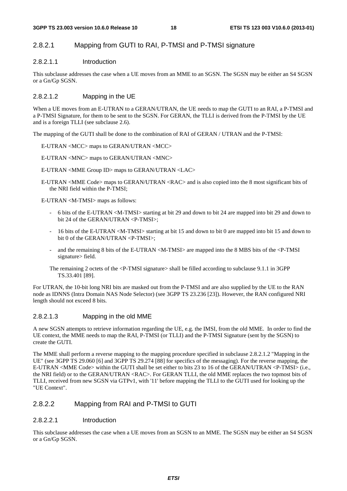#### 2.8.2.1 Mapping from GUTI to RAI, P-TMSI and P-TMSI signature

#### 2.8.2.1.1 Introduction

This subclause addresses the case when a UE moves from an MME to an SGSN. The SGSN may be either an S4 SGSN or a Gn/Gp SGSN.

#### 2.8.2.1.2 Mapping in the UE

When a UE moves from an E-UTRAN to a GERAN/UTRAN, the UE needs to map the GUTI to an RAI, a P-TMSI and a P-TMSI Signature, for them to be sent to the SGSN. For GERAN, the TLLI is derived from the P-TMSI by the UE and is a foreign TLLI (see subclause 2.6).

The mapping of the GUTI shall be done to the combination of RAI of GERAN / UTRAN and the P-TMSI:

E-UTRAN <MCC> maps to GERAN/UTRAN <MCC>

E-UTRAN <MNC> maps to GERAN/UTRAN <MNC>

E-UTRAN <MME Group ID> maps to GERAN/UTRAN <LAC>

E-UTRAN <MME Code> maps to GERAN/UTRAN <RAC> and is also copied into the 8 most significant bits of the NRI field within the P-TMSI;

E-UTRAN <M-TMSI> maps as follows:

- 6 bits of the E-UTRAN <M-TMSI> starting at bit 29 and down to bit 24 are mapped into bit 29 and down to bit 24 of the GERAN/UTRAN <P-TMSI>;
- 16 bits of the E-UTRAN <M-TMSI> starting at bit 15 and down to bit 0 are mapped into bit 15 and down to bit 0 of the GERAN/UTRAN <P-TMSI>;
- and the remaining 8 bits of the E-UTRAN <M-TMSI> are mapped into the 8 MBS bits of the <P-TMSI signature> field.
- The remaining 2 octets of the <P-TMSI signature> shall be filled according to subclause 9.1.1 in 3GPP TS.33.401 [89].

For UTRAN, the 10-bit long NRI bits are masked out from the P-TMSI and are also supplied by the UE to the RAN node as IDNNS (Intra Domain NAS Node Selector) (see 3GPP TS 23.236 [23]). However, the RAN configured NRI length should not exceed 8 bits.

#### 2.8.2.1.3 Mapping in the old MME

A new SGSN attempts to retrieve information regarding the UE, e.g. the IMSI, from the old MME. In order to find the UE context, the MME needs to map the RAI, P-TMSI (or TLLI) and the P-TMSI Signature (sent by the SGSN) to create the GUTI.

The MME shall perform a reverse mapping to the mapping procedure specified in subclause 2.8.2.1.2 "Mapping in the UE" (see 3GPP TS 29.060 [6] and 3GPP TS 29.274 [88] for specifics of the messaging). For the reverse mapping, the E-UTRAN <MME Code> within the GUTI shall be set either to bits 23 to 16 of the GERAN/UTRAN <P-TMSI> (i.e., the NRI field) or to the GERAN/UTRAN <RAC>. For GERAN TLLI, the old MME replaces the two topmost bits of TLLI, received from new SGSN via GTPv1, with '11' before mapping the TLLI to the GUTI used for looking up the "UE Context".

#### 2.8.2.2 Mapping from RAI and P-TMSI to GUTI

#### 2.8.2.2.1 Introduction

This subclause addresses the case when a UE moves from an SGSN to an MME. The SGSN may be either an S4 SGSN or a Gn/Gp SGSN.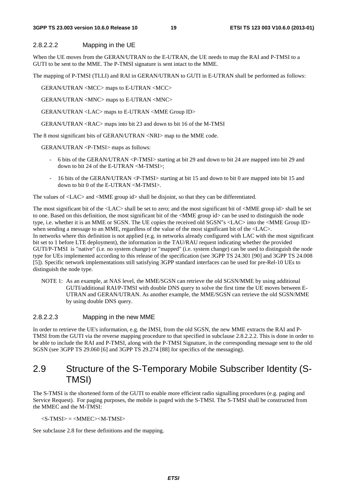#### **3GPP TS 23.003 version 10.6.0 Release 10 19 ETSI TS 123 003 V10.6.0 (2013-01)**

#### 2.8.2.2.2 Mapping in the UE

When the UE moves from the GERAN/UTRAN to the E-UTRAN, the UE needs to map the RAI and P-TMSI to a GUTI to be sent to the MME. The P-TMSI signature is sent intact to the MME.

The mapping of P-TMSI (TLLI) and RAI in GERAN/UTRAN to GUTI in E-UTRAN shall be performed as follows:

GERAN/UTRAN <MCC> maps to E-UTRAN <MCC>

GERAN/UTRAN <MNC> maps to E-UTRAN <MNC>

GERAN/UTRAN <LAC> maps to E-UTRAN <MME Group ID>

GERAN/UTRAN <RAC> maps into bit 23 and down to bit 16 of the M-TMSI

The 8 most significant bits of GERAN/UTRAN <NRI> map to the MME code.

GERAN/UTRAN <P-TMSI> maps as follows:

- 6 bits of the GERAN/UTRAN <P-TMSI> starting at bit 29 and down to bit 24 are mapped into bit 29 and down to bit 24 of the E-UTRAN <M-TMSI>;
- 16 bits of the GERAN/UTRAN <P-TMSI> starting at bit 15 and down to bit 0 are mapped into bit 15 and down to bit 0 of the E-UTRAN <M-TMSI>.

The values of <LAC> and <MME group id> shall be disjoint, so that they can be differentiated.

The most significant bit of the <LAC> shall be set to zero; and the most significant bit of <MME group id> shall be set to one. Based on this definition, the most significant bit of the <MME group id> can be used to distinguish the node type, i.e. whether it is an MME or SGSN. The UE copies the received old SGSN"s <LAC> into the <MME Group ID> when sending a message to an MME, regardless of the value of the most significant bit of the  $\langle$ LAC $>$ . In networks where this definition is not applied (e.g. in networks already configured with LAC with the most significant bit set to 1 before LTE deployment), the information in the TAU/RAU request indicating whether the provided GUTI/P-TMSI is "native" (i.e. no system change) or "mapped" (i.e. system change) can be used to distinguish the node type for UEs implemented according to this release of the specification (see 3GPP TS 24.301 [90] and 3GPP TS 24.008 [5]). Specific network implementations still satisfying 3GPP standard interfaces can be used for pre-Rel-10 UEs to distinguish the node type.

NOTE 1: As an example, at NAS level, the MME/SGSN can retrieve the old SGSN/MME by using additional GUTI/additional RAI/P-TMSI with double DNS query to solve the first time the UE moves between E-UTRAN and GERAN/UTRAN. As another example, the MME/SGSN can retrieve the old SGSN/MME by using double DNS query.

#### 2.8.2.2.3 Mapping in the new MME

In order to retrieve the UE's information, e.g. the IMSI, from the old SGSN, the new MME extracts the RAI and P-TMSI from the GUTI via the reverse mapping procedure to that specified in subclause 2.8.2.2.2. This is done in order to be able to include the RAI and P-TMSI, along with the P-TMSI Signature, in the corresponding message sent to the old SGSN (see 3GPP TS 29.060 [6] and 3GPP TS 29.274 [88] for specifics of the messaging).

### 2.9 Structure of the S-Temporary Mobile Subscriber Identity (S-TMSI)

The S-TMSI is the shortened form of the GUTI to enable more efficient radio signalling procedures (e.g. paging and Service Request). For paging purposes, the mobile is paged with the S-TMSI. The S-TMSI shall be constructed from the MMEC and the M-TMSI:

 $\langle$ S-TMSI $\rangle$  =  $\langle$ MMEC $\rangle$  $\langle$ M-TMSI $\rangle$ 

See subclause 2.8 for these definitions and the mapping.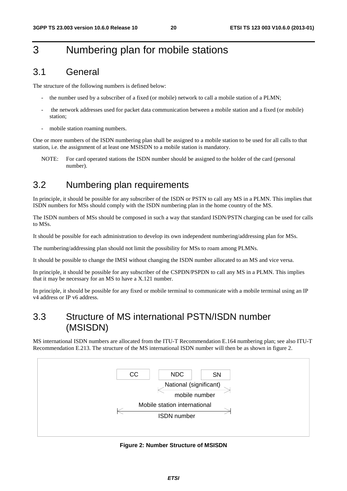# 3 Numbering plan for mobile stations

### 3.1 General

The structure of the following numbers is defined below:

- the number used by a subscriber of a fixed (or mobile) network to call a mobile station of a PLMN;
- the network addresses used for packet data communication between a mobile station and a fixed (or mobile) station;
- mobile station roaming numbers.

One or more numbers of the ISDN numbering plan shall be assigned to a mobile station to be used for all calls to that station, i.e. the assignment of at least one MSISDN to a mobile station is mandatory.

NOTE: For card operated stations the ISDN number should be assigned to the holder of the card (personal number).

# 3.2 Numbering plan requirements

In principle, it should be possible for any subscriber of the ISDN or PSTN to call any MS in a PLMN. This implies that ISDN numbers for MSs should comply with the ISDN numbering plan in the home country of the MS.

The ISDN numbers of MSs should be composed in such a way that standard ISDN/PSTN charging can be used for calls to MSs.

It should be possible for each administration to develop its own independent numbering/addressing plan for MSs.

The numbering/addressing plan should not limit the possibility for MSs to roam among PLMNs.

It should be possible to change the IMSI without changing the ISDN number allocated to an MS and vice versa.

In principle, it should be possible for any subscriber of the CSPDN/PSPDN to call any MS in a PLMN. This implies that it may be necessary for an MS to have a X.121 number.

In principle, it should be possible for any fixed or mobile terminal to communicate with a mobile terminal using an IP v4 address or IP v6 address.

### 3.3 Structure of MS international PSTN/ISDN number (MSISDN)

MS international ISDN numbers are allocated from the ITU-T Recommendation E.164 numbering plan; see also ITU-T Recommendation E.213. The structure of the MS international ISDN number will then be as shown in figure 2.



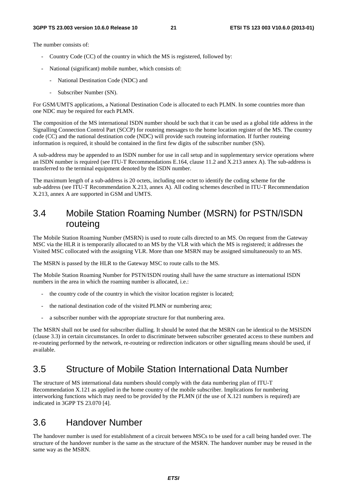The number consists of:

- Country Code (CC) of the country in which the MS is registered, followed by:
- National (significant) mobile number, which consists of:
	- National Destination Code (NDC) and
	- Subscriber Number (SN).

For GSM/UMTS applications, a National Destination Code is allocated to each PLMN. In some countries more than one NDC may be required for each PLMN.

The composition of the MS international ISDN number should be such that it can be used as a global title address in the Signalling Connection Control Part (SCCP) for routeing messages to the home location register of the MS. The country code (CC) and the national destination code (NDC) will provide such routeing information. If further routeing information is required, it should be contained in the first few digits of the subscriber number (SN).

A sub-address may be appended to an ISDN number for use in call setup and in supplementary service operations where an ISDN number is required (see ITU-T Recommendations E.164, clause 11.2 and X.213 annex A). The sub-address is transferred to the terminal equipment denoted by the ISDN number.

The maximum length of a sub-address is 20 octets, including one octet to identify the coding scheme for the sub-address (see ITU-T Recommendation X.213, annex A). All coding schemes described in ITU-T Recommendation X.213, annex A are supported in GSM and UMTS.

### 3.4 Mobile Station Roaming Number (MSRN) for PSTN/ISDN routeing

The Mobile Station Roaming Number (MSRN) is used to route calls directed to an MS. On request from the Gateway MSC via the HLR it is temporarily allocated to an MS by the VLR with which the MS is registered; it addresses the Visited MSC collocated with the assigning VLR. More than one MSRN may be assigned simultaneously to an MS.

The MSRN is passed by the HLR to the Gateway MSC to route calls to the MS.

The Mobile Station Roaming Number for PSTN/ISDN routing shall have the same structure as international ISDN numbers in the area in which the roaming number is allocated, i.e.:

- the country code of the country in which the visitor location register is located;
- the national destination code of the visited PLMN or numbering area;
- a subscriber number with the appropriate structure for that numbering area.

The MSRN shall not be used for subscriber dialling. It should be noted that the MSRN can be identical to the MSISDN (clause 3.3) in certain circumstances. In order to discriminate between subscriber generated access to these numbers and re-routeing performed by the network, re-routeing or redirection indicators or other signalling means should be used, if available.

### 3.5 Structure of Mobile Station International Data Number

The structure of MS international data numbers should comply with the data numbering plan of ITU-T Recommendation X.121 as applied in the home country of the mobile subscriber. Implications for numbering interworking functions which may need to be provided by the PLMN (if the use of X.121 numbers is required) are indicated in 3GPP TS 23.070 [4].

### 3.6 Handover Number

The handover number is used for establishment of a circuit between MSCs to be used for a call being handed over. The structure of the handover number is the same as the structure of the MSRN. The handover number may be reused in the same way as the MSRN.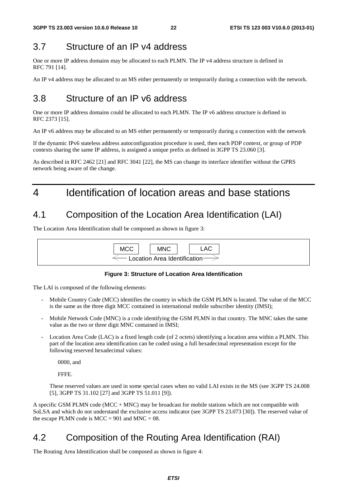# 3.7 Structure of an IP v4 address

One or more IP address domains may be allocated to each PLMN. The IP v4 address structure is defined in RFC 791 [14].

An IP v4 address may be allocated to an MS either permanently or temporarily during a connection with the network.

# 3.8 Structure of an IP v6 address

One or more IP address domains could be allocated to each PLMN. The IP v6 address structure is defined in RFC 2373 [15].

An IP v6 address may be allocated to an MS either permanently or temporarily during a connection with the network

If the dynamic IPv6 stateless address autoconfiguration procedure is used, then each PDP context, or group of PDP contexts sharing the same IP address, is assigned a unique prefix as defined in 3GPP TS 23.060 [3].

As described in RFC 2462 [21] and RFC 3041 [22], the MS can change its interface identifier without the GPRS network being aware of the change.

# 4 Identification of location areas and base stations

# 4.1 Composition of the Location Area Identification (LAI)

The Location Area Identification shall be composed as shown in figure 3:



#### **Figure 3: Structure of Location Area Identification**

The LAI is composed of the following elements:

- Mobile Country Code (MCC) identifies the country in which the GSM PLMN is located. The value of the MCC is the same as the three digit MCC contained in international mobile subscriber identity (IMSI);
- Mobile Network Code (MNC) is a code identifying the GSM PLMN in that country. The MNC takes the same value as the two or three digit MNC contained in IMSI;
- Location Area Code (LAC) is a fixed length code (of 2 octets) identifying a location area within a PLMN. This part of the location area identification can be coded using a full hexadecimal representation except for the following reserved hexadecimal values:

0000, and

FFFE.

 These reserved values are used in some special cases when no valid LAI exists in the MS (see 3GPP TS 24.008 [5], 3GPP TS 31.102 [27] and 3GPP TS 51.011 [9]).

A specific GSM PLMN code (MCC + MNC) may be broadcast for mobile stations which are not compatible with SoLSA and which do not understand the exclusive access indicator (see 3GPP TS 23.073 [30]). The reserved value of the escape PLMN code is  $MCC = 901$  and  $MNC = 08$ .

# 4.2 Composition of the Routing Area Identification (RAI)

The Routing Area Identification shall be composed as shown in figure 4: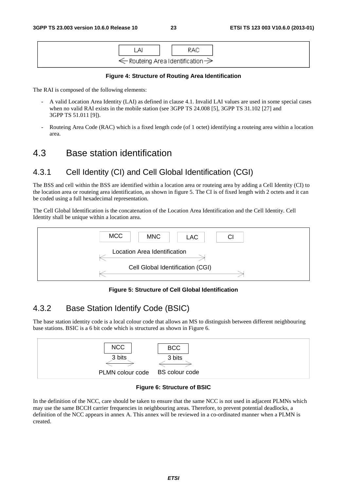

#### **Figure 4: Structure of Routing Area Identification**

The RAI is composed of the following elements:

- A valid Location Area Identity (LAI) as defined in clause 4.1. Invalid LAI values are used in some special cases when no valid RAI exists in the mobile station (see 3GPP TS 24.008 [5], 3GPP TS 31.102 [27] and 3GPP TS 51.011 [9]).
- Routeing Area Code (RAC) which is a fixed length code (of 1 octet) identifying a routeing area within a location area.

#### 4.3 Base station identification

#### 4.3.1 Cell Identity (CI) and Cell Global Identification (CGI)

The BSS and cell within the BSS are identified within a location area or routeing area by adding a Cell Identity (CI) to the location area or routeing area identification, as shown in figure 5. The CI is of fixed length with 2 octets and it can be coded using a full hexadecimal representation.

The Cell Global Identification is the concatenation of the Location Area Identification and the Cell Identity. Cell Identity shall be unique within a location area.



#### **Figure 5: Structure of Cell Global Identification**

#### 4.3.2 Base Station Identify Code (BSIC)

The base station identity code is a local colour code that allows an MS to distinguish between different neighbouring base stations. BSIC is a 6 bit code which is structured as shown in Figure 6.





In the definition of the NCC, care should be taken to ensure that the same NCC is not used in adjacent PLMNs which may use the same BCCH carrier frequencies in neighbouring areas. Therefore, to prevent potential deadlocks, a definition of the NCC appears in annex A. This annex will be reviewed in a co-ordinated manner when a PLMN is created.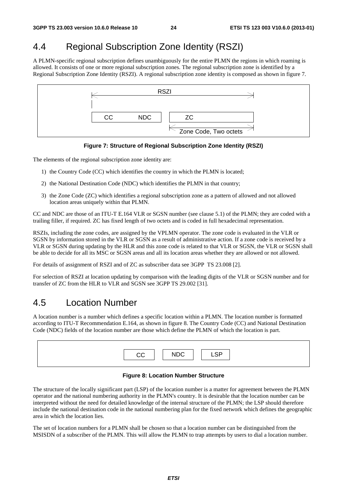# 4.4 Regional Subscription Zone Identity (RSZI)

A PLMN-specific regional subscription defines unambiguously for the entire PLMN the regions in which roaming is allowed. It consists of one or more regional subscription zones. The regional subscription zone is identified by a Regional Subscription Zone Identity (RSZI). A regional subscription zone identity is composed as shown in figure 7.



**Figure 7: Structure of Regional Subscription Zone Identity (RSZI)** 

The elements of the regional subscription zone identity are:

- 1) the Country Code (CC) which identifies the country in which the PLMN is located;
- 2) the National Destination Code (NDC) which identifies the PLMN in that country;
- 3) the Zone Code (ZC) which identifies a regional subscription zone as a pattern of allowed and not allowed location areas uniquely within that PLMN.

CC and NDC are those of an ITU-T E.164 VLR or SGSN number (see clause 5.1) of the PLMN; they are coded with a trailing filler, if required. ZC has fixed length of two octets and is coded in full hexadecimal representation.

RSZIs, including the zone codes, are assigned by the VPLMN operator. The zone code is evaluated in the VLR or SGSN by information stored in the VLR or SGSN as a result of administrative action. If a zone code is received by a VLR or SGSN during updating by the HLR and this zone code is related to that VLR or SGSN, the VLR or SGSN shall be able to decide for all its MSC or SGSN areas and all its location areas whether they are allowed or not allowed.

For details of assignment of RSZI and of ZC as subscriber data see 3GPP TS 23.008 [2].

For selection of RSZI at location updating by comparison with the leading digits of the VLR or SGSN number and for transfer of ZC from the HLR to VLR and SGSN see 3GPP TS 29.002 [31].

### 4.5 Location Number

A location number is a number which defines a specific location within a PLMN. The location number is formatted according to ITU-T Recommendation E.164, as shown in figure 8. The Country Code (CC) and National Destination Code (NDC) fields of the location number are those which define the PLMN of which the location is part.

| rr | אר ווח | $\cdot$ $\sim$ |
|----|--------|----------------|
|    |        |                |

#### **Figure 8: Location Number Structure**

The structure of the locally significant part (LSP) of the location number is a matter for agreement between the PLMN operator and the national numbering authority in the PLMN's country. It is desirable that the location number can be interpreted without the need for detailed knowledge of the internal structure of the PLMN; the LSP should therefore include the national destination code in the national numbering plan for the fixed network which defines the geographic area in which the location lies.

The set of location numbers for a PLMN shall be chosen so that a location number can be distinguished from the MSISDN of a subscriber of the PLMN. This will allow the PLMN to trap attempts by users to dial a location number.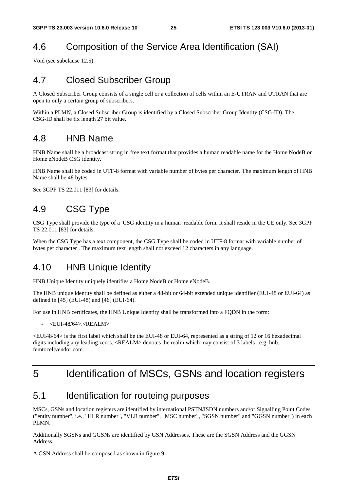# 4.6 Composition of the Service Area Identification (SAI)

Void (see subclause 12.5).

# 4.7 Closed Subscriber Group

A Closed Subscriber Group consists of a single cell or a collection of cells within an E-UTRAN and UTRAN that are open to only a certain group of subscribers.

Within a PLMN, a Closed Subscriber Group is identified by a Closed Subscriber Group Identity (CSG-ID). The CSG-ID shall be fix length 27 bit value.

### 4.8 HNB Name

HNB Name shall be a broadcast string in free text format that provides a human readable name for the Home NodeB or Home eNodeB CSG identity.

HNB Name shall be coded in UTF-8 format with variable number of bytes per character. The maximum length of HNB Name shall be 48 bytes.

See 3GPP TS 22.011 [83] for details.

# 4.9 CSG Type

CSG Type shall provide the type of a CSG identity in a human readable form. It shall reside in the UE only. See 3GPP TS 22.011 [83] for details.

When the CSG Type has a text component, the CSG Type shall be coded in UTF-8 format with variable number of bytes per character . The maximum text length shall not exceed 12 characters in any language.

### 4.10 HNB Unique Identity

HNB Unique Identity uniquely identifies a Home NodeB or Home eNodeB.

The HNB unique identity shall be defined as either a 48-bit or 64-bit extended unique identifier (EUI-48 or EUI-64) as defined in [45] (EUI-48) and [46] (EUI-64).

For use in HNB certificates, the HNB Unique Identity shall be transformed into a FQDN in the form:

 $\leq$ EUI-48/64> $\leq$ REALM $>$ 

<EUI48/64> is the first label which shall be the EUI-48 or EUI-64, represented as a string of 12 or 16 hexadecimal digits including any leading zeros. <REALM> denotes the realm which may consist of 3 labels , e.g. hnb. femtocellyendor.com

# 5 Identification of MSCs, GSNs and location registers

### 5.1 Identification for routeing purposes

MSCs, GSNs and location registers are identified by international PSTN/ISDN numbers and/or Signalling Point Codes ("entity number", i.e., "HLR number", "VLR number", "MSC number", "SGSN number" and "GGSN number") in each PLMN.

Additionally SGSNs and GGSNs are identified by GSN Addresses. These are the SGSN Address and the GGSN Address.

A GSN Address shall be composed as shown in figure 9.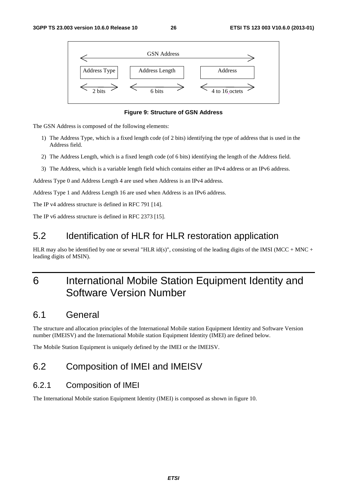

**Figure 9: Structure of GSN Address** 

The GSN Address is composed of the following elements:

- 1) The Address Type, which is a fixed length code (of 2 bits) identifying the type of address that is used in the Address field.
- 2) The Address Length, which is a fixed length code (of 6 bits) identifying the length of the Address field.
- 3) The Address, which is a variable length field which contains either an IPv4 address or an IPv6 address.

Address Type 0 and Address Length 4 are used when Address is an IPv4 address.

Address Type 1 and Address Length 16 are used when Address is an IPv6 address.

The IP v4 address structure is defined in RFC 791 [14].

The IP v6 address structure is defined in RFC 2373 [15].

### 5.2 Identification of HLR for HLR restoration application

HLR may also be identified by one or several "HLR id(s)", consisting of the leading digits of the IMSI (MCC + MNC + leading digits of MSIN).

# 6 International Mobile Station Equipment Identity and Software Version Number

### 6.1 General

The structure and allocation principles of the International Mobile station Equipment Identity and Software Version number (IMEISV) and the International Mobile station Equipment Identity (IMEI) are defined below.

The Mobile Station Equipment is uniquely defined by the IMEI or the IMEISV.

# 6.2 Composition of IMEI and IMEISV

#### 6.2.1 Composition of IMEI

The International Mobile station Equipment Identity (IMEI) is composed as shown in figure 10.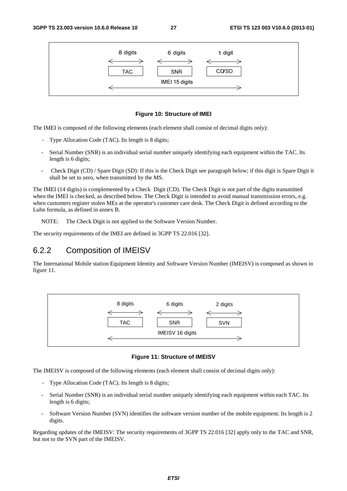

#### **Figure 10: Structure of IMEI**

The IMEI is composed of the following elements (each element shall consist of decimal digits only):

- Type Allocation Code (TAC). Its length is 8 digits;
- Serial Number (SNR) is an individual serial number uniquely identifying each equipment within the TAC. Its length is 6 digits;
- Check Digit (CD) / Spare Digit (SD): If this is the Check Digit see paragraph below; if this digit is Spare Digit it shall be set to zero, when transmitted by the MS.

The IMEI (14 digits) is complemented by a Check Digit (CD). The Check Digit is not part of the digits transmitted when the IMEI is checked, as described below. The Check Digit is intended to avoid manual transmission errors, e.g. when customers register stolen MEs at the operator's customer care desk. The Check Digit is defined according to the Luhn formula, as defined in annex B.

NOTE: The Check Digit is not applied to the Software Version Number.

The security requirements of the IMEI are defined in 3GPP TS 22.016 [32].

#### 6.2.2 Composition of IMEISV

The International Mobile station Equipment Identity and Software Version Number (IMEISV) is composed as shown in figure 11.



**Figure 11: Structure of IMEISV** 

The IMEISV is composed of the following elements (each element shall consist of decimal digits only):

- Type Allocation Code (TAC). Its length is 8 digits;
- Serial Number (SNR) is an individual serial number uniquely identifying each equipment within each TAC. Its length is 6 digits;
- Software Version Number (SVN) identifies the software version number of the mobile equipment. Its length is 2 digits.

Regarding updates of the IMEISV: The security requirements of 3GPP TS 22.016 [32] apply only to the TAC and SNR, but not to the SVN part of the IMEISV.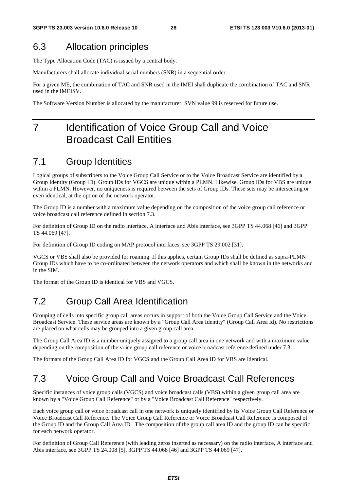### 6.3 Allocation principles

The Type Allocation Code (TAC) is issued by a central body.

Manufacturers shall allocate individual serial numbers (SNR) in a sequential order.

For a given ME, the combination of TAC and SNR used in the IMEI shall duplicate the combination of TAC and SNR used in the IMEISV.

The Software Version Number is allocated by the manufacturer. SVN value 99 is reserved for future use.

# 7 Identification of Voice Group Call and Voice Broadcast Call Entities

# 7.1 Group Identities

Logical groups of subscribers to the Voice Group Call Service or to the Voice Broadcast Service are identified by a Group Identity (Group ID). Group IDs for VGCS are unique within a PLMN. Likewise, Group IDs for VBS are unique within a PLMN. However, no uniqueness is required between the sets of Group IDs. These sets may be intersecting or even identical, at the option of the network operator.

The Group ID is a number with a maximum value depending on the composition of the voice group call reference or voice broadcast call reference defined in section 7.3.

For definition of Group ID on the radio interface, A interface and Abis interface, see 3GPP TS 44.068 [46] and 3GPP TS 44.069 [47].

For definition of Group ID coding on MAP protocol interfaces, see 3GPP TS 29.002 [31].

VGCS or VBS shall also be provided for roaming. If this applies, certain Group IDs shall be defined as supra-PLMN Group IDs which have to be co-ordinated between the network operators and which shall be known in the networks and in the SIM.

The format of the Group ID is identical for VBS and VGCS.

# 7.2 Group Call Area Identification

Grouping of cells into specific group call areas occurs in support of both the Voice Group Call Service and the Voice Broadcast Service. These service areas are known by a "Group Call Area Identity" (Group Call Area Id). No restrictions are placed on what cells may be grouped into a given group call area.

The Group Call Area ID is a number uniquely assigned to a group call area in one network and with a maximum value depending on the composition of the voice group call reference or voice broadcast reference defined under 7.3.

The formats of the Group Call Area ID for VGCS and the Group Call Area ID for VBS are identical.

### 7.3 Voice Group Call and Voice Broadcast Call References

Specific instances of voice group calls (VGCS) and voice broadcast calls (VBS) within a given group call area are known by a "Voice Group Call Reference" or by a "Voice Broadcast Call Reference" respectively.

Each voice group call or voice broadcast call in one network is uniquely identified by its Voice Group Call Reference or Voice Broadcast Call Reference. The Voice Group Call Reference or Voice Broadcast Call Reference is composed of the Group ID and the Group Call Area ID. The composition of the group call area ID and the group ID can be specific for each network operator.

For definition of Group Call Reference (with leading zeros inserted as necessary) on the radio interface, A interface and Abis interface, see 3GPP TS 24.008 [5], 3GPP TS 44.068 [46] and 3GPP TS 44.069 [47].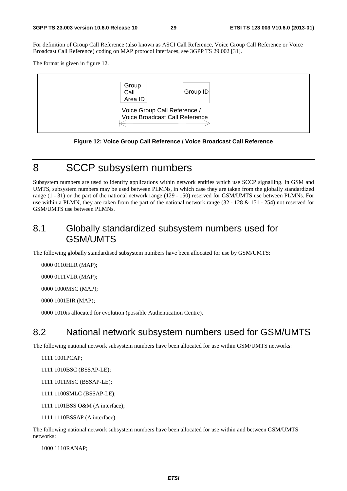For definition of Group Call Reference (also known as ASCI Call Reference, Voice Group Call Reference or Voice Broadcast Call Reference) coding on MAP protocol interfaces, see 3GPP TS 29.002 [31].

The format is given in figure 12.



**Figure 12: Voice Group Call Reference / Voice Broadcast Call Reference** 

### 8 SCCP subsystem numbers

Subsystem numbers are used to identify applications within network entities which use SCCP signalling. In GSM and UMTS, subsystem numbers may be used between PLMNs, in which case they are taken from the globally standardized range (1 - 31) or the part of the national network range (129 - 150) reserved for GSM/UMTS use between PLMNs. For use within a PLMN, they are taken from the part of the national network range (32 - 128 & 151 - 254) not reserved for GSM/UMTS use between PLMNs.

### 8.1 Globally standardized subsystem numbers used for GSM/UMTS

The following globally standardised subsystem numbers have been allocated for use by GSM/UMTS:

0000 0110 HLR (MAP);

0000 0111 VLR (MAP);

0000 1000 MSC (MAP);

0000 1001 EIR (MAP):

0000 1010 is allocated for evolution (possible Authentication Centre).

### 8.2 National network subsystem numbers used for GSM/UMTS

The following national network subsystem numbers have been allocated for use within GSM/UMTS networks:

1111 1001 PCAP;

- 1111 1010BSC (BSSAP-LE);
- 1111 1011 MSC (BSSAP-LE);
- 1111 1100 SMLC (BSSAP-LE);
- 1111 1101 BSS O&M (A interface);
- 1111 1110BSSAP (A interface).

The following national network subsystem numbers have been allocated for use within and between GSM/UMTS networks:

1000 1110 RANAP;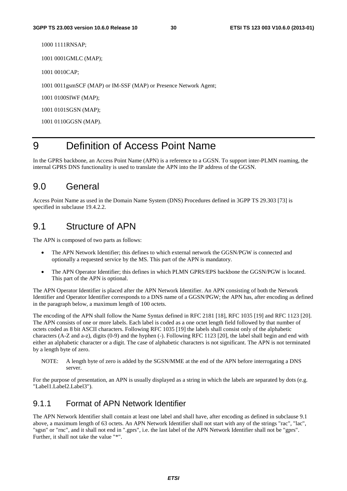1000 1111 RNSAP;

1001 0001 GMLC (MAP);

1001 0010 CAP;

1001 0011 gsmSCF (MAP) or IM-SSF (MAP) or Presence Network Agent;

1001 0100 SIWF (MAP);

1001 0101 SGSN (MAP);

1001 0110 GGSN (MAP).

# 9 Definition of Access Point Name

In the GPRS backbone, an Access Point Name (APN) is a reference to a GGSN. To support inter-PLMN roaming, the internal GPRS DNS functionality is used to translate the APN into the IP address of the GGSN.

#### 9.0 General

Access Point Name as used in the Domain Name System (DNS) Procedures defined in 3GPP TS 29.303 [73] is specified in subclause 19.4.2.2.

#### 9.1 Structure of APN

The APN is composed of two parts as follows:

- The APN Network Identifier; this defines to which external network the GGSN/PGW is connected and optionally a requested service by the MS. This part of the APN is mandatory.
- The APN Operator Identifier; this defines in which PLMN GPRS/EPS backbone the GGSN/PGW is located. This part of the APN is optional.

The APN Operator Identifier is placed after the APN Network Identifier. An APN consisting of both the Network Identifier and Operator Identifier corresponds to a DNS name of a GGSN/PGW; the APN has, after encoding as defined in the paragraph below, a maximum length of 100 octets.

The encoding of the APN shall follow the Name Syntax defined in RFC 2181 [18], RFC 1035 [19] and RFC 1123 [20]. The APN consists of one or more labels. Each label is coded as a one octet length field followed by that number of octets coded as 8 bit ASCII characters. Following RFC 1035 [19] the labels shall consist only of the alphabetic characters (A-Z and a-z), digits (0-9) and the hyphen (-). Following RFC 1123 [20], the label shall begin and end with either an alphabetic character or a digit. The case of alphabetic characters is not significant. The APN is not terminated by a length byte of zero.

NOTE: A length byte of zero is added by the SGSN/MME at the end of the APN before interrogating a DNS server.

For the purpose of presentation, an APN is usually displayed as a string in which the labels are separated by dots (e.g. "Label1.Label2.Label3").

#### 9.1.1 Format of APN Network Identifier

The APN Network Identifier shall contain at least one label and shall have, after encoding as defined in subclause 9.1 above, a maximum length of 63 octets. An APN Network Identifier shall not start with any of the strings "rac", "lac", "sgsn" or "rnc", and it shall not end in ".gprs", i.e. the last label of the APN Network Identifier shall not be "gprs". Further, it shall not take the value "\*".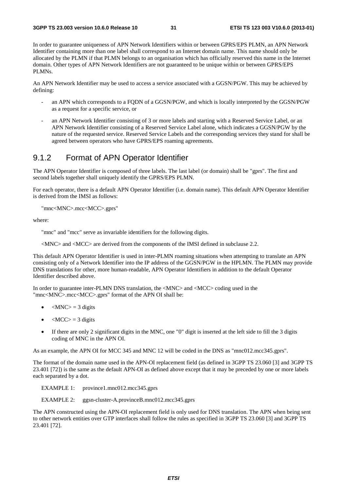In order to guarantee uniqueness of APN Network Identifiers within or between GPRS/EPS PLMN, an APN Network Identifier containing more than one label shall correspond to an Internet domain name. This name should only be allocated by the PLMN if that PLMN belongs to an organisation which has officially reserved this name in the Internet domain. Other types of APN Network Identifiers are not guaranteed to be unique within or between GPRS/EPS PLMNs.

An APN Network Identifier may be used to access a service associated with a GGSN/PGW. This may be achieved by defining:

- an APN which corresponds to a FQDN of a GGSN/PGW, and which is locally interpreted by the GGSN/PGW as a request for a specific service, or
- an APN Network Identifier consisting of 3 or more labels and starting with a Reserved Service Label, or an APN Network Identifier consisting of a Reserved Service Label alone, which indicates a GGSN/PGW by the nature of the requested service. Reserved Service Labels and the corresponding services they stand for shall be agreed between operators who have GPRS/EPS roaming agreements.

#### 9.1.2 Format of APN Operator Identifier

The APN Operator Identifier is composed of three labels. The last label (or domain) shall be "gprs". The first and second labels together shall uniquely identify the GPRS/EPS PLMN.

For each operator, there is a default APN Operator Identifier (i.e. domain name). This default APN Operator Identifier is derived from the IMSI as follows:

"mnc<MNC>.mcc<MCC>.gprs"

where:

"mnc" and "mcc" serve as invariable identifiers for the following digits.

<MNC> and <MCC> are derived from the components of the IMSI defined in subclause 2.2.

This default APN Operator Identifier is used in inter-PLMN roaming situations when attempting to translate an APN consisting only of a Network Identifier into the IP address of the GGSN/PGW in the HPLMN. The PLMN may provide DNS translations for other, more human-readable, APN Operator Identifiers in addition to the default Operator Identifier described above.

In order to guarantee inter-PLMN DNS translation, the <MNC> and <MCC> coding used in the "mnc<MNC>.mcc<MCC>.gprs" format of the APN OI shall be:

- $|MNC\rangle = 3$  digits
- $\langle MCC \rangle = 3$  digits
- If there are only 2 significant digits in the MNC, one "0" digit is inserted at the left side to fill the 3 digits coding of MNC in the APN OI.

As an example, the APN OI for MCC 345 and MNC 12 will be coded in the DNS as "mnc012.mcc345.gprs".

The format of the domain name used in the APN-OI replacement field (as defined in 3GPP TS 23.060 [3] and 3GPP TS 23.401 [72]) is the same as the default APN-OI as defined above except that it may be preceded by one or more labels each separated by a dot.

EXAMPLE 1: province1.mnc012.mcc345.gprs

EXAMPLE 2: ggsn-cluster-A.provinceB.mnc012.mcc345.gprs

The APN constructed using the APN-OI replacement field is only used for DNS translation. The APN when being sent to other network entities over GTP interfaces shall follow the rules as specified in 3GPP TS 23.060 [3] and 3GPP TS 23.401 [72].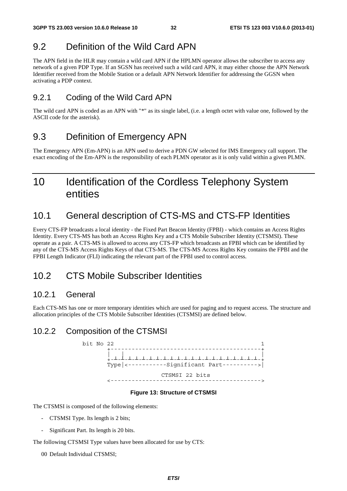# 9.2 Definition of the Wild Card APN

The APN field in the HLR may contain a wild card APN if the HPLMN operator allows the subscriber to access any network of a given PDP Type. If an SGSN has received such a wild card APN, it may either choose the APN Network Identifier received from the Mobile Station or a default APN Network Identifier for addressing the GGSN when activating a PDP context.

### 9.2.1 Coding of the Wild Card APN

The wild card APN is coded as an APN with "\*" as its single label, (i.e. a length octet with value one, followed by the ASCII code for the asterisk).

# 9.3 Definition of Emergency APN

The Emergency APN (Em-APN) is an APN used to derive a PDN GW selected for IMS Emergency call support. The exact encoding of the Em-APN is the responsibility of each PLMN operator as it is only valid within a given PLMN.

# 10 Identification of the Cordless Telephony System entities

# 10.1 General description of CTS-MS and CTS-FP Identities

Every CTS-FP broadcasts a local identity - the Fixed Part Beacon Identity (FPBI) - which contains an Access Rights Identity. Every CTS-MS has both an Access Rights Key and a CTS Mobile Subscriber Identity (CTSMSI). These operate as a pair. A CTS-MS is allowed to access any CTS-FP which broadcasts an FPBI which can be identified by any of the CTS-MS Access Rights Keys of that CTS-MS. The CTS-MS Access Rights Key contains the FPBI and the FPBI Length Indicator (FLI) indicating the relevant part of the FPBI used to control access.

# 10.2 CTS Mobile Subscriber Identities

#### 10.2.1 General

Each CTS-MS has one or more temporary identities which are used for paging and to request access. The structure and allocation principles of the CTS Mobile Subscriber Identities (CTSMSI) are defined below.

### 10.2.2 Composition of the CTSMSI

bit No  $22$   $1$  +-------------------------------------------+ | | |  $+$ - $\text{Type} \left| \texttt{-----Signification} \right. \text{Part} \left. \texttt{-----} \right\}$ CTSMSI 22 bits <------------------------------------------->

#### **Figure 13: Structure of CTSMSI**

The CTSMSI is composed of the following elements:

- CTSMSI Type. Its length is 2 bits;
- Significant Part. Its length is 20 bits.

The following CTSMSI Type values have been allocated for use by CTS:

00 Default Individual CTSMSI;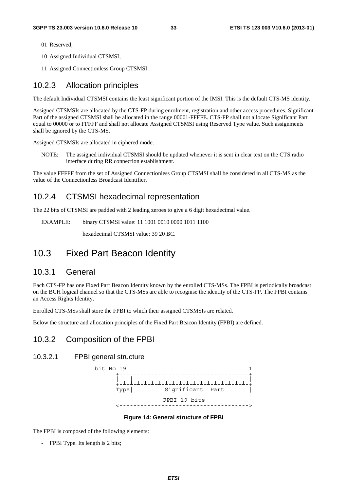- 01 Reserved;
- 10 Assigned Individual CTSMSI;
- 11 Assigned Connectionless Group CTSMSI.

#### 10.2.3 Allocation principles

The default Individual CTSMSI contains the least significant portion of the IMSI. This is the default CTS-MS identity.

Assigned CTSMSIs are allocated by the CTS-FP during enrolment, registration and other access procedures. Significant Part of the assigned CTSMSI shall be allocated in the range 00001-FFFFE. CTS-FP shall not allocate Significant Part equal to 00000 or to FFFFF and shall not allocate Assigned CTSMSI using Reserved Type value. Such assignments shall be ignored by the CTS-MS.

Assigned CTSMSIs are allocated in ciphered mode.

NOTE: The assigned individual CTSMSI should be updated whenever it is sent in clear text on the CTS radio interface during RR connection establishment.

The value FFFFF from the set of Assigned Connectionless Group CTSMSI shall be considered in all CTS-MS as the value of the Connectionless Broadcast Identifier.

#### 10.2.4 CTSMSI hexadecimal representation

The 22 bits of CTSMSI are padded with 2 leading zeroes to give a 6 digit hexadecimal value.

EXAMPLE: binary CTSMSI value: 11 1001 0010 0000 1011 1100

hexadecimal CTSMSI value: 39 20 BC.

### 10.3 Fixed Part Beacon Identity

#### 10.3.1 General

Each CTS-FP has one Fixed Part Beacon Identity known by the enrolled CTS-MSs. The FPBI is periodically broadcast on the BCH logical channel so that the CTS-MSs are able to recognise the identity of the CTS-FP. The FPBI contains an Access Rights Identity.

Enrolled CTS-MSs shall store the FPBI to which their assigned CTSMSIs are related.

Below the structure and allocation principles of the Fixed Part Beacon Identity (FPBI) are defined.

#### 10.3.2 Composition of the FPBI

#### 10.3.2.1 FPBI general structure



#### **Figure 14: General structure of FPBI**

The FPBI is composed of the following elements:

- FPBI Type. Its length is 2 bits;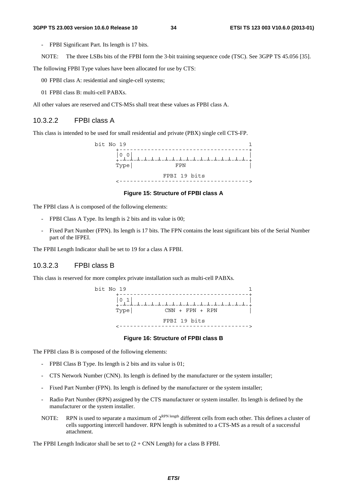- FPBI Significant Part. Its length is 17 bits.
- NOTE: The three LSBs bits of the FPBI form the 3-bit training sequence code (TSC). See 3GPP TS 45.056 [35].

The following FPBI Type values have been allocated for use by CTS:

- 00 FPBI class A: residential and single-cell systems;
- 01 FPBI class B: multi-cell PABXs.

All other values are reserved and CTS-MSs shall treat these values as FPBI class A.

#### 10.3.2.2 FPBI class A

This class is intended to be used for small residential and private (PBX) single cell CTS-FP.



#### **Figure 15: Structure of FPBI class A**

The FPBI class A is composed of the following elements:

- FPBI Class A Type. Its length is 2 bits and its value is 00;
- Fixed Part Number (FPN). Its length is 17 bits. The FPN contains the least significant bits of the Serial Number part of the IFPEI.

The FPBI Length Indicator shall be set to 19 for a class A FPBI.

#### 10.3.2.3 FPBI class B

This class is reserved for more complex private installation such as multi-cell PABXs.



#### **Figure 16: Structure of FPBI class B**

The FPBI class B is composed of the following elements:

- FPBI Class B Type. Its length is 2 bits and its value is 01;
- CTS Network Number (CNN). Its length is defined by the manufacturer or the system installer;
- Fixed Part Number (FPN). Its length is defined by the manufacturer or the system installer;
- Radio Part Number (RPN) assigned by the CTS manufacturer or system installer. Its length is defined by the manufacturer or the system installer.
- NOTE: RPN is used to separate a maximum of  $2^{RPN \text{ length}}$  different cells from each other. This defines a cluster of cells supporting intercell handover. RPN length is submitted to a CTS-MS as a result of a successful attachment.

The FPBI Length Indicator shall be set to  $(2 + CNN$  Length) for a class B FPBI.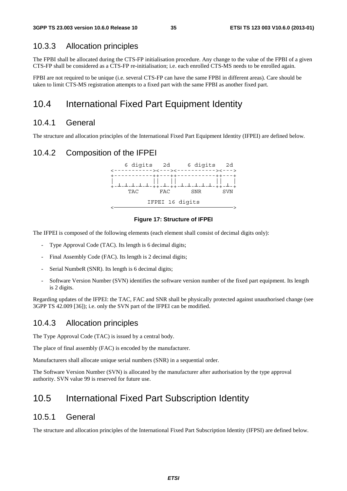#### 10.3.3 Allocation principles

The FPBI shall be allocated during the CTS-FP initialisation procedure. Any change to the value of the FPBI of a given CTS-FP shall be considered as a CTS-FP re-initialisation; i.e. each enrolled CTS-MS needs to be enrolled again.

FPBI are not required to be unique (i.e. several CTS-FP can have the same FPBI in different areas). Care should be taken to limit CTS-MS registration attempts to a fixed part with the same FPBI as another fixed part.

### 10.4 International Fixed Part Equipment Identity

#### 10.4.1 General

The structure and allocation principles of the International Fixed Part Equipment Identity (IFPEI) are defined below.

#### 10.4.2 Composition of the IFPEI



#### **Figure 17: Structure of IFPEI**

The IFPEI is composed of the following elements (each element shall consist of decimal digits only):

- Type Approval Code (TAC). Its length is 6 decimal digits;
- Final Assembly Code (FAC). Its length is 2 decimal digits;
- Serial NumbeR (SNR). Its length is 6 decimal digits;
- Software Version Number (SVN) identifies the software version number of the fixed part equipment. Its length is 2 digits.

Regarding updates of the IFPEI: the TAC, FAC and SNR shall be physically protected against unauthorised change (see 3GPP TS 42.009 [36]); i.e. only the SVN part of the IFPEI can be modified.

#### 10.4.3 Allocation principles

The Type Approval Code (TAC) is issued by a central body.

The place of final assembly (FAC) is encoded by the manufacturer.

Manufacturers shall allocate unique serial numbers (SNR) in a sequential order.

The Software Version Number (SVN) is allocated by the manufacturer after authorisation by the type approval authority. SVN value 99 is reserved for future use.

### 10.5 International Fixed Part Subscription Identity

#### 10.5.1 General

The structure and allocation principles of the International Fixed Part Subscription Identity (IFPSI) are defined below.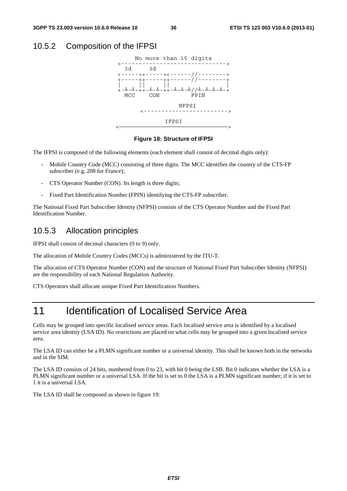#### 10.5.2 Composition of the IFPSI



#### **Figure 18: Structure of IFPSI**

The IFPSI is composed of the following elements (each element shall consist of decimal digits only):

- Mobile Country Code (MCC) consisting of three digits. The MCC identifies the country of the CTS-FP subscriber (e.g. 208 for France);
- CTS Operator Number (CON). Its length is three digits;
- Fixed Part Identification Number (FPIN) identifying the CTS-FP subscriber.

The National Fixed Part Subscriber Identity (NFPSI) consists of the CTS Operator Number and the Fixed Part Identification Number.

#### 10.5.3 Allocation principles

IFPSI shall consist of decimal characters (0 to 9) only.

The allocation of Mobile Country Codes (MCCs) is administered by the ITU-T.

The allocation of CTS Operator Number (CON) and the structure of National Fixed Part Subscriber Identity (NFPSI) are the responsibility of each National Regulation Authority.

CTS Operators shall allocate unique Fixed Part Identification Numbers.

# 11 Identification of Localised Service Area

Cells may be grouped into specific localised service areas. Each localised service area is identified by a localised service area identity (LSA ID). No restrictions are placed on what cells may be grouped into a given localised service area.

The LSA ID can either be a PLMN significant number or a universal identity. This shall be known both in the networks and in the SIM.

The LSA ID consists of 24 bits, numbered from 0 to 23, with bit 0 being the LSB. Bit 0 indicates whether the LSA is a PLMN significant number or a universal LSA. If the bit is set to 0 the LSA is a PLMN significant number; if it is set to 1 it is a universal LSA.

The LSA ID shall be composed as shown in figure 19: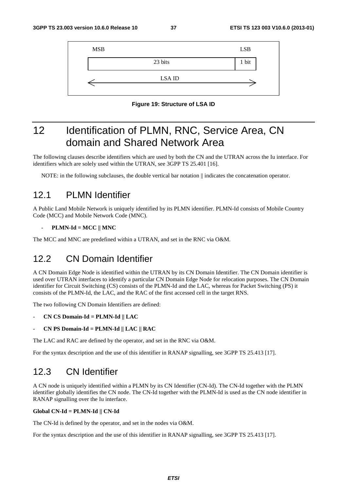| <b>MSB</b> |               | <b>LSB</b> |
|------------|---------------|------------|
|            | 23 bits       | 1 bit      |
|            | <b>LSA ID</b> |            |

**Figure 19: Structure of LSA ID** 

# 12 Identification of PLMN, RNC, Service Area, CN domain and Shared Network Area

The following clauses describe identifiers which are used by both the CN and the UTRAN across the Iu interface. For identifiers which are solely used within the UTRAN, see 3GPP TS 25.401 [16].

NOTE: in the following subclauses, the double vertical bar notation  $\parallel$  indicates the concatenation operator.

### 12.1 PLMN Identifier

A Public Land Mobile Network is uniquely identified by its PLMN identifier. PLMN-Id consists of Mobile Country Code (MCC) and Mobile Network Code (MNC).

#### - **PLMN-Id = MCC || MNC**

The MCC and MNC are predefined within a UTRAN, and set in the RNC via O&M.

## 12.2 CN Domain Identifier

A CN Domain Edge Node is identified within the UTRAN by its CN Domain Identifier. The CN Domain identifier is used over UTRAN interfaces to identify a particular CN Domain Edge Node for relocation purposes. The CN Domain identifier for Circuit Switching (CS) consists of the PLMN-Id and the LAC, whereas for Packet Switching (PS) it consists of the PLMN-Id, the LAC, and the RAC of the first accessed cell in the target RNS.

The two following CN Domain Identifiers are defined:

- **CN CS Domain-Id = PLMN-Id || LAC**
- **CN PS Domain-Id = PLMN-Id || LAC || RAC**

The LAC and RAC are defined by the operator, and set in the RNC via O&M.

For the syntax description and the use of this identifier in RANAP signalling, see 3GPP TS 25.413 [17].

# 12.3 CN Identifier

A CN node is uniquely identified within a PLMN by its CN Identifier (CN-Id). The CN-Id together with the PLMN identifier globally identifies the CN node. The CN-Id together with the PLMN-Id is used as the CN node identifier in RANAP signalling over the Iu interface.

#### **Global CN-Id = PLMN-Id || CN-Id**

The CN-Id is defined by the operator, and set in the nodes via O&M.

For the syntax description and the use of this identifier in RANAP signalling, see 3GPP TS 25.413 [17].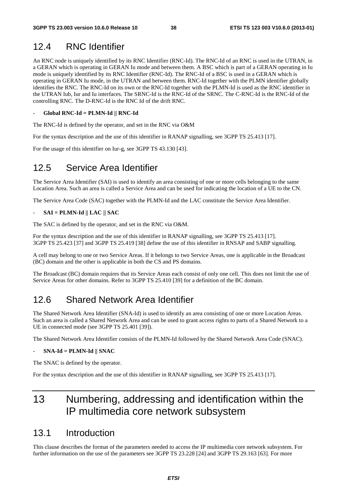# 12.4 RNC Identifier

An RNC node is uniquely identified by its RNC Identifier (RNC-Id). The RNC-Id of an RNC is used in the UTRAN, in a GERAN which is operating in GERAN Iu mode and between them. A BSC which is part of a GERAN operating in Iu mode is uniquely identified by its RNC Identifier (RNC-Id). The RNC-Id of a BSC is used in a GERAN which is operating in GERAN Iu mode, in the UTRAN and between them. RNC-Id together with the PLMN identifier globally identifies the RNC. The RNC-Id on its own or the RNC-Id together with the PLMN-Id is used as the RNC identifier in the UTRAN Iub, Iur and Iu interfaces. The SRNC-Id is the RNC-Id of the SRNC. The C-RNC-Id is the RNC-Id of the controlling RNC. The D-RNC-Id is the RNC Id of the drift RNC.

#### - **Global RNC-Id = PLMN-Id || RNC-Id**

The RNC-Id is defined by the operator, and set in the RNC via O&M

For the syntax description and the use of this identifier in RANAP signalling, see 3GPP TS 25.413 [17].

For the usage of this identifier on Iur-g, see 3GPP TS 43.130 [43].

# 12.5 Service Area Identifier

The Service Area Identifier (SAI) is used to identify an area consisting of one or more cells belonging to the same Location Area. Such an area is called a Service Area and can be used for indicating the location of a UE to the CN.

The Service Area Code (SAC) together with the PLMN-Id and the LAC constitute the Service Area Identifier.

#### - **SAI = PLMN-Id || LAC || SAC**

The SAC is defined by the operator, and set in the RNC via O&M.

For the syntax description and the use of this identifier in RANAP signalling, see 3GPP TS 25.413 [17]. 3GPP TS 25.423 [37] and 3GPP TS 25.419 [38] define the use of this identifier in RNSAP and SABP signalling.

A cell may belong to one or two Service Areas. If it belongs to two Service Areas, one is applicable in the Broadcast (BC) domain and the other is applicable in both the CS and PS domains.

The Broadcast (BC) domain requires that its Service Areas each consist of only one cell. This does not limit the use of Service Areas for other domains. Refer to 3GPP TS 25.410 [39] for a definition of the BC domain.

# 12.6 Shared Network Area Identifier

The Shared Network Area Identifier (SNA-Id) is used to identify an area consisting of one or more Location Areas. Such an area is called a Shared Network Area and can be used to grant access rights to parts of a Shared Network to a UE in connected mode (see 3GPP TS 25.401 [39]).

The Shared Network Area Identifier consists of the PLMN-Id followed by the Shared Network Area Code (SNAC).

#### - **SNA-Id = PLMN-Id || SNAC**

The SNAC is defined by the operator.

For the syntax description and the use of this identifier in RANAP signalling, see 3GPP TS 25.413 [17].

# 13 Numbering, addressing and identification within the IP multimedia core network subsystem

## 13.1 Introduction

This clause describes the format of the parameters needed to access the IP multimedia core network subsystem. For further information on the use of the parameters see 3GPP TS 23.228 [24] and 3GPP TS 29.163 [63]. For more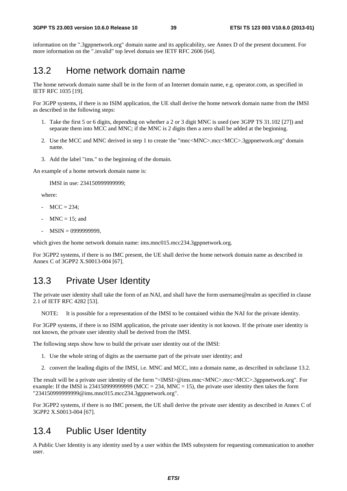information on the ".3gppnetwork.org" domain name and its applicability, see Annex D of the present document. For more information on the ".invalid" top level domain see IETF RFC 2606 [64].

# 13.2 Home network domain name

The home network domain name shall be in the form of an Internet domain name, e.g. operator.com, as specified in IETF RFC 1035 [19].

For 3GPP systems, if there is no ISIM application, the UE shall derive the home network domain name from the IMSI as described in the following steps:

- 1. Take the first 5 or 6 digits, depending on whether a 2 or 3 digit MNC is used (see 3GPP TS 31.102 [27]) and separate them into MCC and MNC; if the MNC is 2 digits then a zero shall be added at the beginning.
- 2. Use the MCC and MNC derived in step 1 to create the "mnc<MNC>.mcc<MCC>.3gppnetwork.org" domain name.
- 3. Add the label "ims." to the beginning of the domain.

An example of a home network domain name is:

IMSI in use: 234150999999999;

where:

- $MCC = 234$ ;
- $MNC = 15$ ; and
- MSIN = 0999999999,

which gives the home network domain name: ims.mnc015.mcc234.3gppnetwork.org.

For 3GPP2 systems, if there is no IMC present, the UE shall derive the home network domain name as described in Annex C of 3GPP2 X.S0013-004 [67].

### 13.3 Private User Identity

The private user identity shall take the form of an NAI, and shall have the form username@realm as specified in clause 2.1 of IETF RFC 4282 [53].

NOTE: It is possible for a representation of the IMSI to be contained within the NAI for the private identity.

For 3GPP systems, if there is no ISIM application, the private user identity is not known. If the private user identity is not known, the private user identity shall be derived from the IMSI.

The following steps show how to build the private user identity out of the IMSI:

- 1. Use the whole string of digits as the username part of the private user identity; and
- 2. convert the leading digits of the IMSI, i.e. MNC and MCC, into a domain name, as described in subclause 13.2.

The result will be a private user identity of the form "<IMSI>@ims.mnc<MNC>.mcc<MCC>.3gppnetwork.org". For example: If the IMSI is 2341509999999999 (MCC = 234, MNC = 15), the private user identity then takes the form "234150999999999@ims.mnc015.mcc234.3gppnetwork.org".

For 3GPP2 systems, if there is no IMC present, the UE shall derive the private user identity as described in Annex C of 3GPP2 X.S0013-004 [67].

### 13.4 Public User Identity

A Public User Identity is any identity used by a user within the IMS subsystem for requesting communication to another user.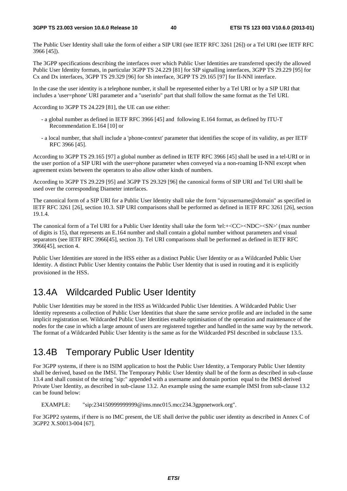The Public User Identity shall take the form of either a SIP URI (see IETF RFC 3261 [26]) or a Tel URI (see IETF RFC 3966 [45]).

The 3GPP specifications describing the interfaces over which Public User Identities are transferred specify the allowed Public User Identity formats, in particular 3GPP TS 24.229 [81] for SIP signalling interfaces, 3GPP TS 29.229 [95] for Cx and Dx interfaces, 3GPP TS 29.329 [96] for Sh interface, 3GPP TS 29.165 [97] for II-NNI interface.

In the case the user identity is a telephone number, it shall be represented either by a Tel URI or by a SIP URI that includes a 'user=phone' URI parameter and a "userinfo" part that shall follow the same format as the Tel URI.

According to 3GPP TS 24.229 [81], the UE can use either:

- a global number as defined in IETF RFC 3966 [45] and following E.164 format, as defined by ITU-T Recommendation E.164 [10] or
- a local number, that shall include a 'phone-context' parameter that identifies the scope of its validity, as per IETF RFC 3966 [45].

According to 3GPP TS 29.165 [97] a global number as defined in IETF RFC 3966 [45] shall be used in a tel-URI or in the user portion of a SIP URI with the user=phone parameter when conveyed via a non-roaming II-NNI except when agreement exists between the operators to also allow other kinds of numbers.

According to 3GPP TS 29.229 [95] and 3GPP TS 29.329 [96] the canonical forms of SIP URI and Tel URI shall be used over the corresponding Diameter interfaces.

The canonical form of a SIP URI for a Public User Identity shall take the form "sip:username@domain" as specified in IETF RFC 3261 [26], section 10.3. SIP URI comparisons shall be performed as defined in IETF RFC 3261 [26], section 19.1.4.

The canonical form of a Tel URI for a Public User Identity shall take the form 'tel:+<CC><NDC><SN>' (max number of digits is 15), that represents an E.164 number and shall contain a global number without parameters and visual separators (see IETF RFC 3966[45], section 3). Tel URI comparisons shall be performed as defined in IETF RFC 3966[45], section 4.

Public User Identities are stored in the HSS either as a distinct Public User Identity or as a Wildcarded Public User Identity. A distinct Public User Identity contains the Public User Identity that is used in routing and it is explicitly provisioned in the HSS.

# 13.4A Wildcarded Public User Identity

Public User Identities may be stored in the HSS as Wildcarded Public User Identities. A Wildcarded Public User Identity represents a collection of Public User Identities that share the same service profile and are included in the same implicit registration set. Wildcarded Public User Identities enable optimisation of the operation and maintenance of the nodes for the case in which a large amount of users are registered together and handled in the same way by the network. The format of a Wildcarded Public User Identity is the same as for the Wildcarded PSI described in subclause 13.5.

# 13.4B Temporary Public User Identity

For 3GPP systems, if there is no ISIM application to host the Public User Identity, a Temporary Public User Identity shall be derived, based on the IMSI. The Temporary Public User Identity shall be of the form as described in sub-clause 13.4 and shall consist of the string "sip:" appended with a username and domain portion equal to the IMSI derived Private User Identity, as described in sub-clause 13.2. An example using the same example IMSI from sub-clause 13.2 can be found below:

EXAMPLE: "sip:234150999999999@ims.mnc015.mcc234.3gppnetwork.org".

For 3GPP2 systems, if there is no IMC present, the UE shall derive the public user identity as described in Annex C of 3GPP2 X.S0013-004 [67].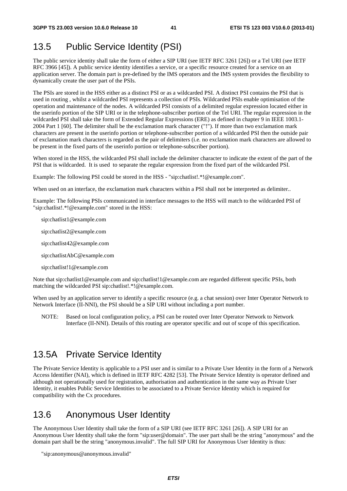# 13.5 Public Service Identity (PSI)

The public service identity shall take the form of either a SIP URI (see IETF RFC 3261 [26]) or a Tel URI (see IETF RFC 3966 [45]). A public service identity identifies a service, or a specific resource created for a service on an application server. The domain part is pre-defined by the IMS operators and the IMS system provides the flexibility to dynamically create the user part of the PSIs.

The PSIs are stored in the HSS either as a distinct PSI or as a wildcarded PSI. A distinct PSI contains the PSI that is used in routing , whilst a wildcarded PSI represents a collection of PSIs. Wildcarded PSIs enable optimisation of the operation and maintenance of the nodes. A wildcarded PSI consists of a delimited regular expression located either in the userinfo portion of the SIP URI or in the telephone-subscriber portion of the Tel URI. The regular expression in the wildcarded PSI shall take the form of Extended Regular Expressions (ERE) as defined in chapter 9 in IEEE 1003.1-2004 Part 1 [60]. The delimiter shall be the exclamation mark character ("!"). If more than two exclamation mark characters are present in the userinfo portion or telephone-subscriber portion of a wildcarded PSI then the outside pair of exclamation mark characters is regarded as the pair of delimiters (i.e. no exclamation mark characters are allowed to be present in the fixed parts of the userinfo portion or telephone-subscriber portion).

When stored in the HSS, the wildcarded PSI shall include the delimiter character to indicate the extent of the part of the PSI that is wildcarded. It is used to separate the regular expression from the fixed part of the wildcarded PSI.

Example: The following PSI could be stored in the HSS - "sip:chatlist!.\*!@example.com".

When used on an interface, the exclamation mark characters within a PSI shall not be interpreted as delimiter..

Example: The following PSIs communicated in interface messages to the HSS will match to the wildcarded PSI of "sip:chatlist!.\*!@example.com" stored in the HSS:

- sip:chatlist1@example.com
- sip:chatlist2@example.com
- sip:chatlist42@example.com
- sip:chatlistAbC@example.com
- sip:chatlist!1@example.com

Note that sip:chatlist1@example.com and sip:chatlist!1@example.com are regarded different specific PSIs, both matching the wildcarded PSI sip:chatlist!.\*!@example.com.

When used by an application server to identify a specific resource (e.g. a chat session) over Inter Operator Network to Network Interface (II-NNI), the PSI should be a SIP URI without including a port number.

NOTE: Based on local configuration policy, a PSI can be routed over Inter Operator Network to Network Interface (II-NNI). Details of this routing are operator specific and out of scope of this specification.

## 13.5A Private Service Identity

The Private Service Identity is applicable to a PSI user and is similar to a Private User Identity in the form of a Network Access Identifier (NAI), which is defined in IETF RFC 4282 [53]. The Private Service Identity is operator defined and although not operationally used for registration, authorisation and authentication in the same way as Private User Identity, it enables Public Service Identities to be associated to a Private Service Identity which is required for compatibility with the Cx procedures.

# 13.6 Anonymous User Identity

The Anonymous User Identity shall take the form of a SIP URI (see IETF RFC 3261 [26]). A SIP URI for an Anonymous User Identity shall take the form "sip:user@domain". The user part shall be the string "anonymous" and the domain part shall be the string "anonymous.invalid". The full SIP URI for Anonymous User Identity is thus:

"sip:anonymous@anonymous.invalid"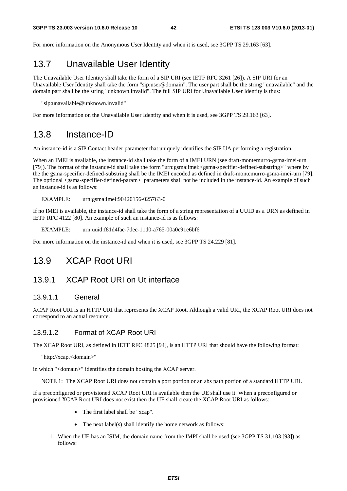For more information on the Anonymous User Identity and when it is used, see 3GPP TS 29.163 [63].

# 13.7 Unavailable User Identity

The Unavailable User Identity shall take the form of a SIP URI (see IETF RFC 3261 [26]). A SIP URI for an Unavailable User Identity shall take the form "sip:user@domain". The user part shall be the string "unavailable" and the domain part shall be the string "unknown.invalid". The full SIP URI for Unavailable User Identity is thus:

"sip:unavailable@unknown.invalid"

For more information on the Unavailable User Identity and when it is used, see 3GPP TS 29.163 [63].

### 13.8 Instance-ID

An instance-id is a SIP Contact header parameter that uniquely identifies the SIP UA performing a registration.

When an IMEI is available, the instance-id shall take the form of a IMEI URN (see draft-montemurro-gsma-imei-urn [79]). The format of the instance-id shall take the form "urn:gsma:imei:<gsma-specifier-defined-substring>" where by the the gsma-specifier-defined-substring shall be the IMEI encoded as defined in draft-montemurro-gsma-imei-urn [79]. The optional <gsma-specifier-defined-param> parameters shall not be included in the instance-id. An example of such an instance-id is as follows:

EXAMPLE: urn:gsma:imei:90420156-025763-0

If no IMEI is available, the instance-id shall take the form of a string representation of a UUID as a URN as defined in IETF RFC 4122 [80]. An example of such an instance-id is as follows:

EXAMPLE: urn:uuid:f81d4fae-7dec-11d0-a765-00a0c91e6bf6

For more information on the instance-id and when it is used, see 3GPP TS 24.229 [81].

### 13.9 XCAP Root URI

### 13.9.1 XCAP Root URI on Ut interface

#### 13.9.1.1 General

XCAP Root URI is an HTTP URI that represents the XCAP Root. Although a valid URI, the XCAP Root URI does not correspond to an actual resource.

#### 13.9.1.2 Format of XCAP Root URI

The XCAP Root URI, as defined in IETF RFC 4825 [94], is an HTTP URI that should have the following format:

"http://xcap.<domain>"

in which "<domain>" identifies the domain hosting the XCAP server.

NOTE 1: The XCAP Root URI does not contain a port portion or an abs path portion of a standard HTTP URI.

If a preconfigured or provisioned XCAP Root URI is available then the UE shall use it. When a preconfigured or provisioned XCAP Root URI does not exist then the UE shall create the XCAP Root URI as follows:

- The first label shall be "xcap".
- The next label(s) shall identify the home network as follows:
- 1. When the UE has an ISIM, the domain name from the IMPI shall be used (see 3GPP TS 31.103 [93]) as follows: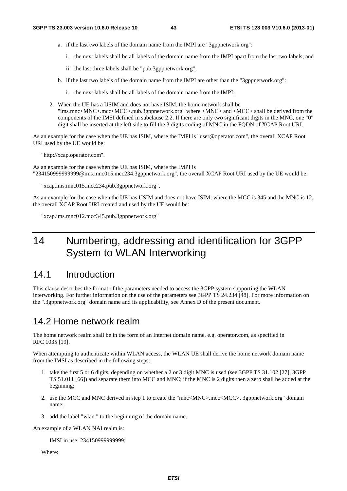- a. if the last two labels of the domain name from the IMPI are "3gppnetwork.org":
	- i. the next labels shall be all labels of the domain name from the IMPI apart from the last two labels; and
	- ii. the last three labels shall be "pub.3gppnetwork.org";
- b. if the last two labels of the domain name from the IMPI are other than the "3gppnetwork.org":
	- i. the next labels shall be all labels of the domain name from the IMPI;
- 2. When the UE has a USIM and does not have ISIM, the home network shall be "ims.mnc<MNC>.mcc<MCC>.pub.3gppnetwork.org" where <MNC> and <MCC> shall be derived from the components of the IMSI defined in subclause 2.2. If there are only two significant digits in the MNC, one "0" digit shall be inserted at the left side to fill the 3 digits coding of MNC in the FQDN of XCAP Root URI.

As an example for the case when the UE has ISIM, where the IMPI is "user@operator.com", the overall XCAP Root URI used by the UE would be:

"http://xcap.operator.com".

As an example for the case when the UE has ISIM, where the IMPI is "234150999999999@ims.mnc015.mcc234.3gppnetwork.org", the overall XCAP Root URI used by the UE would be:

"xcap.ims.mnc015.mcc234.pub.3gppnetwork.org".

As an example for the case when the UE has USIM and does not have ISIM, where the MCC is 345 and the MNC is 12, the overall XCAP Root URI created and used by the UE would be:

"xcap.ims.mnc012.mcc345.pub.3gppnetwork.org"

# 14 Numbering, addressing and identification for 3GPP System to WLAN Interworking

### 14.1 Introduction

This clause describes the format of the parameters needed to access the 3GPP system supporting the WLAN interworking. For further information on the use of the parameters see 3GPP TS 24.234 [48]. For more information on the ".3gppnetwork.org" domain name and its applicability, see Annex D of the present document.

### 14.2 Home network realm

The home network realm shall be in the form of an Internet domain name, e.g. operator.com, as specified in RFC 1035 [19].

When attempting to authenticate within WLAN access, the WLAN UE shall derive the home network domain name from the IMSI as described in the following steps:

- 1. take the first 5 or 6 digits, depending on whether a 2 or 3 digit MNC is used (see 3GPP TS 31.102 [27], 3GPP TS 51.011 [66]) and separate them into MCC and MNC; if the MNC is 2 digits then a zero shall be added at the beginning;
- 2. use the MCC and MNC derived in step 1 to create the "mnc<MNC>.mcc<MCC>. 3gppnetwork.org" domain name;
- 3. add the label "wlan." to the beginning of the domain name.

An example of a WLAN NAI realm is:

IMSI in use: 234150999999999;

Where: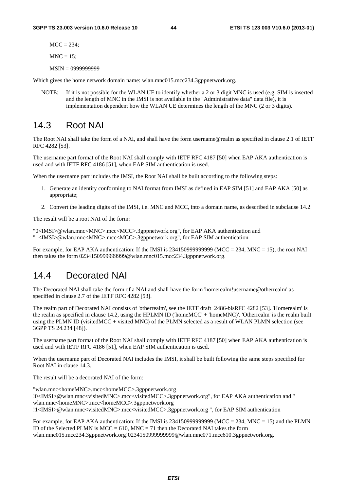$MCC = 234$ :

 $MNC = 15$ ;

MSIN = 0999999999

Which gives the home network domain name: wlan.mnc015.mcc234.3gppnetwork.org.

NOTE: If it is not possible for the WLAN UE to identify whether a 2 or 3 digit MNC is used (e.g. SIM is inserted and the length of MNC in the IMSI is not available in the "Administrative data" data file), it is implementation dependent how the WLAN UE determines the length of the MNC (2 or 3 digits).

# 14.3 Root NAI

The Root NAI shall take the form of a NAI, and shall have the form username@realm as specified in clause 2.1 of IETF RFC 4282 [53].

The username part format of the Root NAI shall comply with IETF RFC 4187 [50] when EAP AKA authentication is used and with IETF RFC 4186 [51], when EAP SIM authentication is used.

When the username part includes the IMSI, the Root NAI shall be built according to the following steps:

- 1. Generate an identity conforming to NAI format from IMSI as defined in EAP SIM [51] and EAP AKA [50] as appropriate;
- 2. Convert the leading digits of the IMSI, i.e. MNC and MCC, into a domain name, as described in subclause 14.2.

The result will be a root NAI of the form:

"0<IMSI>@wlan.mnc<MNC>.mcc<MCC>.3gppnetwork.org", for EAP AKA authentication and "1<IMSI>@wlan.mnc<MNC>.mcc<MCC>.3gppnetwork.org", for EAP SIM authentication

For example, for EAP AKA authentication: If the IMSI is  $2341509999999999$  (MCC = 234, MNC = 15), the root NAI then takes the form 0234150999999999@wlan.mnc015.mcc234.3gppnetwork.org.

## 14.4 Decorated NAI

The Decorated NAI shall take the form of a NAI and shall have the form 'homerealm!username@otherrealm' as specified in clause 2.7 of the IETF RFC 4282 [53].

The realm part of Decorated NAI consists of 'otherrealm', see the IETF draft 2486-bisRFC 4282 [53]. 'Homerealm' is the realm as specified in clause 14.2, using the HPLMN ID ('homeMCC' + 'homeMNC)'. 'Otherrealm' is the realm built using the PLMN ID (visitedMCC + visited MNC) of the PLMN selected as a result of WLAN PLMN selection (see 3GPP TS 24.234 [48]).

The username part format of the Root NAI shall comply with IETF RFC 4187 [50] when EAP AKA authentication is used and with IETF RFC 4186 [51], when EAP SIM authentication is used.

When the username part of Decorated NAI includes the IMSI, it shall be built following the same steps specified for Root NAI in clause 14.3.

The result will be a decorated NAI of the form:

"wlan.mnc<homeMNC>.mcc<homeMCC>.3gppnetwork.org !0<IMSI>@wlan.mnc<visitedMNC>.mcc<visitedMCC>.3gppnetwork.org", for EAP AKA authentication and " wlan.mnc<homeMNC>.mcc<homeMCC>.3gppnetwork.org !1<IMSI>@wlan.mnc<visitedMNC>.mcc<visitedMCC>.3gppnetwork.org ", for EAP SIM authentication

For example, for EAP AKA authentication: If the IMSI is 23415099999999999 (MCC = 234, MNC = 15) and the PLMN ID of the Selected PLMN is  $MCC = 610$ ,  $MNC = 71$  then the Decorated NAI takes the form wlan.mnc015.mcc234.3gppnetwork.org!0234150999999999@wlan.mnc071.mcc610.3gppnetwork.org.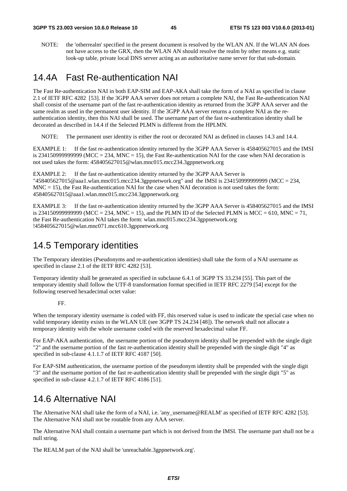NOTE: the 'otherrealm' specified in the present document is resolved by the WLAN AN. If the WLAN AN does not have access to the GRX, then the WLAN AN should resolve the realm by other means e.g. static look-up table, private local DNS server acting as an authoritative name server for that sub-domain.

## 14.4A Fast Re-authentication NAI

The Fast Re-authentication NAI in both EAP-SIM and EAP-AKA shall take the form of a NAI as specified in clause 2.1 of IETF RFC 4282 [53]. If the 3GPP AAA server does not return a complete NAI, the Fast Re-authentication NAI shall consist of the username part of the fast re-authentication identity as returned from the 3GPP AAA server and the same realm as used in the permanent user identity. If the 3GPP AAA server returns a complete NAI as the reauthentication identity, then this NAI shall be used. The username part of the fast re-authentication identity shall be decorated as described in 14.4 if the Selected PLMN is different from the HPLMN.

NOTE: The permanent user identity is either the root or decorated NAI as defined in clauses 14.3 and 14.4.

EXAMPLE 1: If the fast re-authentication identity returned by the 3GPP AAA Server is 458405627015 and the IMSI is 2341509999999999 (MCC = 234, MNC = 15), the Fast Re-authentication NAI for the case when NAI decoration is not used takes the form: 458405627015@wlan.mnc015.mcc234.3gppnetwork.org

EXAMPLE 2: If the fast re-authentication identity returned by the 3GPP AAA Server is "458405627015@aaa1.wlan.mnc015.mcc234.3gppnetwork.org" and the IMSI is 234150999999999 (MCC = 234,  $MNC = 15$ ), the Fast Re-authentication NAI for the case when NAI decoration is not used takes the form: 458405627015@aaa1.wlan.mnc015.mcc234.3gppnetwork.org

EXAMPLE 3: If the fast re-authentication identity returned by the 3GPP AAA Server is 458405627015 and the IMSI is 234150999999999999 (MCC = 234, MNC = 15), and the PLMN ID of the Selected PLMN is MCC = 610, MNC = 71, the Fast Re-authentication NAI takes the form: wlan.mnc015.mcc234.3gppnetwork.org !458405627015@wlan.mnc071.mcc610.3gppnetwork.org

## 14.5 Temporary identities

The Temporary identities (Pseudonyms and re-authentication identities) shall take the form of a NAI username as specified in clause 2.1 of the IETF RFC 4282 [53].

Temporary identity shall be generated as specified in subclause 6.4.1 of 3GPP TS 33.234 [55]. This part of the temporary identity shall follow the UTF-8 transformation format specified in IETF RFC 2279 [54] except for the following reserved hexadecimal octet value:

#### FF.

When the temporary identity username is coded with FF, this reserved value is used to indicate the special case when no valid temporary identity exists in the WLAN UE (see 3GPP TS 24.234 [48]). The network shall not allocate a temporary identity with the whole username coded with the reserved hexadecimal value FF.

For EAP-AKA authentication, the username portion of the pseudonym identity shall be prepended with the single digit "2" and the username portion of the fast re-authentication identity shall be prepended with the single digit "4" as specified in sub-clause 4.1.1.7 of IETF RFC 4187 [50].

For EAP-SIM authentication, the username portion of the pseudonym identity shall be prepended with the single digit "3" and the username portion of the fast re-authentication identity shall be prepended with the single digit "5" as specified in sub-clause 4.2.1.7 of IETF RFC 4186 [51].

# 14.6 Alternative NAI

The Alternative NAI shall take the form of a NAI, i.e. 'any username@REALM' as specified of IETF RFC 4282 [53]. The Alternative NAI shall not be routable from any AAA server.

The Alternative NAI shall contain a username part which is not derived from the IMSI. The username part shall not be a null string.

The REALM part of the NAI shall be 'unreachable.3gppnetwork.org'.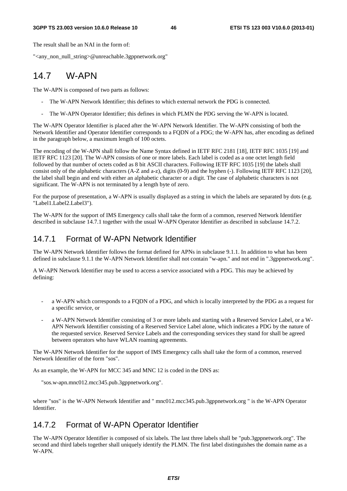The result shall be an NAI in the form of:

"<any\_non\_null\_string>@unreachable.3gppnetwork.org"

# 14.7 W-APN

The W-APN is composed of two parts as follows:

- The W-APN Network Identifier; this defines to which external network the PDG is connected.
- The W-APN Operator Identifier; this defines in which PLMN the PDG serving the W-APN is located.

The W-APN Operator Identifier is placed after the W-APN Network Identifier. The W-APN consisting of both the Network Identifier and Operator Identifier corresponds to a FQDN of a PDG; the W-APN has, after encoding as defined in the paragraph below, a maximum length of 100 octets.

The encoding of the W-APN shall follow the Name Syntax defined in IETF RFC 2181 [18], IETF RFC 1035 [19] and IETF RFC 1123 [20]. The W-APN consists of one or more labels. Each label is coded as a one octet length field followed by that number of octets coded as 8 bit ASCII characters. Following IETF RFC 1035 [19] the labels shall consist only of the alphabetic characters (A-Z and a-z), digits (0-9) and the hyphen (-). Following IETF RFC 1123 [20], the label shall begin and end with either an alphabetic character or a digit. The case of alphabetic characters is not significant. The W-APN is not terminated by a length byte of zero.

For the purpose of presentation, a W-APN is usually displayed as a string in which the labels are separated by dots (e.g. "Label1.Label2.Label3").

The W-APN for the support of IMS Emergency calls shall take the form of a common, reserved Network Identifier described in subclause 14.7.1 together with the usual W-APN Operator Identifier as described in subclause 14.7.2.

### 14.7.1 Format of W-APN Network Identifier

The W-APN Network Identifier follows the format defined for APNs in subclause 9.1.1. In addition to what has been defined in subclause 9.1.1 the W-APN Network Identifier shall not contain "w-apn." and not end in ".3gppnetwork.org".

A W-APN Network Identifier may be used to access a service associated with a PDG. This may be achieved by defining:

- a W-APN which corresponds to a FQDN of a PDG, and which is locally interpreted by the PDG as a request for a specific service, or
- a W-APN Network Identifier consisting of 3 or more labels and starting with a Reserved Service Label, or a W-APN Network Identifier consisting of a Reserved Service Label alone, which indicates a PDG by the nature of the requested service. Reserved Service Labels and the corresponding services they stand for shall be agreed between operators who have WLAN roaming agreements.

The W-APN Network Identifier for the support of IMS Emergency calls shall take the form of a common, reserved Network Identifier of the form "sos".

As an example, the W-APN for MCC 345 and MNC 12 is coded in the DNS as:

"sos.w-apn.mnc012.mcc345.pub.3gppnetwork.org".

where "sos" is the W-APN Network Identifier and " mnc012.mcc345.pub.3gppnetwork.org " is the W-APN Operator Identifier.

### 14.7.2 Format of W-APN Operator Identifier

The W-APN Operator Identifier is composed of six labels. The last three labels shall be "pub.3gppnetwork.org". The second and third labels together shall uniquely identify the PLMN. The first label distinguishes the domain name as a W-APN.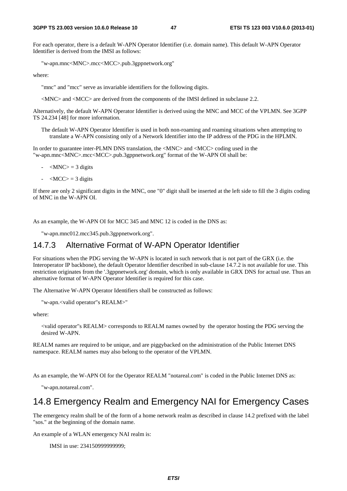For each operator, there is a default W-APN Operator Identifier (i.e. domain name). This default W-APN Operator Identifier is derived from the IMSI as follows:

"w-apn.mnc<MNC>.mcc<MCC>.pub.3gppnetwork.org"

where:

"mnc" and "mcc" serve as invariable identifiers for the following digits.

<MNC> and <MCC> are derived from the components of the IMSI defined in subclause 2.2.

Alternatively, the default W-APN Operator Identifier is derived using the MNC and MCC of the VPLMN. See 3GPP TS 24.234 [48] for more information.

The default W-APN Operator Identifier is used in both non-roaming and roaming situations when attempting to translate a W-APN consisting only of a Network Identifier into the IP address of the PDG in the HPLMN.

In order to guarantee inter-PLMN DNS translation, the <MNC> and <MCC> coding used in the "w-apn.mnc<MNC>.mcc<MCC>.pub.3gppnetwork.org" format of the W-APN OI shall be:

- $|MNC\rangle = 3$  digits
- $\langle MCC \rangle = 3$  digits

If there are only 2 significant digits in the MNC, one "0" digit shall be inserted at the left side to fill the 3 digits coding of MNC in the W-APN OI.

As an example, the W-APN OI for MCC 345 and MNC 12 is coded in the DNS as:

"w-apn.mnc012.mcc345.pub.3gppnetwork.org".

#### 14.7.3 Alternative Format of W-APN Operator Identifier

For situations when the PDG serving the W-APN is located in such network that is not part of the GRX (i.e. the Interoperator IP backbone), the default Operator Identifier described in sub-clause 14.7.2 is not available for use. This restriction originates from the '.3gppnetwork.org' domain, which is only available in GRX DNS for actual use. Thus an alternative format of W-APN Operator Identifier is required for this case.

The Alternative W-APN Operator Identifiers shall be constructed as follows:

"w-apn.<valid operator"s REALM>"

where:

<valid operator"s REALM> corresponds to REALM names owned by the operator hosting the PDG serving the desired W-APN.

REALM names are required to be unique, and are piggybacked on the administration of the Public Internet DNS namespace. REALM names may also belong to the operator of the VPLMN.

As an example, the W-APN OI for the Operator REALM "notareal.com" is coded in the Public Internet DNS as:

"w-apn.notareal.com".

### 14.8 Emergency Realm and Emergency NAI for Emergency Cases

The emergency realm shall be of the form of a home network realm as described in clause 14.2 prefixed with the label "sos." at the beginning of the domain name.

An example of a WLAN emergency NAI realm is:

IMSI in use: 234150999999999;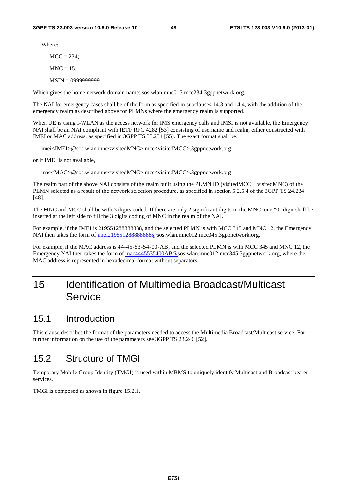Where:

 $MCC = 234$ ;

 $MNC = 15$ :

MSIN = 0999999999

Which gives the home network domain name: sos.wlan.mnc015.mcc234.3gppnetwork.org.

The NAI for emergency cases shall be of the form as specified in subclauses 14.3 and 14.4, with the addition of the emergency realm as described above for PLMNs where the emergency realm is supported.

When UE is using I-WLAN as the access network for IMS emergency calls and IMSI is not available, the Emergency NAI shall be an NAI compliant with IETF RFC 4282 [53] consisting of username and realm, either constructed with IMEI or MAC address, as specified in 3GPP TS 33.234 [55]. The exact format shall be:

imei<IMEI>@sos.wlan.mnc<visitedMNC>.mcc<visitedMCC>.3gppnetwork.org

or if IMEI is not available,

mac<MAC>@sos.wlan.mnc<visitedMNC>.mcc<visitedMCC>.3gppnetwork.org

The realm part of the above NAI consists of the realm built using the PLMN ID (visitedMCC + visitedMNC) of the PLMN selected as a result of the network selection procedure, as specified in section 5.2.5.4 of the 3GPP TS 24.234 [48].

The MNC and MCC shall be with 3 digits coded. If there are only 2 significant digits in the MNC, one "0" digit shall be inserted at the left side to fill the 3 digits coding of MNC in the realm of the NAI.

For example, if the IMEI is 219551288888888, and the selected PLMN is with MCC 345 and MNC 12, the Emergency NAI then takes the form of imei2195512888888888@sos.wlan.mnc012.mcc345.3gppnetwork.org.

For example, if the MAC address is 44-45-53-54-00-AB, and the selected PLMN is with MCC 345 and MNC 12, the Emergency NAI then takes the form of [mac4445535400AB@s](mailto:mac4445535400AB@sos.invalid)os.wlan.mnc012.mcc345.3gppnetwork.org, where the MAC address is represented in hexadecimal format without separators.

# 15 Identification of Multimedia Broadcast/Multicast Service

### 15.1 Introduction

This clause describes the format of the parameters needed to access the Multimedia Broadcast/Multicast service. For further information on the use of the parameters see 3GPP TS 23.246 [52].

## 15.2 Structure of TMGI

Temporary Mobile Group Identity (TMGI) is used within MBMS to uniquely identify Multicast and Broadcast bearer services.

TMGI is composed as shown in figure 15.2.1.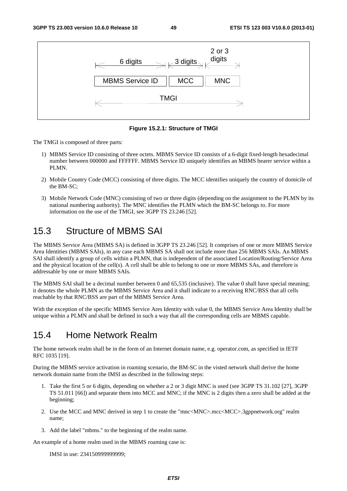

**Figure 15.2.1: Structure of TMGI** 

The TMGI is composed of three parts:

- 1) MBMS Service ID consisting of three octets. MBMS Service ID consists of a 6-digit fixed-length hexadecimal number between 000000 and FFFFFF. MBMS Service ID uniquely identifies an MBMS bearer service within a PLMN.
- 2) Mobile Country Code (MCC) consisting of three digits. The MCC identifies uniquely the country of domicile of the BM-SC;
- 3) Mobile Network Code (MNC) consisting of two or three digits (depending on the assignment to the PLMN by its national numbering authority). The MNC identifies the PLMN which the BM-SC belongs to. For more information on the use of the TMGI, see 3GPP TS 23.246 [52].

# 15.3 Structure of MBMS SAI

The MBMS Service Area (MBMS SA) is defined in 3GPP TS 23.246 [52]. It comprises of one or more MBMS Service Area Identities (MBMS SAIs), in any case each MBMS SA shall not include more than 256 MBMS SAIs. An MBMS SAI shall identify a group of cells within a PLMN, that is independent of the associated Location/Routing/Service Area and the physical location of the cell(s). A cell shall be able to belong to one or more MBMS SAs, and therefore is addressable by one or more MBMS SAIs.

The MBMS SAI shall be a decimal number between 0 and 65,535 (inclusive). The value 0 shall have special meaning; it denotes the whole PLMN as the MBMS Service Area and it shall indicate to a receiving RNC/BSS that all cells reachable by that RNC/BSS are part of the MBMS Service Area.

With the exception of the specific MBMS Service Ares Identity with value 0, the MBMS Service Area Identity shall be unique within a PLMN and shall be defined in such a way that all the corresponding cells are MBMS capable.

# 15.4 Home Network Realm

The home network realm shall be in the form of an Internet domain name, e.g. operator.com, as specified in IETF RFC 1035 [19].

During the MBMS service activation in roaming scenario, the BM-SC in the visted network shall derive the home network domain name from the IMSI as described in the following steps:

- 1. Take the first 5 or 6 digits, depending on whether a 2 or 3 digit MNC is used (see 3GPP TS 31.102 [27], 3GPP TS 51.011 [66]) and separate them into MCC and MNC; if the MNC is 2 digits then a zero shall be added at the beginning;
- 2. Use the MCC and MNC derived in step 1 to create the "mnc<MNC>.mcc<MCC>.3gppnetwork.org" realm name;
- 3. Add the label "mbms." to the beginning of the realm name.

An example of a home realm used in the MBMS roaming case is:

IMSI in use: 234150999999999;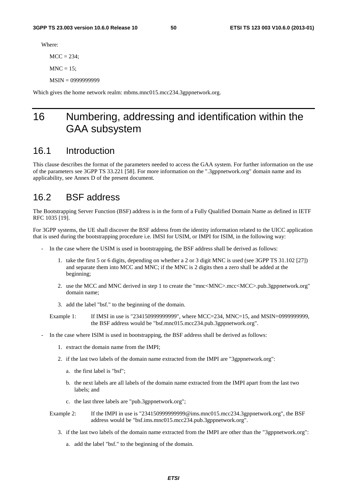Where:

 $MCC = 234$ ;

 $MNC = 15$ :

MSIN = 0999999999

Which gives the home network realm: mbms.mnc015.mcc234.3gppnetwork.org.

# 16 Numbering, addressing and identification within the GAA subsystem

## 16.1 Introduction

This clause describes the format of the parameters needed to access the GAA system. For further information on the use of the parameters see 3GPP TS 33.221 [58]. For more information on the ".3gppnetwork.org" domain name and its applicability, see Annex D of the present document.

### 16.2 BSF address

The Bootstrapping Server Function (BSF) address is in the form of a Fully Qualified Domain Name as defined in IETF RFC 1035 [19].

For 3GPP systems, the UE shall discover the BSF address from the identity information related to the UICC application that is used during the bootstrapping procedure i.e. IMSI for USIM, or IMPI for ISIM, in the following way:

- In the case where the USIM is used in bootstrapping, the BSF address shall be derived as follows:
	- 1. take the first 5 or 6 digits, depending on whether a 2 or 3 digit MNC is used (see 3GPP TS 31.102 [27]) and separate them into MCC and MNC; if the MNC is 2 digits then a zero shall be added at the beginning;
	- 2. use the MCC and MNC derived in step 1 to create the "mnc<MNC>.mcc<MCC>.pub.3gppnetwork.org" domain name;
	- 3. add the label "bsf." to the beginning of the domain.

Example 1: If IMSI in use is "234150999999999", where MCC=234, MNC=15, and MSIN=0999999999, the BSF address would be "bsf.mnc015.mcc234.pub.3gppnetwork.org".

- In the case where ISIM is used in bootstrapping, the BSF address shall be derived as follows:
	- 1. extract the domain name from the IMPI;
	- 2. if the last two labels of the domain name extracted from the IMPI are "3gppnetwork.org":
		- a. the first label is "bsf";
		- b. the next labels are all labels of the domain name extracted from the IMPI apart from the last two labels; and
		- c. the last three labels are "pub.3gppnetwork.org";
	- Example 2: If the IMPI in use is "2341509999999999@ims.mnc015.mcc234.3gppnetwork.org", the BSF address would be "bsf.ims.mnc015.mcc234.pub.3gppnetwork.org".
		- 3. if the last two labels of the domain name extracted from the IMPI are other than the "3gppnetwork.org":
			- a. add the label "bsf." to the beginning of the domain.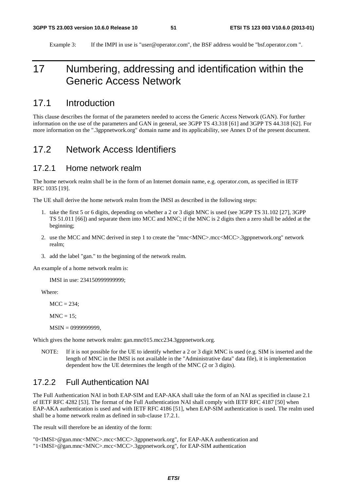Example 3: If the IMPI in use is "user@operator.com", the BSF address would be "bsf.operator.com ".

# 17 Numbering, addressing and identification within the Generic Access Network

### 17.1 Introduction

This clause describes the format of the parameters needed to access the Generic Access Network (GAN). For further information on the use of the parameters and GAN in general, see 3GPP TS 43.318 [61] and 3GPP TS 44.318 [62]. For more information on the ".3gppnetwork.org" domain name and its applicability, see Annex D of the present document.

### 17.2 Network Access Identifiers

#### 17.2.1 Home network realm

The home network realm shall be in the form of an Internet domain name, e.g. operator.com, as specified in IETF RFC 1035 [19].

The UE shall derive the home network realm from the IMSI as described in the following steps:

- 1. take the first 5 or 6 digits, depending on whether a 2 or 3 digit MNC is used (see 3GPP TS 31.102 [27], 3GPP TS 51.011 [66]) and separate them into MCC and MNC; if the MNC is 2 digits then a zero shall be added at the beginning;
- 2. use the MCC and MNC derived in step 1 to create the "mnc<MNC>.mcc<MCC>.3gppnetwork.org" network realm;
- 3. add the label "gan." to the beginning of the network realm.

An example of a home network realm is:

IMSI in use: 234150999999999;

Where:

 $MCC = 234$ :

 $MNC = 15$ ;

MSIN = 0999999999,

Which gives the home network realm: gan.mnc015.mcc234.3gppnetwork.org.

NOTE: If it is not possible for the UE to identify whether a 2 or 3 digit MNC is used (e.g. SIM is inserted and the length of MNC in the IMSI is not available in the "Administrative data" data file), it is implementation dependent how the UE determines the length of the MNC (2 or 3 digits).

### 17.2.2 Full Authentication NAI

The Full Authentication NAI in both EAP-SIM and EAP-AKA shall take the form of an NAI as specified in clause 2.1 of IETF RFC 4282 [53]. The format of the Full Authentication NAI shall comply with IETF RFC 4187 [50] when EAP-AKA authentication is used and with IETF RFC 4186 [51], when EAP-SIM authentication is used. The realm used shall be a home network realm as defined in sub-clause 17.2.1.

The result will therefore be an identity of the form:

"0<IMSI>@gan.mnc<MNC>.mcc<MCC>.3gppnetwork.org", for EAP-AKA authentication and "1<IMSI>@gan.mnc<MNC>.mcc<MCC>.3gppnetwork.org", for EAP-SIM authentication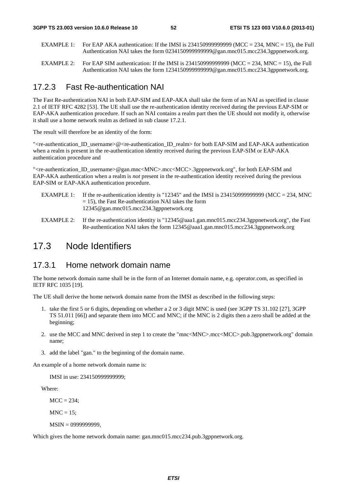- EXAMPLE 1: For EAP AKA authentication: If the IMSI is 2341509999999999 (MCC = 234, MNC = 15), the Full Authentication NAI takes the form 0234150999999999@gan.mnc015.mcc234.3gppnetwork.org.
- EXAMPLE 2: For EAP SIM authentication: If the IMSI is  $2341509999999999$  (MCC = 234, MNC = 15), the Full Authentication NAI takes the form 1234150999999999@gan.mnc015.mcc234.3gppnetwork.org.

#### 17.2.3 Fast Re-authentication NAI

The Fast Re-authentication NAI in both EAP-SIM and EAP-AKA shall take the form of an NAI as specified in clause 2.1 of IETF RFC 4282 [53]. The UE shall use the re-authentication identity received during the previous EAP-SIM or EAP-AKA authentication procedure. If such an NAI contains a realm part then the UE should not modify it, otherwise it shall use a home network realm as defined in sub clause 17.2.1.

The result will therefore be an identity of the form:

"<re-authentication ID\_username>@<re-authentication ID\_realm> for both EAP-SIM and EAP-AKA authentication when a realm is present in the re-authentication identity received during the previous EAP-SIM or EAP-AKA authentication procedure and

"<re-authentication\_ID\_username>@gan.mnc<MNC>.mcc<MCC>.3gppnetwork.org", for both EAP-SIM and EAP-AKA authentication when a realm is *not* present in the re-authentication identity received during the previous EAP-SIM or EAP-AKA authentication procedure.

- EXAMPLE 1: If the re-authentication identity is "12345" and the IMSI is 2341509999999999 (MCC = 234, MNC  $= 15$ ), the Fast Re-authentication NAI takes the form 12345@gan.mnc015.mcc234.3gppnetwork.org
- EXAMPLE 2: If the re-authentication identity is "12345@aaa1.gan.mnc015.mcc234.3gppnetwork.org", the Fast Re-authentication NAI takes the form 12345@aaa1.gan.mnc015.mcc234.3gppnetwork.org

### 17.3 Node Identifiers

#### 17.3.1 Home network domain name

The home network domain name shall be in the form of an Internet domain name, e.g. operator.com, as specified in IETF RFC 1035 [19].

The UE shall derive the home network domain name from the IMSI as described in the following steps:

- 1. take the first 5 or 6 digits, depending on whether a 2 or 3 digit MNC is used (see 3GPP TS 31.102 [27], 3GPP TS 51.011 [66]) and separate them into MCC and MNC; if the MNC is 2 digits then a zero shall be added at the beginning;
- 2. use the MCC and MNC derived in step 1 to create the "mnc<MNC>.mcc<MCC>.pub.3gppnetwork.org" domain name;
- 3. add the label "gan." to the beginning of the domain name.

An example of a home network domain name is:

IMSI in use: 234150999999999;

Where:

 $MCC = 234$ :

 $MNC = 15$ :

MSIN = 0999999999,

Which gives the home network domain name: gan.mnc015.mcc234.pub.3gppnetwork.org.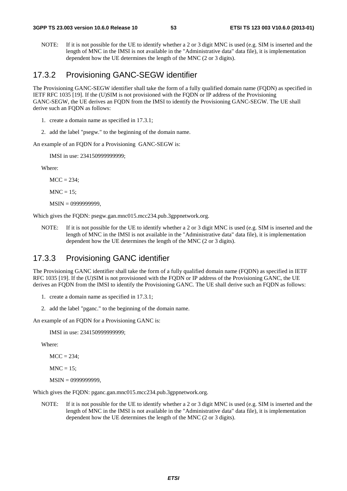NOTE: If it is not possible for the UE to identify whether a 2 or 3 digit MNC is used (e.g. SIM is inserted and the length of MNC in the IMSI is not available in the "Administrative data" data file), it is implementation dependent how the UE determines the length of the MNC (2 or 3 digits).

#### 17.3.2 Provisioning GANC-SEGW identifier

The Provisioning GANC-SEGW identifier shall take the form of a fully qualified domain name (FQDN) as specified in IETF RFC 1035 [19]. If the (U)SIM is not provisioned with the FQDN or IP address of the Provisioning GANC-SEGW, the UE derives an FQDN from the IMSI to identify the Provisioning GANC-SEGW. The UE shall derive such an FQDN as follows:

- 1. create a domain name as specified in 17.3.1;
- 2. add the label "psegw." to the beginning of the domain name.

An example of an FQDN for a Provisioning GANC-SEGW is:

IMSI in use: 234150999999999;

Where:

 $MCC = 234$ ;

 $MNC = 15$ :

MSIN = 0999999999,

Which gives the FODN: psegw.gan.mnc015.mcc234.pub.3gppnetwork.org.

NOTE: If it is not possible for the UE to identify whether a 2 or 3 digit MNC is used (e.g. SIM is inserted and the length of MNC in the IMSI is not available in the "Administrative data" data file), it is implementation dependent how the UE determines the length of the MNC (2 or 3 digits).

#### 17.3.3 Provisioning GANC identifier

The Provisioning GANC identifier shall take the form of a fully qualified domain name (FQDN) as specified in IETF RFC 1035 [19]. If the (U)SIM is not provisioned with the FQDN or IP address of the Provisioning GANC, the UE derives an FQDN from the IMSI to identify the Provisioning GANC. The UE shall derive such an FQDN as follows:

- 1. create a domain name as specified in 17.3.1;
- 2. add the label "pganc." to the beginning of the domain name.

An example of an FQDN for a Provisioning GANC is:

IMSI in use: 234150999999999;

Where:

 $MCC = 234$ :

 $MNC = 15$ ;

```
 MSIN = 0999999999,
```
Which gives the FQDN: pganc.gan.mnc015.mcc234.pub.3gppnetwork.org.

NOTE: If it is not possible for the UE to identify whether a 2 or 3 digit MNC is used (e.g. SIM is inserted and the length of MNC in the IMSI is not available in the "Administrative data" data file), it is implementation dependent how the UE determines the length of the MNC (2 or 3 digits).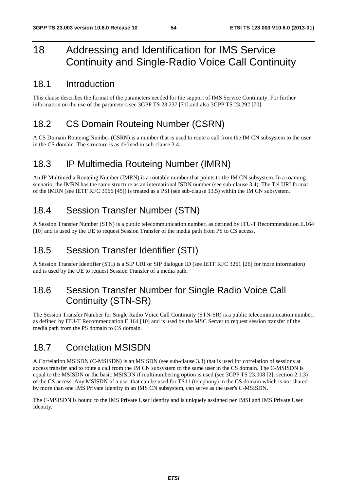# 18 Addressing and Identification for IMS Service Continuity and Single-Radio Voice Call Continuity

### 18.1 Introduction

This clause describes the format of the parameters needed for the support of IMS Service Continuity. For further information on the use of the parameters see 3GPP TS 23.237 [71] and also 3GPP TS 23.292 [70].

# 18.2 CS Domain Routeing Number (CSRN)

A CS Domain Routeing Number (CSRN) is a number that is used to route a call from the IM CN subsystem to the user in the CS domain. The structure is as defined in sub-clause 3.4.

# 18.3 IP Multimedia Routeing Number (IMRN)

An IP Multimedia Routeing Number (IMRN) is a routable number that points to the IM CN subsystem. In a roaming scenario, the IMRN has the same structure as an international ISDN number (see sub-clause 3.4). The Tel URI format of the IMRN (see IETF RFC 3966 [45]) is treated as a PSI (see sub-clause 13.5) within the IM CN subsystem.

# 18.4 Session Transfer Number (STN)

A Session Transfer Number (STN) is a public telecommunication number, as defined by ITU-T Recommendation E.164 [10] and is used by the UE to request Session Transfer of the media path from PS to CS access.

# 18.5 Session Transfer Identifier (STI)

A Session Transfer Identifier (STI) is a SIP URI or SIP dialogue ID (see IETF RFC 3261 [26] for more information) and is used by the UE to request Session Transfer of a media path.

# 18.6 Session Transfer Number for Single Radio Voice Call Continuity (STN-SR)

The Session Transfer Number for Single Radio Voice Call Continuity (STN-SR) is a public telecommunication number, as defined by ITU-T Recommendation E.164 [10] and is used by the MSC Server to request session transfer of the media path from the PS domain to CS domain.

# 18.7 Correlation MSISDN

A Correlation MSISDN (C-MSISDN) is an MSISDN (see sub-clause 3.3) that is used for correlation of sessions at access transfer and to route a call from the IM CN subsystem to the same user in the CS domain. The C-MSISDN is equal to the MSISDN or the basic MSISDN if multinumbering option is used (see 3GPP TS 23.008 [2], section 2.1.3) of the CS access. Any MSISDN of a user that can be used for TS11 (telephony) in the CS domain which is not shared by more than one IMS Private Identity in an IMS CN subsystem, can serve as the user's C-MSISDN.

The C-MSISDN is bound to the IMS Private User Identity and is uniquely assigned per IMSI and IMS Private User Identity.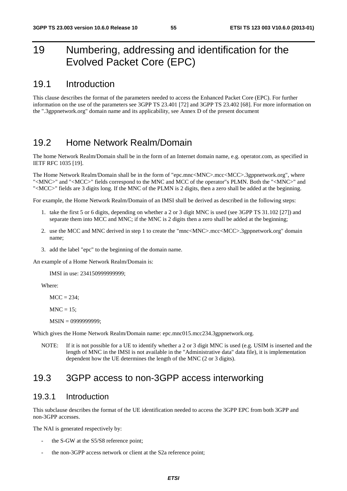# 19 Numbering, addressing and identification for the Evolved Packet Core (EPC)

### 19.1 Introduction

This clause describes the format of the parameters needed to access the Enhanced Packet Core (EPC). For further information on the use of the parameters see 3GPP TS 23.401 [72] and 3GPP TS 23.402 [68]. For more information on the ".3gppnetwork.org" domain name and its applicability, see Annex D of the present document

## 19.2 Home Network Realm/Domain

The home Network Realm/Domain shall be in the form of an Internet domain name, e.g. operator.com, as specified in IETF RFC 1035 [19].

The Home Network Realm/Domain shall be in the form of "epc.mnc<MNC>.mcc<MCC>.3gppnetwork.org", where "<MNC>" and "<MCC>" fields correspond to the MNC and MCC of the operator"s PLMN. Both the "<MNC>" and "<MCC>" fields are 3 digits long. If the MNC of the PLMN is 2 digits, then a zero shall be added at the beginning.

For example, the Home Network Realm/Domain of an IMSI shall be derived as described in the following steps:

- 1. take the first 5 or 6 digits, depending on whether a 2 or 3 digit MNC is used (see 3GPP TS 31.102 [27]) and separate them into MCC and MNC; if the MNC is 2 digits then a zero shall be added at the beginning;
- 2. use the MCC and MNC derived in step 1 to create the "mnc<MNC>.mcc<MCC>.3gppnetwork.org" domain name;
- 3. add the label "epc" to the beginning of the domain name.

An example of a Home Network Realm/Domain is:

IMSI in use: 234150999999999;

Where:

 $MCC = 234$ :

 $MNC = 15$ ;

MSIN = 0999999999;

Which gives the Home Network Realm/Domain name: epc.mnc015.mcc234.3gppnetwork.org.

NOTE: If it is not possible for a UE to identify whether a 2 or 3 digit MNC is used (e.g. USIM is inserted and the length of MNC in the IMSI is not available in the "Administrative data" data file), it is implementation dependent how the UE determines the length of the MNC (2 or 3 digits).

## 19.3 3GPP access to non-3GPP access interworking

#### 19.3.1 Introduction

This subclause describes the format of the UE identification needed to access the 3GPP EPC from both 3GPP and non-3GPP accesses.

The NAI is generated respectively by:

- the S-GW at the S5/S8 reference point;
- the non-3GPP access network or client at the S2a reference point;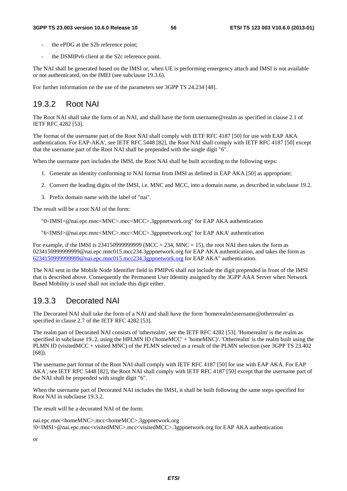- the ePDG at the S2b reference point:
- the DSMIPv6 client at the S2c reference point.

The NAI shall be generated based on the IMSI or, when UE is performing emergency attach and IMSI is not available or not authenticated, on the IMEI (see subclause 19.3.6).

For further information on the use of the parameters see 3GPP TS 24.234 [48].

### 19.3.2 Root NAI

The Root NAI shall take the form of an NAI, and shall have the form username@realm as specified in clause 2.1 of IETF RFC 4282 [53].

The format of the username part of the Root NAI shall comply with IETF RFC 4187 [50] for use with EAP AKA authentication. For EAP-AKA', see IETF RFC 5448 [82], the Root NAI shall comply with IETF RFC 4187 [50] except that the username part of the Root NAI shall be prepended with the single digit "6".

When the username part includes the IMSI, the Root NAI shall be built according to the following steps:

- 1. Generate an identity conforming to NAI format from IMSI as defined in EAP AKA [50] as appropriate;
- 2. Convert the leading digits of the IMSI, i.e. MNC and MCC, into a domain name, as described in subclause 19.2.
- 3. Prefix domain name with the label of "nai".

The result will be a root NAI of the form:

"0<IMSI>@nai.epc.mnc<MNC>.mcc<MCC>.3gppnetwork.org" for EAP AKA authentication

"6<IMSI>@nai.epc.mnc<MNC>.mcc<MCC>.3gppnetwork.org" for EAP AKA' authentication

For example, if the IMSI is  $2341509999999999$  (MCC = 234, MNC = 15), the root NAI then takes the form as 0234150999999999@nai.epc.mnc015.mcc234.3gppnetwork.org for EAP AKA authentication, and takes the form as [6234150999999999@nai.epc.mnc015.mcc234.3gppnetwork.org](mailto:0234150999999999@epc.mnc015.mcc234.3gppnetwork.org) for EAP AKA" authentication.

The NAI sent in the Mobile Node Identifier field in PMIPv6 shall not include the digit prepended in front of the IMSI that is described above. Consequently the Permanent User Identity assigned by the 3GPP AAA Server when Network Based Mobility is used shall not include this digit either.

### 19.3.3 Decorated NAI

The Decorated NAI shall take the form of a NAI and shall have the form 'homerealm!username@otherrealm' as specified in clause 2.7 of the IETF RFC 4282 [53].

The realm part of Decorated NAI consists of 'otherrealm', see the IETF RFC 4282 [53]. 'Homerealm' is the realm as specified in subclause 19..2, using the HPLMN ID ('homeMCC' + 'homeMNC)'. 'Otherrealm' is the realm built using the PLMN ID (visitedMCC + visited MNC) of the PLMN selected as a result of the PLMN selection (see 3GPP TS 23.402 [68]).

The username part format of the Root NAI shall comply with IETF RFC 4187 [50] for use with EAP AKA. For EAP AKA', see IETF RFC 5448 [82], the Root NAI shall comply with IETF RFC 4187 [50] except that the username part of the NAI shall be prepended with single digit "6".

When the username part of Decorated NAI includes the IMSI, it shall be built following the same steps specified for Root NAI in subclause 19.3.2.

The result will be a decorated NAI of the form:

nai.epc.mnc<homeMNC>.mcc<homeMCC>.3gppnetwork.org !0<IMSI>@nai.epc.mnc<visitedMNC>.mcc<visitedMCC>.3gppnetwork.org for EAP AKA authentication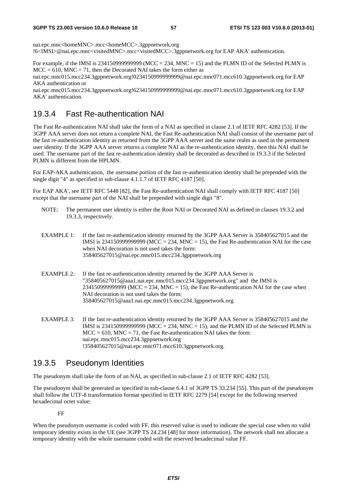nai.epc.mnc<homeMNC>.mcc<homeMCC>.3gppnetwork.org !6<IMSI>@nai.epc.mnc<visitedMNC>.mcc<visitedMCC>.3gppnetwork.org for EAP AKA' authentication.

For example, if the IMSI is  $234150999999999$  (MCC = 234, MNC = 15) and the PLMN ID of the Selected PLMN is  $MCC = 610$ ,  $MNC = 71$ , then the Decorated NAI takes the form either as

nai.epc.mnc015.mcc234.3gppnetwork.org!0234150999999999@nai.epc.mnc071.mcc610.3gppnetwork.org for EAP AKA authentication or

nai.epc.mnc015.mcc234.3gppnetwork.org!6234150999999999@nai.epc.mnc071.mcc610.3gppnetwork.org for EAP AKA' authentication.

### 19.3.4 Fast Re-authentication NAI

The Fast Re-authentication NAI shall take the form of a NAI as specified in clause 2.1 of IETF RFC 4282 [53]. If the 3GPP AAA server does not return a complete NAI, the Fast Re-authentication NAI shall consist of the username part of the fast re-authentication identity as returned from the 3GPP AAA server and the same realm as used in the permanent user identity. If the 3GPP AAA server returns a complete NAI as the re-authentication identity, then this NAI shall be used. The username part of the fast re-authentication identity shall be decorated as described in 19.3.3 if the Selected PLMN is different from the HPLMN.

For EAP-AKA authentication, the username portion of the fast re-authentication identity shall be prepended with the single digit "4" as specified in sub-clause 4.1.1.7 of IETF RFC 4187 [50].

For EAP AKA', see IETF RFC 5448 [82], the Fast Re-authentication NAI shall comply with IETF RFC 4187 [50] except that the username part of the NAI shall be prepended with single digit "8".

- NOTE: The permanent user identity is either the Root NAI or Decorated NAI as defined in clauses 19.3.2 and 19.3.3, respectively.
- EXAMPLE 1: If the fast re-authentication identity returned by the 3GPP AAA Server is 358405627015 and the IMSI is 2341509999999999 (MCC = 234, MNC = 15), the Fast Re-authentication NAI for the case when NAI decoration is not used takes the form: 358405627015@nai.epc.mnc015.mcc234.3gppnetwork.org
- EXAMPLE 2: If the fast re-authentication identity returned by the 3GPP AAA Server is "358405627015@aaa1.nai.epc.mnc015.mcc234.3gppnetwork.org" and the IMSI is  $234150999999999$  (MCC = 234, MNC = 15), the Fast Re-authentication NAI for the case when NAI decoration is not used takes the form: 358405627015@aaa1.nai.epc.mnc015.mcc234.3gppnetwork.org
- EXAMPLE 3: If the fast re-authentication identity returned by the 3GPP AAA Server is 358405627015 and the IMSI is 23415099999999999 (MCC = 234, MNC = 15), and the PLMN ID of the Selected PLMN is  $MCC = 610$ ,  $MNC = 71$ , the Fast Re-authentication NAI takes the form: nai.epc.mnc015.mcc234.3gppnetwork.org !358405627015@nai.epc.mnc071.mcc610.3gppnetwork.org.

#### 19.3.5 Pseudonym Identities

The pseudonym shall take the form of an NAI, as specified in sub-clause 2.1 of IETF RFC 4282 [53].

The pseudonym shall be generated as specified in sub-clause 6.4.1 of 3GPP TS 33.234 [55]. This part of the pseudonym shall follow the UTF-8 transformation format specified in IETF RFC 2279 [54] except for the following reserved hexadecimal octet value:

#### FF

When the pseudonym username is coded with FF, this reserved value is used to indicate the special case when no valid temporary identity exists in the UE (see 3GPP TS 24.234 [48] for more information). The network shall not allocate a temporary identity with the whole username coded with the reserved hexadecimal value FF.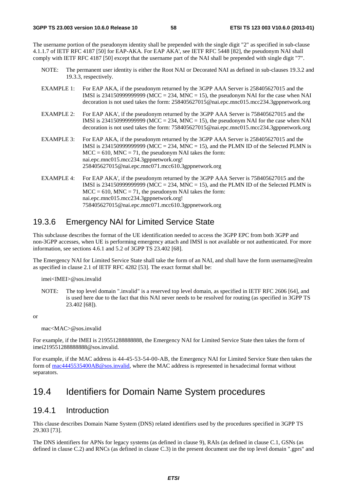The username portion of the pseudonym identity shall be prepended with the single digit "2" as specified in sub-clause 4.1.1.7 of IETF RFC 4187 [50] for EAP-AKA. For EAP AKA', see IETF RFC 5448 [82], the pseudonym NAI shall comply with IETF RFC 4187 [50] except that the username part of the NAI shall be prepended with single digit "7".

- NOTE: The permanent user identity is either the Root NAI or Decorated NAI as defined in sub-clauses 19.3.2 and 19.3.3, respectively.
- EXAMPLE 1: For EAP AKA, if the pseudonym returned by the 3GPP AAA Server is 258405627015 and the IMSI is 234150999999999 (MCC = 234, MNC = 15), the pseudonym NAI for the case when NAI decoration is not used takes the form: 258405627015@nai.epc.mnc015.mcc234.3gppnetwork.org
- EXAMPLE 2: For EAP AKA', if the pseudonym returned by the 3GPP AAA Server is 758405627015 and the IMSI is 234150999999999 (MCC = 234, MNC = 15), the pseudonym NAI for the case when NAI decoration is not used takes the form: 758405627015@nai.epc.mnc015.mcc234.3gppnetwork.org
- EXAMPLE 3: For EAP AKA, if the pseudonym returned by the 3GPP AAA Server is 258405627015 and the IMSI is 2341509999999999 (MCC = 234, MNC = 15), and the PLMN ID of the Selected PLMN is  $MCC = 610$ ,  $MNC = 71$ , the pseudonym NAI takes the form: nai.epc.mnc015.mcc234.3gppnetwork.org! 258405627015@nai.epc.mnc071.mcc610.3gppnetwork.org
- EXAMPLE 4: For EAP AKA', if the pseudonym returned by the 3GPP AAA Server is 758405627015 and the IMSI is 234150999999999 ( $MCC = 234$ ,  $MNC = 15$ ), and the PLMN ID of the Selected PLMN is  $MCC = 610$ ,  $MNC = 71$ , the pseudonym NAI takes the form: nai.epc.mnc015.mcc234.3gppnetwork.org! 758405627015@nai.epc.mnc071.mcc610.3gppnetwork.org

### 19.3.6 Emergency NAI for Limited Service State

This subclause describes the format of the UE identification needed to access the 3GPP EPC from both 3GPP and non-3GPP accesses, when UE is performing emergency attach and IMSI is not available or not authenticated. For more information, see sections 4.6.1 and 5.2 of 3GPP TS 23.402 [68].

The Emergency NAI for Limited Service State shall take the form of an NAI, and shall have the form username@realm as specified in clause 2.1 of IETF RFC 4282 [53]. The exact format shall be:

imei<IMEI>@sos.invalid

NOTE: The top level domain ".invalid" is a reserved top level domain, as specified in IETF RFC 2606 [64], and is used here due to the fact that this NAI never needs to be resolved for routing (as specified in 3GPP TS 23.402 [68]).

or

mac<MAC>@sos.invalid

For example, if the IMEI is 219551288888888, the Emergency NAI for Limited Service State then takes the form of imei219551288888888@sos.invalid.

For example, if the MAC address is 44-45-53-54-00-AB, the Emergency NAI for Limited Service State then takes the form of [mac4445535400AB@sos.invalid,](mailto:mac4445535400AB@sos.invalid) where the MAC address is represented in hexadecimal format without separators.

# 19.4 Identifiers for Domain Name System procedures

#### 19.4.1 Introduction

This clause describes Domain Name System (DNS) related identifiers used by the procedures specified in 3GPP TS 29.303 [73].

The DNS identifiers for APNs for legacy systems (as defined in clause 9), RAIs (as defined in clause C.1, GSNs (as defined in clause C.2) and RNCs (as defined in clause C.3) in the present document use the top level domain ".gprs" and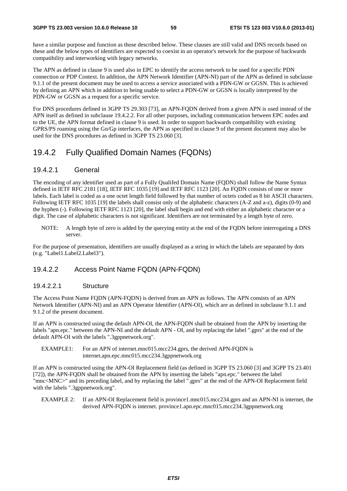have a similar purpose and function as those described below. These clauses are still valid and DNS records based on these and the below types of identifiers are expected to coexist in an operator's network for the purpose of backwards compatibility and interworking with legacy networks.

The APN as defined in clause 9 is used also in EPC to identify the access network to be used for a specific PDN connection or PDP Context. In addition, the APN Network Identifier (APN-NI) part of the APN as defined in subclause 9.1.1 of the present document may be used to access a service associated with a PDN-GW or GGSN. This is achieved by defining an APN which in addition to being usable to select a PDN-GW or GGSN is locally interpreted by the PDN-GW or GGSN as a request for a specific service.

For DNS procedures defined in 3GPP TS 29.303 [73], an APN-FQDN derived from a given APN is used instead of the APN itself as defined in subclause 19.4.2.2. For all other purposes, including communication between EPC nodes and to the UE, the APN format defined in clause 9 is used. In order to support backwards compatibility with existing GPRS/PS roaming using the Gn/Gp interfaces, the APN as specified in clause 9 of the present document may also be used for the DNS procedures as defined in 3GPP TS 23.060 [3].

### 19.4.2 Fully Qualified Domain Names (FQDNs)

#### 19.4.2.1 General

The encoding of any identifier used as part of a Fully Qualifed Domain Name (FQDN) shall follow the Name Syntax defined in IETF RFC 2181 [18], IETF RFC 1035 [19] and IETF RFC 1123 [20]. An FQDN consists of one or more labels. Each label is coded as a one octet length field followed by that number of octets coded as 8 bit ASCII characters. Following IETF RFC 1035 [19] the labels shall consist only of the alphabetic characters (A-Z and a-z), digits (0-9) and the hyphen (-). Following IETF RFC 1123 [20], the label shall begin and end with either an alphabetic character or a digit. The case of alphabetic characters is not significant. Identifiers are not terminated by a length byte of zero.

NOTE: A length byte of zero is added by the querying entity at the end of the FQDN before interrogating a DNS server.

For the purpose of presentation, identifiers are usually displayed as a string in which the labels are separated by dots (e.g. "Label1.Label2.Label3").

#### 19.4.2.2 Access Point Name FQDN (APN-FQDN)

#### 19.4.2.2.1 Structure

The Access Point Name FQDN (APN-FQDN) is derived from an APN as follows. The APN consists of an APN Network Identifier (APN-NI) and an APN Operator Identifier (APN-OI), which are as defined in subclause 9.1.1 and 9.1.2 of the present document.

If an APN is constructed using the default APN-OI, the APN-FQDN shall be obtained from the APN by inserting the labels "apn.epc." between the APN-NI and the default APN - OI, and by replacing the label ".gprs" at the end of the default APN-OI with the labels ".3gppnetwork.org".

EXAMPLE1: For an APN of internet.mnc015.mcc234.gprs, the derived APN-FODN is internet.apn.epc.mnc015.mcc234.3gppnetwork.org

If an APN is constructed using the APN-OI Replacement field (as defined in 3GPP TS 23.060 [3] and 3GPP TS 23.401 [72]), the APN-FQDN shall be obtained from the APN by inserting the labels "apn.epc." between the label "mnc<MNC>" and its preceding label, and by replacing the label ".gprs" at the end of the APN-OI Replacement field with the labels ".3gppnetwork.org".

EXAMPLE 2: If an APN-OI Replacement field is province1.mnc015.mcc234.gprs and an APN-NI is internet, the derived APN-FQDN is internet. province1.apn.epc.mnc015.mcc234.3gppnetwork.org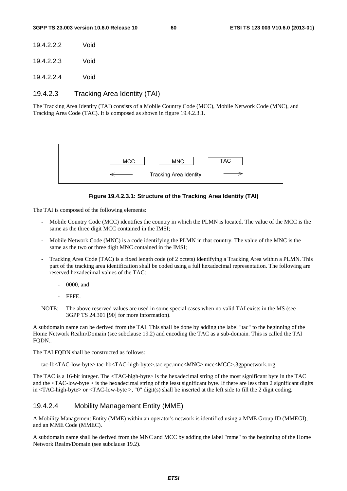| 19.4.2.2.2 | Void |
|------------|------|
|            |      |

19.4.2.2.3 Void

19.4.2.2.4 Void

#### 19.4.2.3 Tracking Area Identity (TAI)

The Tracking Area Identity (TAI) consists of a Mobile Country Code (MCC), Mobile Network Code (MNC), and Tracking Area Code (TAC). It is composed as shown in figure 19.4.2.3.1.



#### **Figure 19.4.2.3.1: Structure of the Tracking Area Identity (TAI)**

The TAI is composed of the following elements:

- Mobile Country Code (MCC) identifies the country in which the PLMN is located. The value of the MCC is the same as the three digit MCC contained in the IMSI;
- Mobile Network Code (MNC) is a code identifying the PLMN in that country. The value of the MNC is the same as the two or three digit MNC contained in the IMSI;
- Tracking Area Code (TAC) is a fixed length code (of 2 octets) identifying a Tracking Area within a PLMN. This part of the tracking area identification shall be coded using a full hexadecimal representation. The following are reserved hexadecimal values of the TAC:
	- 0000, and
	- FFF<sub>E</sub>
- NOTE: The above reserved values are used in some special cases when no valid TAI exists in the MS (see 3GPP TS 24.301 [90] for more information).

A subdomain name can be derived from the TAI. This shall be done by adding the label "tac" to the beginning of the Home Network Realm/Domain (see subclause 19.2) and encoding the TAC as a sub-domain. This is called the TAI FQDN..

The TAI FQDN shall be constructed as follows:

tac-lb<TAC-low-byte>.tac-hb<TAC-high-byte>.tac.epc.mnc<MNC>.mcc<MCC>.3gppnetwork.org

The TAC is a 16-bit integer. The <TAC-high-byte> is the hexadecimal string of the most significant byte in the TAC and the <TAC-low-byte > is the hexadecimal string of the least significant byte. If there are less than 2 significant digits in  $\langle TAC\text{-high-byte}\rangle$  or  $\langle TAC\text{-low-byte}\rangle$ , "0" digit(s) shall be inserted at the left side to fill the 2 digit coding.

#### 19.4.2.4 Mobility Management Entity (MME)

A Mobility Management Entity (MME) within an operator's network is identified using a MME Group ID (MMEGI), and an MME Code (MMEC).

A subdomain name shall be derived from the MNC and MCC by adding the label "mme" to the beginning of the Home Network Realm/Domain (see subclause 19.2).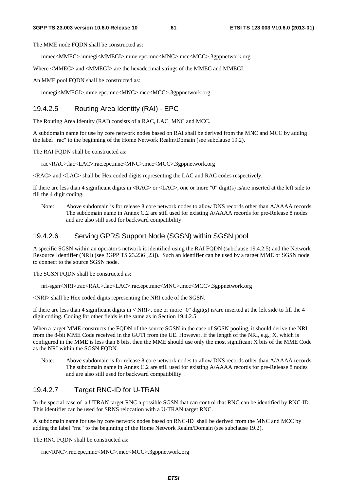The MME node FODN shall be constructed as:

mmec<MMEC>.mmegi<MMEGI>.mme.epc.mnc<MNC>.mcc<MCC>.3gppnetwork.org

Where  $\langle$ MMEC> and  $\langle$ MMEGI> are the hexadecimal strings of the MMEC and MMEGI.

An MME pool FQDN shall be constructed as:

mmegi<MMEGI>.mme.epc.mnc<MNC>.mcc<MCC>.3gppnetwork.org

#### 19.4.2.5 Routing Area Identity (RAI) - EPC

The Routing Area Identity (RAI) consists of a RAC, LAC, MNC and MCC.

A subdomain name for use by core network nodes based on RAI shall be derived from the MNC and MCC by adding the label "rac" to the beginning of the Home Network Realm/Domain (see subclause 19.2).

The RAI FQDN shall be constructed as:

rac<RAC>.lac<LAC>.rac.epc.mnc<MNC>.mcc<MCC>.3gppnetwork.org

<RAC> and <LAC> shall be Hex coded digits representing the LAC and RAC codes respectively.

If there are less than 4 significant digits in <RAC> or <LAC>, one or more "0" digit(s) is/are inserted at the left side to fill the 4 digit coding.

Note: Above subdomain is for release 8 core network nodes to allow DNS records other than A/AAAA records. The subdomain name in Annex C.2 are still used for existing A/AAAA records for pre-Release 8 nodes and are also still used for backward compatibility.

#### 19.4.2.6 Serving GPRS Support Node (SGSN) within SGSN pool

A specific SGSN within an operator's network is identified using the RAI FQDN (subclause 19.4.2.5) and the Network Resource Identifier (NRI) (see 3GPP TS 23.236 [23]). Such an identifier can be used by a target MME or SGSN node to connect to the source SGSN node.

The SGSN FODN shall be constructed as:

nri-sgsn<NRI>.rac<RAC>.lac<LAC>.rac.epc.mnc<MNC>.mcc<MCC>.3gppnetwork.org

<NRI> shall be Hex coded digits representing the NRI code of the SGSN.

If there are less than 4 significant digits in  $\langle NRI \rangle$ , one or more "0" digit(s) is/are inserted at the left side to fill the 4 digit coding. Coding for other fields is the same as in Section 19.4.2.5.

When a target MME constructs the FQDN of the source SGSN in the case of SGSN pooling, it should derive the NRI from the 8-bit MME Code received in the GUTI from the UE. However, if the length of the NRI, e.g., X, which is configured in the MME is less than 8 bits, then the MME should use only the most significant X bits of the MME Code as the NRI within the SGSN FODN.

Note: Above subdomain is for release 8 core network nodes to allow DNS records other than A/AAAA records. The subdomain name in Annex C.2 are still used for existing A/AAAA records for pre-Release 8 nodes and are also still used for backward compatibility. .

#### 19.4.2.7 Target RNC-ID for U-TRAN

In the special case of a UTRAN target RNC a possible SGSN that can control that RNC can be identified by RNC-ID. This identifier can be used for SRNS relocation with a U-TRAN target RNC.

A subdomain name for use by core network nodes based on RNC-ID shall be derived from the MNC and MCC by adding the label "rnc" to the beginning of the Home Network Realm/Domain (see subclause 19.2).

The RNC FQDN shall be constructed as:

```
rnc<RNC>.rnc.epc.mnc<MNC>.mcc<MCC>.3gppnetwork.org
```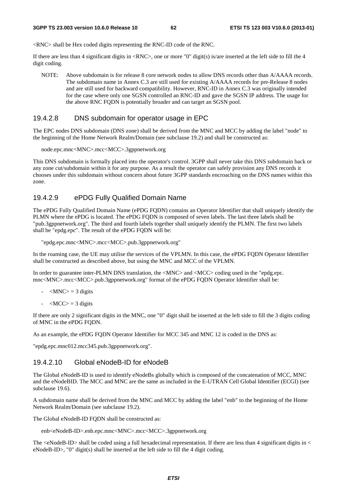<RNC> shall be Hex coded digits representing the RNC-ID code of the RNC.

If there are less than 4 significant digits in  $\langle RNC \rangle$ , one or more "0" digit(s) is/are inserted at the left side to fill the 4 digit coding.

NOTE: Above subdomain is for release 8 core network nodes to allow DNS records other than A/AAAA records. The subdomain name in Annex C.3 are still used for existing A/AAAA records for pre-Release 8 nodes and are still used for backward compatibility. However, RNC-ID in Annex C.3 was originally intended for the case where only one SGSN controlled an RNC-ID and gave the SGSN IP address. The usage for the above RNC FQDN is potentially broader and can target an SGSN pool.

#### 19.4.2.8 DNS subdomain for operator usage in EPC

The EPC nodes DNS subdomain (DNS zone) shall be derived from the MNC and MCC by adding the label "node" to the beginning of the Home Network Realm/Domain (see subclause 19.2) and shall be constructed as:

```
node.epc.mnc<MNC>.mcc<MCC>.3gppnetwork.org
```
This DNS subdomain is formally placed into the operator's control. 3GPP shall never take this DNS subdomain back or any zone cut/subdomain within it for any purpose. As a result the operator can safely provision any DNS records it chooses under this subdomain without concern about future 3GPP standards encroaching on the DNS names within this zone.

#### 19.4.2.9 ePDG Fully Qualified Domain Name

The ePDG Fully Qualified Domain Name (ePDG FQDN) contains an Operator Identifier that shall uniquely identify the PLMN where the ePDG is located. The ePDG FQDN is composed of seven labels. The last three labels shall be "pub.3gppnetwork.org". The third and fourth labels together shall uniquely identify the PLMN. The first two labels shall be "epdg.epc". The result of the ePDG FQDN will be:

```
"epdg.epc.mnc<MNC>.mcc<MCC>.pub.3gppnetwork.org"
```
In the roaming case, the UE may utilise the services of the VPLMN. In this case, the ePDG FQDN Operator Identifier shall be constructed as described above, but using the MNC and MCC of the VPLMN.

In order to guarantee inter-PLMN DNS translation, the <MNC> and <MCC> coding used in the "epdg.epc. mnc<MNC>.mcc<MCC>.pub.3gppnetwork.org" format of the ePDG FQDN Operator Identifier shall be:

- $-MNC$  = 3 digits
- $-MCC$  = 3 digits

If there are only 2 significant digits in the MNC, one "0" digit shall be inserted at the left side to fill the 3 digits coding of MNC in the ePDG FQDN.

As an example, the ePDG FQDN Operator Identifier for MCC 345 and MNC 12 is coded in the DNS as:

"epdg.epc.mnc012.mcc345.pub.3gppnetwork.org".

#### 19.4.2.10 Global eNodeB-ID for eNodeB

The Global eNodeB-ID is used to identify eNodeBs globally which is composed of the concatenation of MCC, MNC and the eNodeBID. The MCC and MNC are the same as included in the E-UTRAN Cell Global Identifier (ECGI) (see subclause 19.6).

A subdomain name shall be derived from the MNC and MCC by adding the label "enb" to the beginning of the Home Network Realm/Domain (see subclause 19.2).

The Global eNodeB-ID FQDN shall be constructed as:

```
enb<eNodeB-ID>.enb.epc.mnc<MNC>.mcc<MCC>.3gppnetwork.org
```
The  $\leq$ NodeB-ID $>$ shall be coded using a full hexadecimal representation. If there are less than 4 significant digits in  $\leq$ eNodeB-ID>, "0" digit(s) shall be inserted at the left side to fill the 4 digit coding.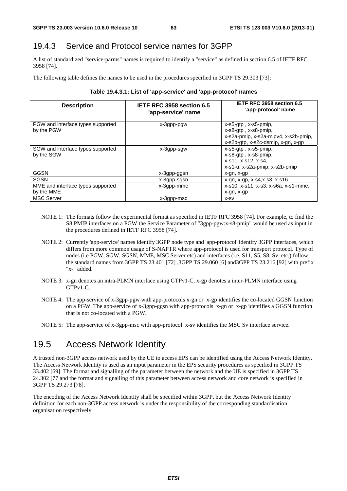# 19.4.3 Service and Protocol service names for 3GPP

A list of standardized "service-parms" names is required to identify a "service" as defined in section 6.5 of IETF RFC 3958 [74].

The following table defines the names to be used in the procedures specified in 3GPP TS 29.303 [73]:

| <b>Description</b>                              | IETF RFC 3958 section 6.5<br>'app-service' name | IETF RFC 3958 section 6.5<br>'app-protocol' name                                                                                               |
|-------------------------------------------------|-------------------------------------------------|------------------------------------------------------------------------------------------------------------------------------------------------|
| PGW and interface types supported<br>by the PGW | x-3gpp-pgw                                      | $x$ -s5-gtp, $x$ -s5-pmip,<br>$x$ -s $8$ -qtp, $x$ -s $8$ -pmip,<br>x-s2a-pmip, x-s2a-mipv4, x-s2b-pmip,<br>x-s2b-gtp, x-s2c-dsmip, x-gn, x-gp |
| SGW and interface types supported<br>by the SGW | x-3gpp-sgw                                      | x-s5-gtp, x-s5-pmip,<br>x-s8-gtp, x-s8-pmip,<br>x-s11, x-s12, x-s4,<br>x-s1-u, x-s2a-pmip, x-s2b-pmip                                          |
| GGSN                                            | x-3gpp-ggsn                                     | x-gn, x-gp                                                                                                                                     |
| SGSN                                            | x-3gpp-sgsn                                     | $x-gn, x-gp, x-s4, x-s3, x-s16$                                                                                                                |
| MME and interface types supported<br>by the MME | x-3qpp-mme                                      | x-s10, x-s11, x-s3, x-s6a, x-s1-mme,<br>x-gn, x-gp                                                                                             |
| <b>MSC Server</b>                               | x-3gpp-msc                                      | X-SV                                                                                                                                           |

#### **Table 19.4.3.1: List of 'app-service' and 'app-protocol' names**

- NOTE 1: The formats follow the experimental format as specified in IETF RFC 3958 [74]. For example, to find the S8 PMIP interfaces on a PGW the Service Parameter of "3gpp-pgw:x-s8-pmip" would be used as input in the procedures defined in IETF RFC 3958 [74].
- NOTE 2: Currently 'app-service' names identify 3GPP node type and 'app-protocol' identify 3GPP interfaces, which differs from more common usage of S-NAPTR where app-protocol is used for transport protocol. Type of nodes (i.e PGW, SGW, SGSN, MME, MSC Server etc) and interfaces (i.e. S11, S5, S8, Sv, etc.) follow the standard names from 3GPP TS 23.401 [72] ,3GPP TS 29.060 [6] and3GPP TS 23.216 [92] with prefix "x-" added.
- NOTE 3: x-gn denotes an intra-PLMN interface using GTPv1-C, x-gp denotes a inter-PLMN interface using GTPv1-C.
- NOTE 4: The app-service of x-3gpp-pgw with app-protocols x-gn or x-gp identifies the co-located GGSN function on a PGW. The app-service of x-3gpp-ggsn with app-protocols x-gn or x-gp identifies a GGSN function that is not co-located with a PGW.
- NOTE 5: The app-service of x-3gpp-msc with app-protocol x-sv identifies the MSC Sv interface service.

# 19.5 Access Network Identity

A trusted non-3GPP access network used by the UE to access EPS can be identified using the Access Network Identity. The Access Network Identity is used as an input parameter in the EPS security procedures as specified in 3GPP TS 33.402 [69]. The format and signalling of the parameter between the network and the UE is specified in 3GPP TS 24.302 [77 and the format and signalling of this parameter between access network and core network is specified in 3GPP TS 29.273 [78].

The encoding of the Access Network Identity shall be specified within 3GPP, but the Access Network Identity definition for each non-3GPP access network is under the responsibility of the corresponding standardisation organisation respectively.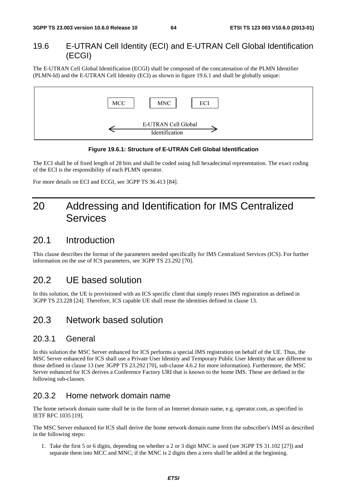#### 19.6 E-UTRAN Cell Identity (ECI) and E-UTRAN Cell Global Identification (ECGI)

The E-UTRAN Cell Global Identification (ECGI) shall be composed of the concatenation of the PLMN Identifier (PLMN-Id) and the E-UTRAN Cell Identity (ECI) as shown in figure 19.6.1 and shall be globally unique:



#### **Figure 19.6.1: Structure of E-UTRAN Cell Global Identification**

The ECI shall be of fixed length of 28 bits and shall be coded using full hexadecimal representation. The exact coding of the ECI is the responsibility of each PLMN operator.

For more details on ECI and ECGI, see 3GPP TS 36.413 [84].

# 20 Addressing and Identification for IMS Centralized **Services**

# 20.1 Introduction

This clause describes the format of the parameters needed specifically for IMS Centralized Services (ICS). For further information on the use of ICS parameters, see 3GPP TS 23.292 [70].

# 20.2 UE based solution

In this solution, the UE is provisioned with an ICS specific client that simply reuses IMS registration as defined in 3GPP TS 23.228 [24]. Therefore, ICS capable UE shall reuse the identities defined in clause 13.

# 20.3 Network based solution

#### 20.3.1 General

In this solution the MSC Server enhanced for ICS performs a special IMS registration on behalf of the UE. Thus, the MSC Server enhanced for ICS shall use a Private User Identity and Temporary Public User Identity that are different to those defined in clause 13 (see 3GPP TS 23.292 [70], sub-clause 4.6.2 for more information). Furthermore, the MSC Server enhanced for ICS derives a Conference Factory URI that is known to the home IMS. These are defined in the following sub-clauses.

### 20.3.2 Home network domain name

The home network domain name shall be in the form of an Internet domain name, e.g. operator.com, as specified in IETF RFC 1035 [19].

The MSC Server enhanced for ICS shall derive the home network domain name from the subscriber's IMSI as described in the following steps:

1. Take the first 5 or 6 digits, depending on whether a 2 or 3 digit MNC is used (see 3GPP TS 31.102 [27]) and separate them into MCC and MNC; if the MNC is 2 digits then a zero shall be added at the beginning.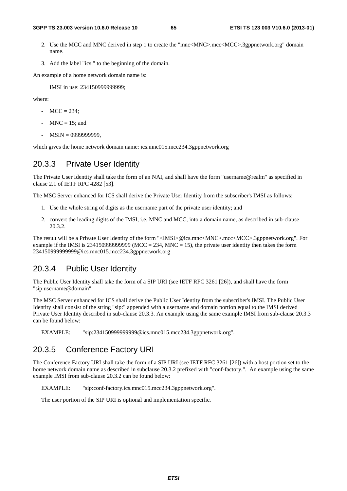- 2. Use the MCC and MNC derived in step 1 to create the "mnc<MNC>.mcc<MCC>.3gppnetwork.org" domain name.
- 3. Add the label "ics." to the beginning of the domain.

An example of a home network domain name is:

IMSI in use: 234150999999999;

where:

- $MCC = 234$ ;
- $MNC = 15$ ; and
- MSIN = 0999999999,

which gives the home network domain name: ics.mnc015.mcc234.3gppnetwork.org

#### 20.3.3 Private User Identity

The Private User Identity shall take the form of an NAI, and shall have the form "username@realm" as specified in clause 2.1 of IETF RFC 4282 [53].

The MSC Server enhanced for ICS shall derive the Private User Identity from the subscriber's IMSI as follows:

- 1. Use the whole string of digits as the username part of the private user identity; and
- 2. convert the leading digits of the IMSI, i.e. MNC and MCC, into a domain name, as described in sub-clause 20.3.2.

The result will be a Private User Identity of the form "<IMSI>@ics.mnc<MNC>.mcc<MCC>.3gppnetwork.org". For example if the IMSI is 2341509999999999 (MCC = 234, MNC = 15), the private user identity then takes the form 234150999999999@ics.mnc015.mcc234.3gppnetwork.org

### 20.3.4 Public User Identity

The Public User Identity shall take the form of a SIP URI (see IETF RFC 3261 [26]), and shall have the form "sip:username@domain".

The MSC Server enhanced for ICS shall derive the Public User Identity from the subscriber's IMSI. The Public User Identity shall consist of the string "sip:" appended with a username and domain portion equal to the IMSI derived Private User Identity described in sub-clause 20.3.3. An example using the same example IMSI from sub-clause 20.3.3 can be found below:

EXAMPLE: "sip:234150999999999@ics.mnc015.mcc234.3gppnetwork.org".

#### 20.3.5 Conference Factory URI

The Conference Factory URI shall take the form of a SIP URI (see IETF RFC 3261 [26]) with a host portion set to the home network domain name as described in subclause 20.3.2 prefixed with "conf-factory.". An example using the same example IMSI from sub-clause 20.3.2 can be found below:

EXAMPLE: "sip:conf-factory.ics.mnc015.mcc234.3gppnetwork.org".

The user portion of the SIP URI is optional and implementation specific.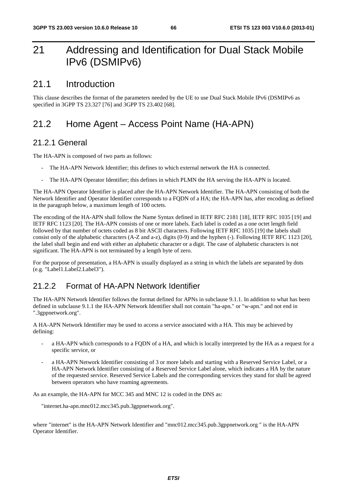# 21 Addressing and Identification for Dual Stack Mobile IPv6 (DSMIPv6)

### 21.1 Introduction

This clause describes the format of the parameters needed by the UE to use Dual Stack Mobile IPv6 (DSMIPv6 as specified in 3GPP TS 23.327 [76] and 3GPP TS 23.402 [68].

# 21.2 Home Agent – Access Point Name (HA-APN)

#### 21.2.1 General

The HA-APN is composed of two parts as follows:

- The HA-APN Network Identifier; this defines to which external network the HA is connected.
- The HA-APN Operator Identifier; this defines in which PLMN the HA serving the HA-APN is located.

The HA-APN Operator Identifier is placed after the HA-APN Network Identifier. The HA-APN consisting of both the Network Identifier and Operator Identifier corresponds to a FQDN of a HA; the HA-APN has, after encoding as defined in the paragraph below, a maximum length of 100 octets.

The encoding of the HA-APN shall follow the Name Syntax defined in IETF RFC 2181 [18], IETF RFC 1035 [19] and IETF RFC 1123 [20]. The HA-APN consists of one or more labels. Each label is coded as a one octet length field followed by that number of octets coded as 8 bit ASCII characters. Following IETF RFC 1035 [19] the labels shall consist only of the alphabetic characters (A-Z and a-z), digits (0-9) and the hyphen (-). Following IETF RFC 1123 [20], the label shall begin and end with either an alphabetic character or a digit. The case of alphabetic characters is not significant. The HA-APN is not terminated by a length byte of zero.

For the purpose of presentation, a HA-APN is usually displayed as a string in which the labels are separated by dots (e.g. "Label1.Label2.Label3").

## 21.2.2 Format of HA-APN Network Identifier

The HA-APN Network Identifier follows the format defined for APNs in subclause 9.1.1. In addition to what has been defined in subclause 9.1.1 the HA-APN Network Identifier shall not contain "ha-apn." or "w-apn." and not end in ".3gppnetwork.org".

A HA-APN Network Identifier may be used to access a service associated with a HA. This may be achieved by defining:

- a HA-APN which corresponds to a FODN of a HA, and which is locally interpreted by the HA as a request for a specific service, or
- a HA-APN Network Identifier consisting of 3 or more labels and starting with a Reserved Service Label, or a HA-APN Network Identifier consisting of a Reserved Service Label alone, which indicates a HA by the nature of the requested service. Reserved Service Labels and the corresponding services they stand for shall be agreed between operators who have roaming agreements.

As an example, the HA-APN for MCC 345 and MNC 12 is coded in the DNS as:

"internet.ha-apn.mnc012.mcc345.pub.3gppnetwork.org".

where "internet" is the HA-APN Network Identifier and "mnc012.mcc345.pub.3gppnetwork.org " is the HA-APN Operator Identifier.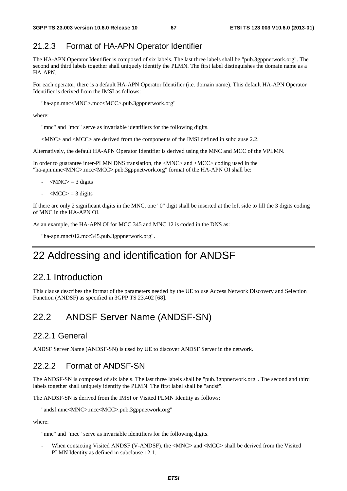### 21.2.3 Format of HA-APN Operator Identifier

The HA-APN Operator Identifier is composed of six labels. The last three labels shall be "pub.3gppnetwork.org". The second and third labels together shall uniquely identify the PLMN. The first label distinguishes the domain name as a HA-APN.

For each operator, there is a default HA-APN Operator Identifier (i.e. domain name). This default HA-APN Operator Identifier is derived from the IMSI as follows:

"ha-apn.mnc<MNC>.mcc<MCC>.pub.3gppnetwork.org"

where:

"mnc" and "mcc" serve as invariable identifiers for the following digits.

<MNC> and <MCC> are derived from the components of the IMSI defined in subclause 2.2.

Alternatively, the default HA-APN Operator Identifier is derived using the MNC and MCC of the VPLMN.

In order to guarantee inter-PLMN DNS translation, the <MNC> and <MCC> coding used in the "ha-apn.mnc<MNC>.mcc<MCC>.pub.3gppnetwork.org" format of the HA-APN OI shall be:

- $-MNC$  = 3 digits
- $-MCC$  = 3 digits

If there are only 2 significant digits in the MNC, one "0" digit shall be inserted at the left side to fill the 3 digits coding of MNC in the HA-APN OI.

As an example, the HA-APN OI for MCC 345 and MNC 12 is coded in the DNS as:

"ha-apn.mnc012.mcc345.pub.3gppnetwork.org".

# 22 Addressing and identification for ANDSF

## 22.1 Introduction

This clause describes the format of the parameters needed by the UE to use Access Network Discovery and Selection Function (ANDSF) as specified in 3GPP TS 23.402 [68].

# 22.2 ANDSF Server Name (ANDSF-SN)

#### 22.2.1 General

ANDSF Server Name (ANDSF-SN) is used by UE to discover ANDSF Server in the network.

#### 22.2.2 Format of ANDSF-SN

The ANDSF-SN is composed of six labels. The last three labels shall be "pub.3gppnetwork.org". The second and third labels together shall uniquely identify the PLMN. The first label shall be "andsf".

The ANDSF-SN is derived from the IMSI or Visited PLMN Identity as follows:

```
"andsf.mnc<MNC>.mcc<MCC>.pub.3gppnetwork.org"
```
where:

"mnc" and "mcc" serve as invariable identifiers for the following digits.

When contacting Visited ANDSF (V-ANDSF), the <MNC> and <MCC> shall be derived from the Visited PLMN Identity as defined in subclause 12.1.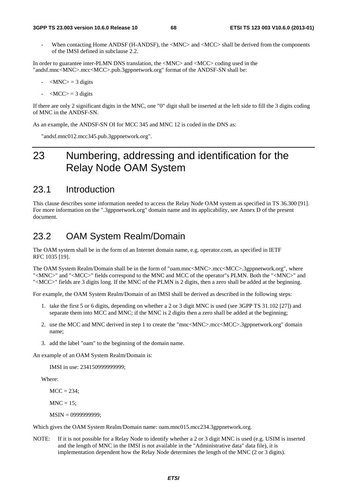When contacting Home ANDSF (H-ANDSF), the <MNC> and <MCC> shall be derived from the components of the IMSI defined in subclause 2.2.

In order to guarantee inter-PLMN DNS translation, the <MNC> and <MCC> coding used in the "andsf.mnc<MNC>.mcc<MCC>.pub.3gppnetwork.org" format of the ANDSF-SN shall be:

- $-MNC$  = 3 digits
- $\langle \text{MCC} \rangle = 3$  digits

If there are only 2 significant digits in the MNC, one "0" digit shall be inserted at the left side to fill the 3 digits coding of MNC in the ANDSF-SN.

As an example, the ANDSF-SN OI for MCC 345 and MNC 12 is coded in the DNS as:

"andsf.mnc012.mcc345.pub.3gppnetwork.org".

# 23 Numbering, addressing and identification for the Relay Node OAM System

## 23.1 Introduction

This clause describes some information needed to access the Relay Node OAM system as specified in TS 36.300 [91]. For more information on the ".3gppnetwork.org" domain name and its applicability, see Annex D of the present document.

## 23.2 OAM System Realm/Domain

The OAM system shall be in the form of an Internet domain name, e.g. operator.com, as specified in IETF RFC 1035 [19].

The OAM System Realm/Domain shall be in the form of "oam.mnc<MNC>.mcc<MCC>.3gppnetwork.org", where "<MNC>" and "<MCC>" fields correspond to the MNC and MCC of the operator"s PLMN. Both the "<MNC>" and "<MCC>" fields are 3 digits long. If the MNC of the PLMN is 2 digits, then a zero shall be added at the beginning.

For example, the OAM System Realm/Domain of an IMSI shall be derived as described in the following steps:

- 1. take the first 5 or 6 digits, depending on whether a 2 or 3 digit MNC is used (see 3GPP TS 31.102 [27]) and separate them into MCC and MNC; if the MNC is 2 digits then a zero shall be added at the beginning;
- 2. use the MCC and MNC derived in step 1 to create the "mnc<MNC>.mcc<MCC>.3gppnetwork.org" domain name;
- 3. add the label "oam" to the beginning of the domain name.

An example of an OAM System Realm/Domain is:

IMSI in use: 234150999999999;

Where:

 $MCC = 234$ ;

 $MNC = 15$ :

MSIN = 0999999999;

Which gives the OAM System Realm/Domain name: oam.mnc015.mcc234.3gppnetwork.org.

NOTE: If it is not possible for a Relay Node to identify whether a 2 or 3 digit MNC is used (e.g. USIM is inserted and the length of MNC in the IMSI is not available in the "Administrative data" data file), it is implementation dependent how the Relay Node determines the length of the MNC (2 or 3 digits).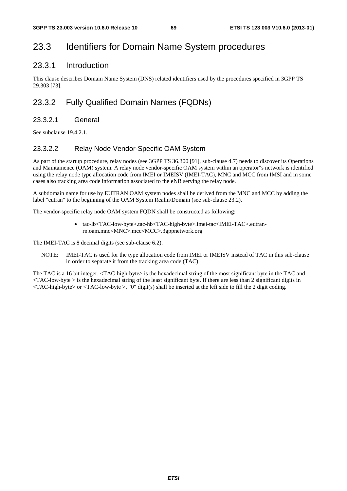# 23.3 Identifiers for Domain Name System procedures

### 23.3.1 Introduction

This clause describes Domain Name System (DNS) related identifiers used by the procedures specified in 3GPP TS 29.303 [73].

### 23.3.2 Fully Qualified Domain Names (FQDNs)

#### 23.3.2.1 General

See subclause 19.4.2.1.

#### 23.3.2.2 Relay Node Vendor-Specific OAM System

As part of the startup procedure, relay nodes (see 3GPP TS 36.300 [91], sub-clause 4.7) needs to discover its Operations and Maintainence (OAM) system. A relay node vendor-specific OAM system within an operator"s network is identified using the relay node type allocation code from IMEI or IMEISV (IMEI-TAC), MNC and MCC from IMSI and in some cases also tracking area code information associated to the eNB serving the relay node.

A subdomain name for use by EUTRAN OAM system nodes shall be derived from the MNC and MCC by adding the label "eutran" to the beginning of the OAM System Realm/Domain (see sub-clause 23.2).

The vendor-specific relay node OAM system FQDN shall be constructed as following:

• tac-lb<TAC-low-byte>.tac-hb<TAC-high-byte>.imei-tac<IMEI-TAC>.eutranrn.oam.mnc<MNC>.mcc<MCC>.3gppnetwork.org

The IMEI-TAC is 8 decimal digits (see sub-clause 6.2).

NOTE: IMEI-TAC is used for the type allocation code from IMEI or IMEISV instead of TAC in this sub-clause in order to separate it from the tracking area code (TAC).

The TAC is a 16 bit integer. <TAC-high-byte> is the hexadecimal string of the most significant byte in the TAC and <TAC-low-byte > is the hexadecimal string of the least significant byte. If there are less than 2 significant digits in <TAC-high-byte> or <TAC-low-byte >, "0" digit(s) shall be inserted at the left side to fill the 2 digit coding.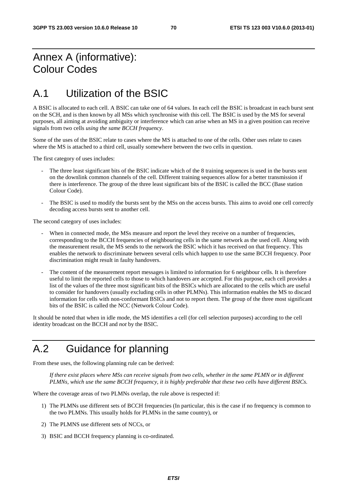# Annex A (informative): Colour Codes

# A.1 Utilization of the BSIC

A BSIC is allocated to each cell. A BSIC can take one of 64 values. In each cell the BSIC is broadcast in each burst sent on the SCH, and is then known by all MSs which synchronise with this cell. The BSIC is used by the MS for several purposes, all aiming at avoiding ambiguity or interference which can arise when an MS in a given position can receive signals from two cells *using the same BCCH frequency*.

Some of the uses of the BSIC relate to cases where the MS is attached to one of the cells. Other uses relate to cases where the MS is attached to a third cell, usually somewhere between the two cells in question.

The first category of uses includes:

- The three least significant bits of the BSIC indicate which of the 8 training sequences is used in the bursts sent on the downlink common channels of the cell. Different training sequences allow for a better transmission if there is interference. The group of the three least significant bits of the BSIC is called the BCC (Base station Colour Code).
- The BSIC is used to modify the bursts sent by the MSs on the access bursts. This aims to avoid one cell correctly decoding access bursts sent to another cell.

The second category of uses includes:

- When in connected mode, the MSs measure and report the level they receive on a number of frequencies, corresponding to the BCCH frequencies of neighbouring cells in the same network as the used cell. Along with the measurement result, the MS sends to the network the BSIC which it has received on that frequency. This enables the network to discriminate between several cells which happen to use the same BCCH frequency. Poor discrimination might result in faulty handovers.
- The content of the measurement report messages is limited to information for 6 neighbour cells. It is therefore useful to limit the reported cells to those to which handovers are accepted. For this purpose, each cell provides a list of the values of the three most significant bits of the BSICs which are allocated to the cells which are useful to consider for handovers (usually excluding cells in other PLMNs). This information enables the MS to discard information for cells with non-conformant BSICs and not to report them. The group of the three most significant bits of the BSIC is called the NCC (Network Colour Code).

It should be noted that when in idle mode, the MS identifies a cell (for cell selection purposes) according to the cell identity broadcast on the BCCH and *not* by the BSIC.

# A.2 Guidance for planning

From these uses, the following planning rule can be derived:

 *If there exist places where MSs can receive signals from two cells, whether in the same PLMN or in different PLMNs, which use the same BCCH frequency, it is highly preferable that these two cells have different BSICs.* 

Where the coverage areas of two PLMNs overlap, the rule above is respected if:

- 1) The PLMNs use different sets of BCCH frequencies (In particular, this is the case if no frequency is common to the two PLMNs. This usually holds for PLMNs in the same country), or
- 2) The PLMNS use different sets of NCCs, or
- 3) BSIC and BCCH frequency planning is co-ordinated.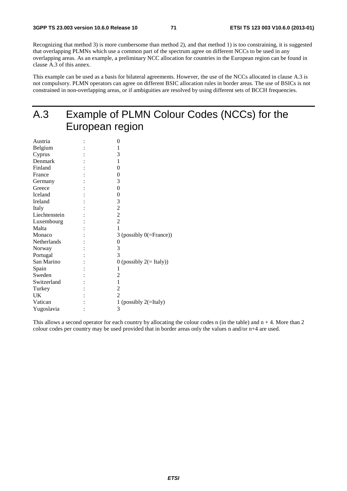Recognizing that method 3) is more cumbersome than method 2), and that method 1) is too constraining, it is suggested that overlapping PLMNs which use a common part of the spectrum agree on different NCCs to be used in any overlapping areas. As an example, a preliminary NCC allocation for countries in the European region can be found in clause A.3 of this annex.

This example can be used as a basis for bilateral agreements. However, the use of the NCCs allocated in clause A.3 is not compulsory. PLMN operators can agree on different BSIC allocation rules in border areas. The use of BSICs is not constrained in non-overlapping areas, or if ambiguities are resolved by using different sets of BCCH frequencies.

# A.3 Example of PLMN Colour Codes (NCCs) for the European region

| 0                           |
|-----------------------------|
| 1                           |
| 3                           |
| 1                           |
| 0                           |
| 0                           |
| 3                           |
| $\boldsymbol{0}$            |
| 0                           |
| 3                           |
| $\overline{c}$              |
| $\overline{c}$              |
| $\overline{2}$              |
| 1                           |
| 3 (possibly $0$ (=France))  |
| 0                           |
| 3                           |
| 3                           |
| 0 (possibly $2 (= Italy)$ ) |
| 1                           |
| 2                           |
| 1                           |
| $\overline{c}$              |
| $\overline{2}$              |
| 1 (possibly $2($ =Italy)    |
| 3                           |
|                             |

This allows a second operator for each country by allocating the colour codes n (in the table) and  $n + 4$ . More than 2 colour codes per country may be used provided that in border areas only the values n and/or n+4 are used.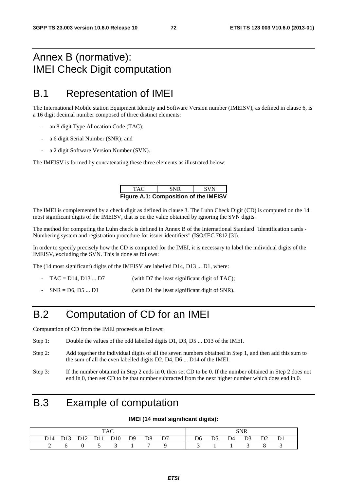#### Annex B (normative): IMEI Check Digit computation

#### B.1 Representation of IMEI

The International Mobile station Equipment Identity and Software Version number (IMEISV), as defined in clause 6, is a 16 digit decimal number composed of three distinct elements:

- an 8 digit Type Allocation Code (TAC);
- a 6 digit Serial Number (SNR); and
- a 2 digit Software Version Number (SVN).

The IMEISV is formed by concatenating these three elements as illustrated below:

| TAC.                                         | <b>SNR</b> | <b>SVN</b> |
|----------------------------------------------|------------|------------|
| <b>Figure A.1: Composition of the IMEISV</b> |            |            |

The IMEI is complemented by a check digit as defined in clause 3. The Luhn Check Digit (CD) is computed on the 14 most significant digits of the IMEISV, that is on the value obtained by ignoring the SVN digits.

The method for computing the Luhn check is defined in Annex B of the International Standard "Identification cards - Numbering system and registration procedure for issuer identifiers" (ISO/IEC 7812 [3]).

In order to specify precisely how the CD is computed for the IMEI, it is necessary to label the individual digits of the IMEISV, excluding the SVN. This is done as follows:

The (14 most significant) digits of the IMEISV are labelled D14, D13 ... D1, where:

- $TAC = D14, D13 \dots D7$  (with D7 the least significant digit of TAC);
- $SNR = D6, D5 ... D1$  (with D1 the least significant digit of SNR).

#### B.2 Computation of CD for an IMEI

Computation of CD from the IMEI proceeds as follows:

- Step 1: Double the values of the odd labelled digits D1, D3, D5 ... D13 of the IMEI.
- Step 2: Add together the individual digits of all the seven numbers obtained in Step 1, and then add this sum to the sum of all the even labelled digits D2, D4, D6 ... D14 of the IMEI.
- Step 3: If the number obtained in Step 2 ends in 0, then set CD to be 0. If the number obtained in Step 2 does not end in 0, then set CD to be that number subtracted from the next higher number which does end in 0.

#### B.3 Example of computation

#### **IMEI (14 most significant digits):**

|  |  |  |  |                              |  |  |  |  | SNR |                                                                                           |  |  |
|--|--|--|--|------------------------------|--|--|--|--|-----|-------------------------------------------------------------------------------------------|--|--|
|  |  |  |  | D14 D13 D12 D11 D10 D9 D8 D7 |  |  |  |  |     | D <sub>6</sub> D <sub>5</sub> D <sub>4</sub> D <sub>3</sub> D <sub>2</sub> D <sub>1</sub> |  |  |
|  |  |  |  | $0 \t 5 \t 3 \t 1$           |  |  |  |  |     |                                                                                           |  |  |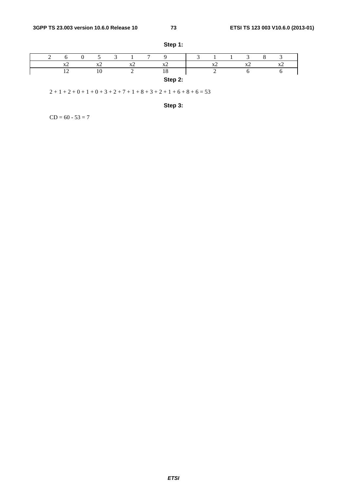|  |                          |                          |           | $\mathbf{r}$ |                       |  |           |                |                          |
|--|--------------------------|--------------------------|-----------|--------------|-----------------------|--|-----------|----------------|--------------------------|
|  | $\overline{\phantom{a}}$ | $\mathbf{v}$<br>$\Delta$ | $\Lambda$ |              | <b>Tr</b><br>$\Delta$ |  | $\Lambda$ | <b>TP</b><br>- | $\overline{\phantom{a}}$ |
|  |                          | 10                       |           |              | 10                    |  |           |                |                          |
|  |                          |                          |           |              | Step 2:               |  |           |                |                          |

**Step 1:** 

 $2 + 1 + 2 + 0 + 1 + 0 + 3 + 2 + 7 + 1 + 8 + 3 + 2 + 1 + 6 + 8 + 6 = 53$ 

**Step 3:** 

 $CD = 60 - 53 = 7$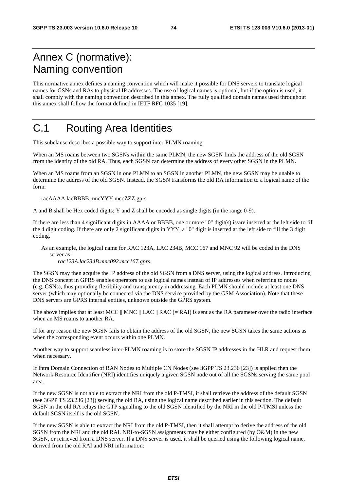### Annex C (normative): Naming convention

This normative annex defines a naming convention which will make it possible for DNS servers to translate logical names for GSNs and RAs to physical IP addresses. The use of logical names is optional, but if the option is used, it shall comply with the naming convention described in this annex. The fully qualified domain names used throughout this annex shall follow the format defined in IETF RFC 1035 [19].

## C.1 Routing Area Identities

This subclause describes a possible way to support inter-PLMN roaming.

When an MS roams between two SGSNs within the same PLMN, the new SGSN finds the address of the old SGSN from the identity of the old RA. Thus, each SGSN can determine the address of every other SGSN in the PLMN.

When an MS roams from an SGSN in one PLMN to an SGSN in another PLMN, the new SGSN may be unable to determine the address of the old SGSN. Instead, the SGSN transforms the old RA information to a logical name of the form:

racAAAA.lacBBBB.mncYYY.mccZZZ.gprs

A and B shall be Hex coded digits; Y and Z shall be encoded as single digits (in the range 0-9).

If there are less than 4 significant digits in AAAA or BBBB, one or more "0" digit(s) is/are inserted at the left side to fill the 4 digit coding. If there are only 2 significant digits in YYY, a "0" digit is inserted at the left side to fill the 3 digit coding.

As an example, the logical name for RAC 123A, LAC 234B, MCC 167 and MNC 92 will be coded in the DNS server as:

*rac123A.lac234B.mnc092.mcc167.gprs*.

The SGSN may then acquire the IP address of the old SGSN from a DNS server, using the logical address. Introducing the DNS concept in GPRS enables operators to use logical names instead of IP addresses when referring to nodes (e.g. GSNs), thus providing flexibility and transparency in addressing. Each PLMN should include at least one DNS server (which may optionally be connected via the DNS service provided by the GSM Association). Note that these DNS servers are GPRS internal entities, unknown outside the GPRS system.

The above implies that at least MCC  $\parallel$  MNC  $\parallel$  LAC  $\parallel$  RAC (= RAI) is sent as the RA parameter over the radio interface when an MS roams to another RA.

If for any reason the new SGSN fails to obtain the address of the old SGSN, the new SGSN takes the same actions as when the corresponding event occurs within one PLMN.

Another way to support seamless inter-PLMN roaming is to store the SGSN IP addresses in the HLR and request them when necessary.

If Intra Domain Connection of RAN Nodes to Multiple CN Nodes (see 3GPP TS 23.236 [23]) is applied then the Network Resource Identifier (NRI) identifies uniquely a given SGSN node out of all the SGSNs serving the same pool area.

If the new SGSN is not able to extract the NRI from the old P-TMSI, it shall retrieve the address of the default SGSN (see 3GPP TS 23.236 [23]) serving the old RA, using the logical name described earlier in this section. The default SGSN in the old RA relays the GTP signalling to the old SGSN identified by the NRI in the old P-TMSI unless the default SGSN itself is the old SGSN.

If the new SGSN is able to extract the NRI from the old P-TMSI, then it shall attempt to derive the address of the old SGSN from the NRI and the old RAI. NRI-to-SGSN assignments may be either configured (by O&M) in the new SGSN, or retrieved from a DNS server. If a DNS server is used, it shall be queried using the following logical name, derived from the old RAI and NRI information: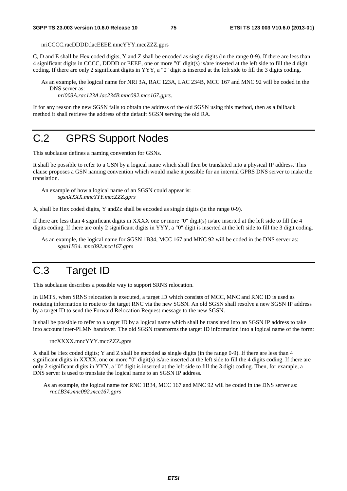nriCCCC.racDDDD.lacEEEE.mncYYY.mccZZZ.gprs

C, D and E shall be Hex coded digits, Y and Z shall be encoded as single digits (in the range 0-9). If there are less than 4 significant digits in CCCC, DDDD or EEEE, one or more "0" digit(s) is/are inserted at the left side to fill the 4 digit coding. If there are only 2 significant digits in YYY, a "0" digit is inserted at the left side to fill the 3 digits coding.

As an example, the logical name for NRI 3A, RAC 123A, LAC 234B, MCC 167 and MNC 92 will be coded in the DNS server as:

*nri003A.rac123A.lac234B.mnc092.mcc167.gprs*.

If for any reason the new SGSN fails to obtain the address of the old SGSN using this method, then as a fallback method it shall retrieve the address of the default SGSN serving the old RA.

#### C.2 GPRS Support Nodes

This subclause defines a naming convention for GSNs.

It shall be possible to refer to a GSN by a logical name which shall then be translated into a physical IP address. This clause proposes a GSN naming convention which would make it possible for an internal GPRS DNS server to make the translation.

An example of how a logical name of an SGSN could appear is: *sgsnXXXX.mncYYY.mccZZZ.gprs* 

X, shall be Hex coded digits, Y andZz shall be encoded as single digits (in the range 0-9)*.* 

If there are less than 4 significant digits in XXXX one or more "0" digit(s) is/are inserted at the left side to fill the 4 digits coding. If there are only 2 significant digits in YYY, a "0" digit is inserted at the left side to fill the 3 digit coding.

As an example, the logical name for SGSN 1B34, MCC 167 and MNC 92 will be coded in the DNS server as: *sgsn1B34. mnc092.mcc167.gprs*

## C.3 Target ID

This subclause describes a possible way to support SRNS relocation.

In UMTS, when SRNS relocation is executed, a target ID which consists of MCC, MNC and RNC ID is used as routeing information to route to the target RNC via the new SGSN. An old SGSN shall resolve a new SGSN IP address by a target ID to send the Forward Relocation Request message to the new SGSN.

It shall be possible to refer to a target ID by a logical name which shall be translated into an SGSN IP address to take into account inter-PLMN handover. The old SGSN transforms the target ID information into a logical name of the form:

rncXXXX.mncYYY.mccZZZ.gprs

X shall be Hex coded digits; Y and Z shall be encoded as single digits (in the range 0-9). If there are less than 4 significant digits in XXXX, one or more "0" digit(s) is/are inserted at the left side to fill the 4 digits coding. If there are only 2 significant digits in YYY, a "0" digit is inserted at the left side to fill the 3 digit coding. Then, for example, a DNS server is used to translate the logical name to an SGSN IP address.

As an example, the logical name for RNC 1B34, MCC 167 and MNC 92 will be coded in the DNS server as: *rnc1B34.mnc092.mcc167.gprs*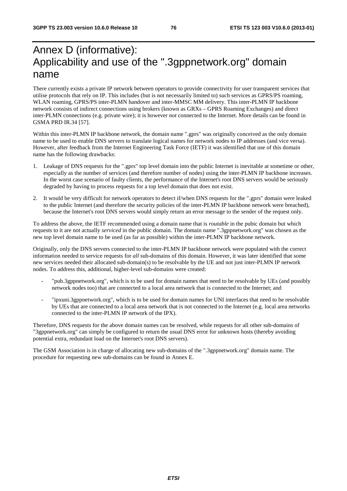### Annex D (informative): Applicability and use of the ".3gppnetwork.org" domain name

There currently exists a private IP network between operators to provide connectivity for user transparent services that utilise protocols that rely on IP. This includes (but is not necessarily limited to) such services as GPRS/PS roaming, WLAN roaming, GPRS/PS inter-PLMN handover and inter-MMSC MM delivery. This inter-PLMN IP backbone network consists of indirect connections using brokers (known as GRXs – GPRS Roaming Exchanges) and direct inter-PLMN connections (e.g. private wire); it is however *not* connected to the Internet. More details can be found in GSMA PRD IR.34 [57].

Within this inter-PLMN IP backbone network, the domain name ".gprs" was originally conceived as the only domain name to be used to enable DNS servers to translate logical names for network nodes to IP addresses (and vice versa). However, after feedback from the Internet Engineering Task Force (IETF) it was identified that use of this domain name has the following drawbacks:

- 1. Leakage of DNS requests for the ".gprs" top level domain into the public Internet is inevitable at sometime or other, especially as the number of services (and therefore number of nodes) using the inter-PLMN IP backbone increases. In the worst case scenario of faulty clients, the performance of the Internet's root DNS servers would be seriously degraded by having to process requests for a top level domain that does not exist.
- 2. It would be very difficult for network operators to detect if/when DNS requests for the ".gprs" domain were leaked to the public Internet (and therefore the security policies of the inter-PLMN IP backbone network were breached), because the Internet's root DNS servers would simply return an error message to the sender of the request only.

To address the above, the IETF recommended using a domain name that is *routable* in the pubic domain but which requests to it are not actually *serviced* in the public domain. The domain name ".3gppnetwork.org" was chosen as the new top level domain name to be used (as far as possible) within the inter-PLMN IP backbone network.

Originally, only the DNS servers connected to the inter-PLMN IP backbone network were populated with the correct information needed to service requests for *all* sub-domains of this domain. However, it was later identified that some new services needed their allocated sub-domain(s) to be resolvable by the UE and not just inter-PLMN IP network nodes. To address this, additional, higher-level sub-domains were created:

- "pub.3gppnetwork.org", which is to be used for domain names that need to be resolvable by UEs (and possibly network nodes too) that are connected to a local area network that is connected to the Internet; and
- "ipxuni.3gppnetwork.org", which is to be used for domain names for UNI interfaces that need to be resolvable by UEs that are connected to a local area network that is not connected to the Internet (e.g. local area networks connected to the inter-PLMN IP network of the IPX).

Therefore, DNS requests for the above domain names can be resolved, while requests for all other sub-domains of "3gppnetwork.org" can simply be configured to return the usual DNS error for unknown hosts (thereby avoiding potential extra, redundant load on the Internet's root DNS servers).

The GSM Association is in charge of allocating new sub-domains of the ".3gppnetwork.org" domain name. The procedure for requesting new sub-domains can be found in Annex E.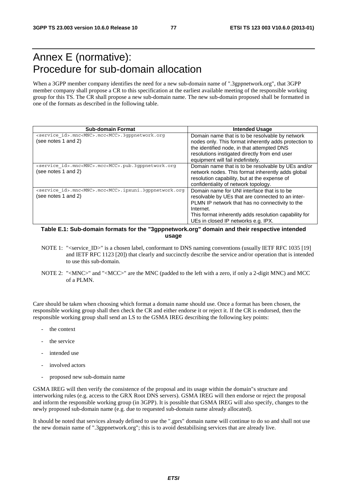#### Annex E (normative): Procedure for sub-domain allocation

When a 3GPP member company identifies the need for a new sub-domain name of ".3gppnetwork.org", that 3GPP member company shall propose a CR to this specification at the earliest available meeting of the responsible working group for this TS. The CR shall propose a new sub-domain name. The new sub-domain proposed shall be formatted in one of the formats as described in the following table.

| <b>Sub-domain Format</b>                                                                               | <b>Intended Usage</b>                                                                                                                                                                                                                                            |
|--------------------------------------------------------------------------------------------------------|------------------------------------------------------------------------------------------------------------------------------------------------------------------------------------------------------------------------------------------------------------------|
| <service id="">.mnc<mnc>.mcc<mcc>.3qppnetwork.org<br/>(see notes 1 and 2)</mcc></mnc></service>        | Domain name that is to be resolvable by network<br>nodes only. This format inherently adds protection to<br>the identified node, in that attempted DNS<br>resolutions instigated directly from end user<br>equipment will fail indefinitely.                     |
| <service id="">.mnc<mnc>.mcc<mcc>.pub.3qppnetwork.org<br/>(see notes 1 and 2)</mcc></mnc></service>    | Domain name that is to be resolvable by UEs and/or<br>network nodes. This format inherently adds global<br>resolution capability, but at the expense of<br>confidentiality of network topology.                                                                  |
| <service id="">.mnc<mnc>.mcc<mcc>.ipxuni.3qppnetwork.org<br/>(see notes 1 and 2)</mcc></mnc></service> | Domain name for UNI interface that is to be<br>resolvable by UEs that are connected to an inter-<br>PLMN IP network that has no connectivity to the<br>Internet.<br>This format inherently adds resolution capability for<br>UEs in closed IP networks e.g. IPX. |

#### **Table E.1: Sub-domain formats for the "3gppnetwork.org" domain and their respective intended usage**

- NOTE 1: "<service ID>" is a chosen label, conformant to DNS naming conventions (usually IETF RFC 1035 [19] and IETF RFC 1123 [20]) that clearly and succinctly describe the service and/or operation that is intended to use this sub-domain.
- NOTE 2: "<MNC>" and "<MCC>" are the MNC (padded to the left with a zero, if only a 2-digit MNC) and MCC of a PLMN.

Care should be taken when choosing which format a domain name should use. Once a format has been chosen, the responsible working group shall then check the CR and either endorse it or reject it. If the CR is endorsed, then the responsible working group shall send an LS to the GSMA IREG describing the following key points:

- the context
- the service
- intended use
- involved actors
- proposed new sub-domain name

GSMA IREG will then verify the consistence of the proposal and its usage within the domain"s structure and interworking rules (e.g. access to the GRX Root DNS servers). GSMA IREG will then endorse or reject the proposal and inform the responsible working group (in 3GPP). It is possible that GSMA IREG will also specify, changes to the newly proposed sub-domain name (e.g. due to requested sub-domain name already allocated).

It should be noted that services already defined to use the ".gprs" domain name will continue to do so and shall not use the new domain name of ".3gppnetwork.org"; this is to avoid destabilising services that are already live.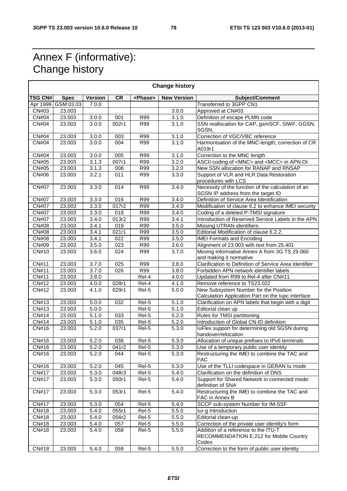٦

#### Annex F (informative): Change history

|                |                    |                |                  |                 | <b>Change history</b> |                                                                                          |
|----------------|--------------------|----------------|------------------|-----------------|-----------------------|------------------------------------------------------------------------------------------|
| <b>TSG CN#</b> | <b>Spec</b>        | <b>Version</b> | <b>CR</b>        | <phase></phase> | <b>New Version</b>    | Subject/Comment                                                                          |
|                | Apr 1999 GSM 03.03 | 7.0.0          |                  |                 |                       | Transferred to 3GPP CN1                                                                  |
| CN#03          | 23.003             |                |                  |                 | 3.0.0                 | Approved at CN#03                                                                        |
| <b>CN#04</b>   | 23.003             | 3.0.0          | 001              | <b>R99</b>      | 3.1.0                 | Definition of escape PLMN code                                                           |
| CN#04          | 23.003             | 3.0.0          | 002r1            | R99             | 3.1.0                 | SSN reallocation for CAP, gsmSCF, SIWF, GGSN,<br>SGSN,                                   |
| <b>CN#04</b>   | 23.003             | 3.0.0          | 003              | <b>R99</b>      | 3.1.0                 | Correction of VGC/VBC reference                                                          |
| <b>CN#04</b>   | 23.003             | 3.0.0          | 004              | R99             | 3.1.0                 | Harmonisation of the MNC-length; correction of CR<br>A019r1                              |
| <b>CN#04</b>   | 23.003             | 3.0.0          | 005              | R99             | 3.1.0                 | Correction to the MNC length                                                             |
| <b>CN#05</b>   | 23.003             | 3.1.3          | 007r1            | <b>R99</b>      | 3.2.0                 | ASCII coding of <mnc> and <mcc> in APN OI</mcc></mnc>                                    |
| CN#05          | 23.003             | 3.1.3          | 008              | <b>R99</b>      | 3.2.0                 | New SSN allocation for RANAP and RNSAP                                                   |
| CN#06          | 23.003             | 3.2.1          | 011              | R99             | 3.3.0                 | Support of VLR and HLR Data Restoration<br>procedures with LCS                           |
| <b>CN#07</b>   | 23.003             | 3.3.0          | 014              | <b>R99</b>      | 3.4.0                 | Necessity of the function of the calculation of an<br>SGSN IP address from the target ID |
| <b>CN#07</b>   | 23.003             | 3.3.0          | 016              | R99             | 3.4.0                 | Definition of Service Area Identification                                                |
| <b>CN#07</b>   | 23.003             | 3.3.0          | 017r2            | R99             | 3.4.0                 | Modification of clause 6.2 to enhance IMEI security                                      |
| <b>CN#07</b>   | 23.003             | 3.3.0          | 018              | <b>R99</b>      | 3.4.0                 | Coding of a deleted P-TMSI signature                                                     |
| <b>CN#07</b>   | 23.003             | 3.4.0          | 013r2            | <b>R99</b>      | 3.4.1                 | Introduction of Reserved Service Labels in the APN                                       |
| <b>CN#08</b>   | 23.003             | 3.4.1          | 019              | <b>R99</b>      | 3.5.0                 | <b>Missing UTRAN identifiers</b>                                                         |
| <b>CN#08</b>   | 23.003             | 3.4.1          | 021r1            | <b>R99</b>      | 3.5.0                 | Editorial Modification of clause 6.2.2.                                                  |
| <b>CN#08</b>   | 23.003             | 3.4.1          | $\overline{022}$ | R99             | 3.5.0                 | <b>IMEI Formats and Encoding</b>                                                         |
| <b>CN#09</b>   | 23.003             | 3.5.0          | 023              | <b>R99</b>      | 3.6.0                 | Alignment of 23.003 with text from 25.401                                                |
| CN#10          | 23.003             | 3.6.0          | 024              | R99             | 3.7.0                 | Moving informative Annex A from 3G TS 29.060                                             |
|                |                    |                |                  |                 |                       | and making it normative.                                                                 |
| CN#11          | 23.003             | 3.7.0          | 025              | <b>R99</b>      | 3.8.0                 | Clarification to Definition of Service Area Identifier                                   |
| CN#11          | 23.003             | 3.7.0          | $\overline{026}$ | R99             | 3.8.0                 | Forbidden APN network identifier labels                                                  |
| CN#11          | 23.003             | 3.8.0          |                  | Rel-4           | 4.0.0                 | Updated from R99 to Rel-4 after CN#11                                                    |
| CN#12          | 23.003             | 4.0.0          | 028r1            | Rel-4           | 4.1.0                 | Remove reference to TS23.022                                                             |
| <b>CN#12</b>   | 23.003             | 4.1.0          | 029r1            | Rel-5           | 5.0.0                 | New Subsystem Number for the Position                                                    |
|                |                    |                |                  |                 |                       | Calculation Application Part on the lupc interface                                       |
| CN#13          | 23.003             | 5.0.0          | 032              | Rel-5           | 5.1.0                 | Clarification on APN labels that begin with a digit                                      |
| CN#13          | 23.003             | 5.0.0          |                  | Rel-5           | 5.1.0                 | Editorial clean up                                                                       |
| CN#14          | 23.003             | 5.1.0          | 033              | Rel-5           | 5.2.0                 | Rules for TMSI partitioning                                                              |
| CN#14          | 23.003             | 5.1.0          | 035              | Rel-5           | 5.2.0                 | Introduction of Global CN-ID definition                                                  |
| CN#16          | 23.003             | 5.2.0          | 037r1            | Rel-5           | 5.3.0                 | luFlex support for determining old SGSN during                                           |
|                |                    |                |                  |                 |                       | handover/relocation                                                                      |
| CN#16          | 23.003             | 5.2.0          | 038              | Rel-5           | 5.3.0                 | Allocation of unique prefixes to IPv6 terminals                                          |
| CN#16          | 23.003             | 5.2.0          | 041r2            | Rel-5           | 5.3.0                 | Use of a temporary public user identity                                                  |
| CN#16          | 23.003             | 5.2.0          | 044              | Rel-5           | 5.3.0                 | Restructuring the IMEI to combine the TAC and<br><b>FAC</b>                              |
| CN#16          | 23.003             | 5.2.0          | 045              | Rel-5           | 5.3.0                 | Use of the TLLI codespace in GERAN Iu mode                                               |
| <b>CN#17</b>   | 23.003             | 5.3.0          | 048r3            | Rel-5           | 5.4.0                 | Clarification on the definition of DNS                                                   |
| <b>CN#17</b>   | 23.003             | 5.3.0          | 050r1            | Rel-5           | 5.4.0                 | Support for Shared Network in connected mode:<br>definition of SNA                       |
| <b>CN#17</b>   | 23.003             | 5.3.0          | 053r1            | Rel-5           | 5.4.0                 | Restructuring the IMEI to combine the TAC and<br>FAC in Annex B                          |
| <b>CN#17</b>   | 23.003             | 5.3.0          | 054              | Rel-5           | 5.4.0                 | SCCP sub-system Number for IM-SSF                                                        |
| CN#18          | 23.003             | 5.4.0          | 055r1            | Rel-5           | 5.5.0                 | lur-g Introduction                                                                       |
| CN#18          | 23.003             | 5.4.0          | 056r2            | Rel-5           | 5.5.0                 | Editorial clean-up                                                                       |
| CN#18          | 23.003             | 5.4.0          | 057              | Rel-5           | 5.5.0                 | Correction of the private user identity's form                                           |
| CN#18          | 23.003             | 5.4.0          | 058              | Rel-5           | 5.5.0                 | Addition of a reference to the ITU-T<br>RECOMMENDATION E.212 for Mobile Country<br>Codes |
| CN#18          | 23.003             | 5.4.0          | 059              | Rel-5           | 5.5.0                 | Correction to the form of public user identity                                           |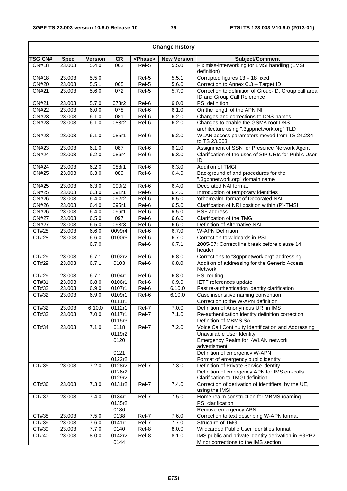$\overline{\phantom{a}}$ 

|                              |                  |                |                      |                 | <b>Change history</b> |                                                                                  |
|------------------------------|------------------|----------------|----------------------|-----------------|-----------------------|----------------------------------------------------------------------------------|
| <b>TSG CN#</b>               | <b>Spec</b>      | <b>Version</b> | <b>CR</b>            | <phase></phase> | <b>New Version</b>    | Subject/Comment                                                                  |
| CN#18                        | 23.003           | 5.4.0          | 062                  | Rel-5           | 5.5.0                 | Fix miss-interworking for LMSI handling (LMSI                                    |
|                              |                  |                |                      |                 |                       | definition)                                                                      |
| CN#18                        | 23.003           | 5.5.0          |                      | Rel-5           | 5.5.1                 | Corrupted figures 13 - 18 fixed                                                  |
| <b>CN#20</b>                 | 23.003           | 5.5.1          | 065                  | Rel-5           | 5.6.0                 | Correction to Annex C.3 - Target ID                                              |
| <b>CN#21</b>                 | 23.003           | 5.6.0          | 072                  | Rel-5           | 5.7.0                 | Correction to definition of Group-ID, Group call area                            |
|                              |                  |                |                      |                 |                       | ID and Group Call Reference                                                      |
| <b>CN#21</b>                 | 23.003           | 5.7.0          | 073r2                | Rel-6           | 6.0.0                 | PSI definition                                                                   |
| <b>CN#22</b>                 | 23.003           | 6.0.0          | 078                  | Rel-6           | 6.1.0                 | On the length of the APN NI                                                      |
| CN#23                        | 23.003           | 6.1.0          | 081                  | Rel-6           | 6.2.0                 | Changes and corrections to DNS names                                             |
| CN#23                        | 23.003           | 6.1.0          | 083r2                | Rel-6           | 6.2.0                 | Changes to enable the GSMA root DNS<br>architecture using ".3gppnetwork.org" TLD |
| CN#23                        | 23.003           | 6.1.0          | 085r1                | Rel-6           | 6.2.0                 | WLAN access parameters moved from TS 24.234                                      |
|                              |                  |                |                      |                 |                       | to TS 23.003                                                                     |
| CN#23                        | 23.003           | 6.1.0          | 087                  | Rel-6           | 6.2.0                 | Assignment of SSN for Presence Network Agent                                     |
| <b>CN#24</b>                 | 23.003           | 6.2.0          | 086r4                | Rel-6           | 6.3.0                 | Clarification of the uses of SIP URIs for Public User                            |
|                              |                  |                |                      |                 |                       | ID                                                                               |
| <b>CN#24</b>                 | 23.003           | 6.2.0          | 088r1                | Rel-6           | 6.3.0                 | <b>Addition of TMGI</b>                                                          |
| <b>CN#25</b>                 | 23.003           | 6.3.0          | 089                  | Rel-6           | 6.4.0                 | Background of and procedures for the                                             |
|                              |                  |                |                      |                 |                       | '.3gppnetwork.org" domain name                                                   |
| <b>CN#25</b>                 | 23.003           | 6.3.0          | 090r2                | Rel-6           | 6.4.0                 | Decorated NAI format                                                             |
| <b>CN#25</b>                 | 23.003           | 6.3.0          | 091r1                | Rel-6           | 6.4.0                 | Introduction of temporary identities                                             |
| CN#26                        | 23.003           | 6.4.0          | 092r2                | Rel-6           | 6.5.0                 | 'otherrealm' format of Decorated NAI                                             |
| <b>CN#26</b>                 | 23.003           | 6.4.0          | 095r1                | Rel-6           | 6.5.0                 | Clarification of NRI position within (P)-TMSI                                    |
| CN#26                        | 23.003           | 6.4.0          | 096r1                | Rel-6           | 6.5.0                 | <b>BSF</b> address                                                               |
| <b>CN#27</b>                 | 23.003           | 6.5.0          | 097                  | Rel-6           | 6.6.0                 | Clarification of the TMGI                                                        |
| <b>CN#27</b>                 | 23.003           | 6.5.0          | 093r3                | Rel-6           | 6.6.0                 | Definition of Alternative NAI                                                    |
| $\overline{C}$ T#28<br>CT#28 | 23.003<br>23.003 | 6.6.0<br>6.6.0 | 0099r4<br>0100r5     | Rel-6<br>Rel-6  | 6.7.0<br>6.7.0        | <b>W-APN Definition</b><br>Correction to wildcards in PSI                        |
|                              |                  | 6.7.0          |                      | Rel-6           | 6.7.1                 | 2005-07: Correct line break before clause 14                                     |
|                              |                  |                |                      |                 |                       | header                                                                           |
| CT#29                        | 23.003           | 6.7.1          | 0102r2               | Rel-6           | 6.8.0                 | Corrections to "3gppnetwork.org" addressing                                      |
| CT#29                        | 23.003           | 6.7.1          | 0103                 | Rel-6           | 6.8.0                 | Addition of addressing for the Generic Access                                    |
|                              |                  |                |                      |                 |                       | <b>Network</b>                                                                   |
| CT#29                        | 23.003           | 6.7.1          | 0104r1               | Rel-6           | 6.8.0                 | <b>PSI</b> routing                                                               |
| CT#31                        | 23.003           | 6.8.0          | 0106r1               | Rel-6           | 6.9.0                 | <b>IETF</b> references update                                                    |
| CT#32                        | 23.003           | 6.9.0          | 0107r1               | Rel-6           | 6.10.0                | Fast re-authentication identity clarification                                    |
| CT#32                        | 23.003           | 6.9.0          | 0109r1               | Rel-6           | 6.10.0                | Case insensitive naming convention                                               |
|                              |                  |                | 0111r1               |                 |                       | Correction to the W-APN definition                                               |
| CT#32                        | 23.003           | 6.10.0         | $\overline{01}$ 12r1 | Rel-7           | 7.0.0                 | Definition of Anonymous URI in IMS                                               |
| CT#33                        | 23.003           | 7.0.0          | 0117r1               | Rel-7           | 7.1.0                 | Re-authentication identity definition correction                                 |
|                              |                  |                | 0115r3               |                 |                       | Definition of MBMS SAI                                                           |
| CT#34                        | 23.003           | 7.1.0          | 0118<br>0119r2       | Rel-7           | 7.2.0                 | Voice Call Continuity Identification and Addressing<br>Unavailable User Identity |
|                              |                  |                | 0120                 |                 |                       | Emergency Realm for I-WLAN network                                               |
|                              |                  |                |                      |                 |                       | advertisment                                                                     |
|                              |                  |                | 0121                 |                 |                       | Definition of emergency W-APN                                                    |
|                              |                  |                | 0122r2               |                 |                       | Format of emergency public identity                                              |
| CT#35                        | 23.003           | 7.2.0          | 0128r2               | Rel-7           | 7.3.0                 | Definition of Private Service identity                                           |
|                              |                  |                | 0126r2               |                 |                       | Definition of emergency APN for IMS em-calls                                     |
|                              |                  |                | 0129r2               |                 |                       | Clarification to TMGI definition                                                 |
| CT#36                        | 23.003           | 7.3.0          | 0131r2               | Rel-7           | 7.4.0                 | Correction of derivation of identifiers, by the UE,<br>using the IMSI            |
| CT#37                        | 23.003           | 7.4.0          | 0134r1               | Rel-7           | 7.5.0                 | Home realm construction for MBMS roaming                                         |
|                              |                  |                | 0135r2               |                 |                       | PSI clarification                                                                |
|                              |                  |                | 0136                 |                 |                       | Remove emergency APN                                                             |
| CT#38                        | 23.003           | 7.5.0          | 0138                 | Rel-7           | 7.6.0                 | Correction to text describing W-APN format                                       |
| CT#39                        | 23.003           | 7.6.0          | 0141r1               | Rel-7           | 7.7.0                 | Structure of TMGI                                                                |
| CT#39                        | 23.003           | 7.7.0          | 0140                 | Rel-8           | 8.0.0                 | Wildcarded Public User Identities format                                         |
| CT#40                        | 23.003           | 8.0.0          | 0142r2               | Rel-8           | 8.1.0                 | IMS public and private identity derivation in 3GPP2                              |
|                              |                  |                | 0144                 |                 |                       | Minor corrections to the IMS section                                             |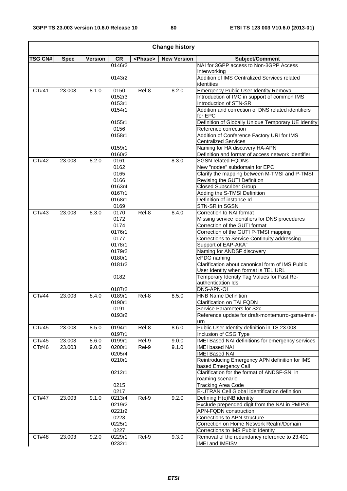$\mathbf{r}$ 

 $\overline{\phantom{0}}$ 

|                |             |         |                |                 | <b>Change history</b> |                                                                                          |
|----------------|-------------|---------|----------------|-----------------|-----------------------|------------------------------------------------------------------------------------------|
| <b>TSG CN#</b> | <b>Spec</b> | Version | <b>CR</b>      | <phase></phase> | <b>New Version</b>    | Subject/Comment                                                                          |
|                |             |         | 0146r2         |                 |                       | NAI for 3GPP access to Non-3GPP Access                                                   |
|                |             |         |                |                 |                       | Interworking                                                                             |
|                |             |         | 0143r2         |                 |                       | Addition of IMS Centralized Services related<br>identities                               |
| CT#41          | 23.003      | 8.1.0   | 0150           | Rel-8           | 8.2.0                 | <b>Emergency Public User Identity Removal</b>                                            |
|                |             |         | 0152r3         |                 |                       | Introduction of IMC in support of common IMS                                             |
|                |             |         | 0153r1         |                 |                       | Introduction of STN-SR                                                                   |
|                |             |         | 0154r1         |                 |                       | Addition and correction of DNS related identifiers                                       |
|                |             |         |                |                 |                       | for EPC                                                                                  |
|                |             |         | 0155r1         |                 |                       | Definition of Globally Unique Temporary UE Identity                                      |
|                |             |         | 0156           |                 |                       | Reference correction                                                                     |
|                |             |         | 0158r1         |                 |                       | Addition of Conference Factory URI for IMS                                               |
|                |             |         |                |                 |                       | <b>Centralized Services</b>                                                              |
|                |             |         | 0159r1         |                 |                       | Naming for HA discovery HA-APN                                                           |
|                |             |         | 0160r2         |                 |                       | Definition and format of access network identifier                                       |
| CT#42          | 23.003      | 8.2.0   | 0161<br>0162   |                 | 8.3.0                 | <b>SGSN related FQDNs</b><br>New "nodes" subdomain for EPC                               |
|                |             |         | 0165           |                 |                       | Clarify the mapping between M-TMSI and P-TMSI                                            |
|                |             |         | 0166           |                 |                       | Revising the GUTI Definition                                                             |
|                |             |         | 0163r4         |                 |                       | <b>Closed Subscriber Group</b>                                                           |
|                |             |         | 0167r1         |                 |                       | Adding the S-TMSI Definition                                                             |
|                |             |         | 0168r1         |                 |                       | Definition of instance Id                                                                |
|                |             |         | 0169           |                 |                       | STN-SR in SGSN                                                                           |
| CT#43          | 23.003      | 8.3.0   | 0170           | Rel-8           | 8.4.0                 | Correction to NAI format                                                                 |
|                |             |         | 0172           |                 |                       | Missing service identifiers for DNS procedures                                           |
|                |             |         | 0174           |                 |                       | Correction of the GUTI format                                                            |
|                |             |         | 0176r1         |                 |                       | Correction of the GUTI P-TMSI mapping                                                    |
|                |             |         | 0177           |                 |                       | Corrections to Service Continuity addressing                                             |
|                |             |         | 0178r1         |                 |                       | Support of EAP-AKA"                                                                      |
|                |             |         | 0179r2         |                 |                       | Naming for ANDSF discovery                                                               |
|                |             |         | 0180r1         |                 |                       | ePDG naming                                                                              |
|                |             |         | 0181r2         |                 |                       | Clarification about canonical form of IMS Public<br>User Identity when format is TEL URL |
|                |             |         | 0182           |                 |                       | Temporary Identity Tag Values for Fast Re-                                               |
|                |             |         |                |                 |                       | authentication Ids                                                                       |
|                |             |         | 0187r2         |                 |                       | DNS-APN-OI                                                                               |
| CT#44          | 23.003      | 8.4.0   | 0189r1         | Rel-8           | 8.5.0                 | <b>HNB Name Definition</b>                                                               |
|                |             |         | 0190r1         |                 |                       | Clarification on TAI FQDN                                                                |
|                |             |         | 0191<br>0193r2 |                 |                       | Service Parameters for S2c<br>Reference update for draft-montemurro-gsma-imei-           |
|                |             |         |                |                 |                       | urn                                                                                      |
| CT#45          | 23.003      | 8.5.0   | 0194r1         | Rel-8           | 8.6.0                 | Public User Identity definition in TS 23.003                                             |
|                |             |         | 0197r1         |                 |                       | Inclusion of CSG Type                                                                    |
| CT#45          | 23.003      | 8.6.0   | 0199r1         | Rel-9           | 9.0.0                 | IMEI Based NAI definitions for emergency services                                        |
| CT#46          | 23.003      | 9.0.0   | 0200r1         | Rel-9           | 9.1.0                 | <b>IMEI based NAI</b>                                                                    |
|                |             |         | 0205r4         |                 |                       | <b>IMEI Based NAI</b>                                                                    |
|                |             |         | 0210r1         |                 |                       | Reintroducing Emergency APN definition for IMS                                           |
|                |             |         |                |                 |                       | based Emergency Call                                                                     |
|                |             |         | 0212r1         |                 |                       | Clarification for the format of ANDSF-SN in                                              |
|                |             |         |                |                 |                       | roaming scenario                                                                         |
|                |             |         | 0215<br>0217   |                 |                       | <b>Tracking Area Code</b><br>E-UTRAN Cell Global Identification definition               |
| CT#47          | 23.003      | 9.1.0   | 0213r4         | Rel-9           | 9.2.0                 | Defining H(e)NB identity                                                                 |
|                |             |         | 0219r2         |                 |                       | Exclude prepended digit from the NAI in PMIPv6                                           |
|                |             |         | 0221r2         |                 |                       | APN-FQDN construction                                                                    |
|                |             |         | 0223           |                 |                       | Corrections to APN structure                                                             |
|                |             |         | 0225r1         |                 |                       | Correction on Home Network Realm/Domain                                                  |
|                |             |         | 0227           |                 |                       | Corrections to IMS Public Identity                                                       |
| CT#48          | 23.003      | 9.2.0   | 0229r1         | Rel-9           | 9.3.0                 | Removal of the redundancy reference to 23.401                                            |
|                |             |         | 0232r1         |                 |                       | IMEI and IMEISV                                                                          |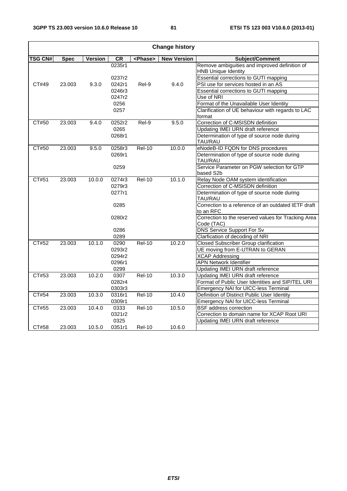|                |             |                |        |                 | <b>Change history</b> |                                                                             |
|----------------|-------------|----------------|--------|-----------------|-----------------------|-----------------------------------------------------------------------------|
| <b>TSG CN#</b> | <b>Spec</b> | <b>Version</b> | CR     | <phase></phase> | <b>New Version</b>    | Subject/Comment                                                             |
|                |             |                | 0235r1 |                 |                       | Remove ambiguities and improved definition of<br><b>HNB Unique Identity</b> |
|                |             |                | 0237r2 |                 |                       | Essential corrections to GUTI mapping                                       |
| CT#49          | 23.003      | 9.3.0          | 0242r1 | Rel-9           | 9.4.0                 | PSI use for services hosted in an AS                                        |
|                |             |                | 0246r3 |                 |                       | Essential corrections to GUTI mapping                                       |
|                |             |                | 0247r2 |                 |                       | Use of NRI                                                                  |
|                |             |                | 0256   |                 |                       | Format of the Unavailable User Identity                                     |
|                |             |                | 0257   |                 |                       | Clarification of UE behaviour with regards to LAC<br>format                 |
| CT#50          | 23.003      | 9.4.0          | 0252r2 | Rel-9           | 9.5.0                 | Correction of C-MSISDN definition                                           |
|                |             |                | 0265   |                 |                       | Updating IMEI URN draft reference                                           |
|                |             |                | 0268r1 |                 |                       | Determination of type of source node during<br>TAU/RAU                      |
| CT#50          | 23.003      | 9.5.0          | 0258r3 | <b>Rel-10</b>   | 10.0.0                | eNodeB-ID FQDN for DNS procedures                                           |
|                |             |                | 0269r1 |                 |                       | Determination of type of source node during<br>TAU/RAU                      |
|                |             |                | 0259   |                 |                       | Service Parameter on PGW selection for GTP                                  |
|                |             |                |        |                 |                       | based S2b                                                                   |
| CT#51          | 23.003      | 10.0.0         | 0274r3 | <b>Rel-10</b>   | 10.1.0                | Relay Node OAM system identification                                        |
|                |             |                | 0279r3 |                 |                       | Correction of C-MSISDN definition                                           |
|                |             |                | 0277r1 |                 |                       | Determination of type of source node during<br>TAU/RAU                      |
|                |             |                | 0285   |                 |                       | Correction to a reference of an outdated IETF draft<br>to an RFC            |
|                |             |                | 0280r2 |                 |                       | Correction to the reserved values for Tracking Area<br>Code (TAC)           |
|                |             |                | 0286   |                 |                       | <b>DNS Service Support For Sv</b>                                           |
|                |             |                | 0289   |                 |                       | Clarfication of decoding of NRI                                             |
| CT#52          | 23.003      | 10.1.0         | 0290   | <b>Rel-10</b>   | 10.2.0                | Closed Subscriber Group clarification                                       |
|                |             |                | 0293r2 |                 |                       | UE moving from E-UTRAN to GERAN                                             |
|                |             |                | 0294r2 |                 |                       | <b>XCAP Addressing</b>                                                      |
|                |             |                | 0296r1 |                 |                       | <b>APN Network Identifier</b>                                               |
|                |             |                | 0299   |                 |                       | <b>Updating IMEI URN draft reference</b>                                    |
| CT#53          | 23.003      | 10.2.0         | 0307   | <b>Rel-10</b>   | 10.3.0                | Updating IMEI URN draft reference                                           |
|                |             |                | 0282r4 |                 |                       | Format of Public User Identities and SIP/TEL URI                            |
|                |             |                | 0303r3 |                 |                       | Emergency NAI for UICC-less Terminal                                        |
| CT#54          | 23.003      | 10.3.0         | 0316r1 | $Rel-10$        | 10.4.0                | Definition of Distinct Public User Identity                                 |
|                |             |                | 0309r1 |                 |                       | Emergency NAI for UICC-less Terminal                                        |
| CT#55          | 23.003      | 10.4.0         | 0333   | <b>Rel-10</b>   | 10.5.0                | <b>BSF</b> address correction                                               |
|                |             |                | 0321r2 |                 |                       | Correction to domain name for XCAP Root URI                                 |
|                |             |                | 0325   |                 |                       | Updating IMEI URN draft reference                                           |
| CT#58          | 23.003      | 10.5.0         | 0351r1 | <b>Rel-10</b>   | 10.6.0                |                                                                             |